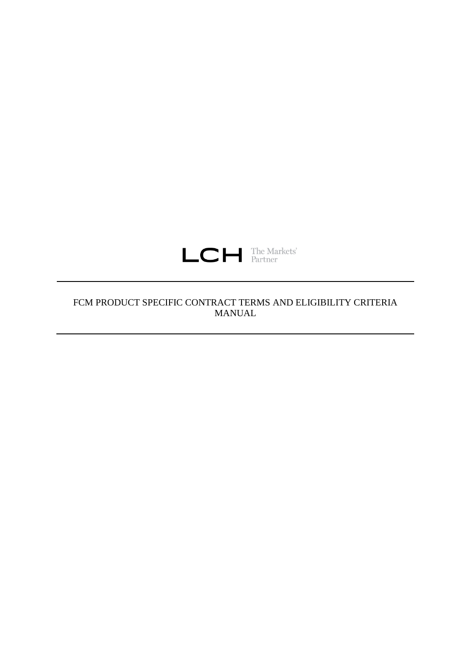

# FCM PRODUCT SPECIFIC CONTRACT TERMS AND ELIGIBILITY CRITERIA MANUAL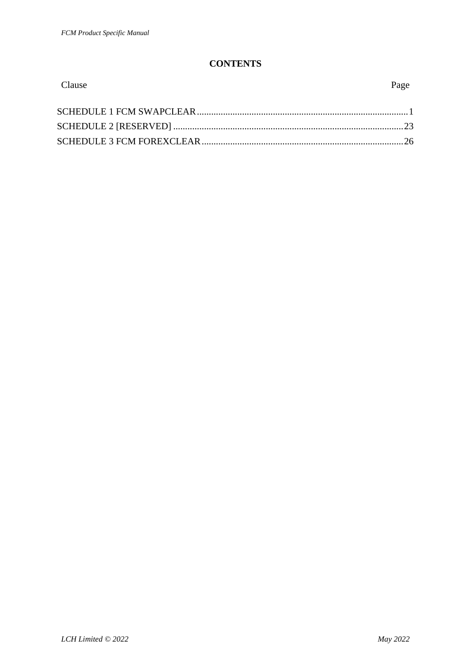## **CONTENTS**

| Clause | Page |
|--------|------|
|        |      |
|        |      |
|        |      |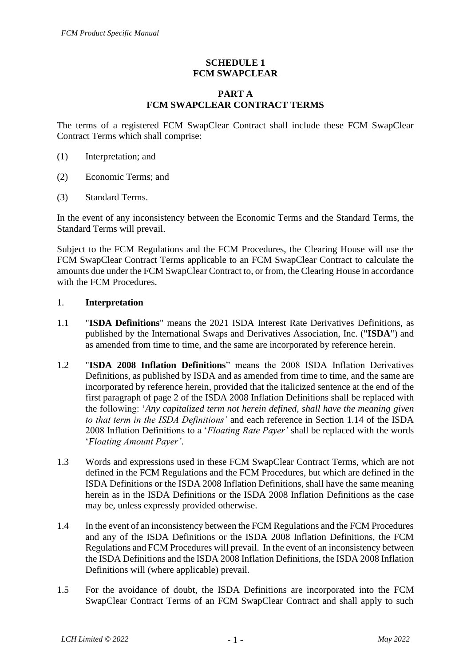## **SCHEDULE 1 FCM SWAPCLEAR**

### **PART A FCM SWAPCLEAR CONTRACT TERMS**

The terms of a registered FCM SwapClear Contract shall include these FCM SwapClear Contract Terms which shall comprise:

- (1) Interpretation; and
- (2) Economic Terms; and
- (3) Standard Terms.

In the event of any inconsistency between the Economic Terms and the Standard Terms, the Standard Terms will prevail.

Subject to the FCM Regulations and the FCM Procedures, the Clearing House will use the FCM SwapClear Contract Terms applicable to an FCM SwapClear Contract to calculate the amounts due under the FCM SwapClear Contract to, or from, the Clearing House in accordance with the FCM Procedures.

#### 1. **Interpretation**

- 1.1 "**ISDA Definitions**" means the 2021 ISDA Interest Rate Derivatives Definitions, as published by the International Swaps and Derivatives Association, Inc. ("**ISDA**") and as amended from time to time, and the same are incorporated by reference herein.
- 1.2 "**ISDA 2008 Inflation Definitions**" means the 2008 ISDA Inflation Derivatives Definitions, as published by ISDA and as amended from time to time, and the same are incorporated by reference herein, provided that the italicized sentence at the end of the first paragraph of page 2 of the ISDA 2008 Inflation Definitions shall be replaced with the following: '*Any capitalized term not herein defined, shall have the meaning given to that term in the ISDA Definitions'* and each reference in Section 1.14 of the ISDA 2008 Inflation Definitions to a '*Floating Rate Payer'* shall be replaced with the words '*Floating Amount Payer'*.
- 1.3 Words and expressions used in these FCM SwapClear Contract Terms, which are not defined in the FCM Regulations and the FCM Procedures, but which are defined in the ISDA Definitions or the ISDA 2008 Inflation Definitions, shall have the same meaning herein as in the ISDA Definitions or the ISDA 2008 Inflation Definitions as the case may be, unless expressly provided otherwise.
- 1.4 In the event of an inconsistency between the FCM Regulations and the FCM Procedures and any of the ISDA Definitions or the ISDA 2008 Inflation Definitions, the FCM Regulations and FCM Procedures will prevail. In the event of an inconsistency between the ISDA Definitions and the ISDA 2008 Inflation Definitions, the ISDA 2008 Inflation Definitions will (where applicable) prevail.
- 1.5 For the avoidance of doubt, the ISDA Definitions are incorporated into the FCM SwapClear Contract Terms of an FCM SwapClear Contract and shall apply to such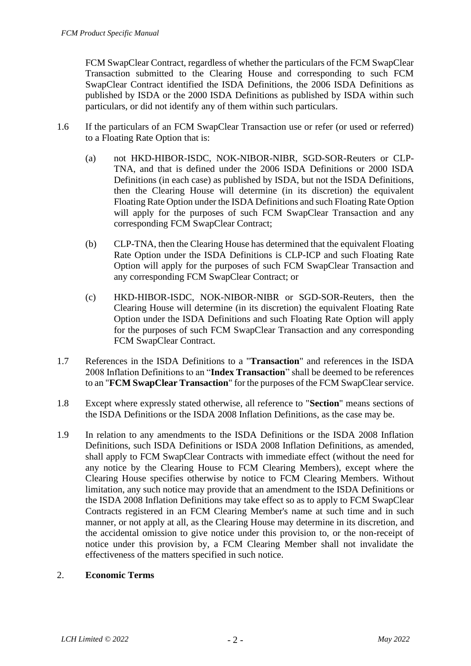FCM SwapClear Contract, regardless of whether the particulars of the FCM SwapClear Transaction submitted to the Clearing House and corresponding to such FCM SwapClear Contract identified the ISDA Definitions, the 2006 ISDA Definitions as published by ISDA or the 2000 ISDA Definitions as published by ISDA within such particulars, or did not identify any of them within such particulars.

- 1.6 If the particulars of an FCM SwapClear Transaction use or refer (or used or referred) to a Floating Rate Option that is:
	- (a) not HKD-HIBOR-ISDC, NOK-NIBOR-NIBR, SGD-SOR-Reuters or CLP-TNA, and that is defined under the 2006 ISDA Definitions or 2000 ISDA Definitions (in each case) as published by ISDA, but not the ISDA Definitions, then the Clearing House will determine (in its discretion) the equivalent Floating Rate Option under the ISDA Definitions and such Floating Rate Option will apply for the purposes of such FCM SwapClear Transaction and any corresponding FCM SwapClear Contract;
	- (b) CLP-TNA, then the Clearing House has determined that the equivalent Floating Rate Option under the ISDA Definitions is CLP-ICP and such Floating Rate Option will apply for the purposes of such FCM SwapClear Transaction and any corresponding FCM SwapClear Contract; or
	- (c) HKD-HIBOR-ISDC, NOK-NIBOR-NIBR or SGD-SOR-Reuters, then the Clearing House will determine (in its discretion) the equivalent Floating Rate Option under the ISDA Definitions and such Floating Rate Option will apply for the purposes of such FCM SwapClear Transaction and any corresponding FCM SwapClear Contract.
- 1.7 References in the ISDA Definitions to a "**Transaction**" and references in the ISDA 2008 Inflation Definitions to an "**Index Transaction**" shall be deemed to be references to an "**FCM SwapClear Transaction**" for the purposes of the FCM SwapClear service.
- 1.8 Except where expressly stated otherwise, all reference to "**Section**" means sections of the ISDA Definitions or the ISDA 2008 Inflation Definitions, as the case may be.
- 1.9 In relation to any amendments to the ISDA Definitions or the ISDA 2008 Inflation Definitions, such ISDA Definitions or ISDA 2008 Inflation Definitions, as amended, shall apply to FCM SwapClear Contracts with immediate effect (without the need for any notice by the Clearing House to FCM Clearing Members), except where the Clearing House specifies otherwise by notice to FCM Clearing Members. Without limitation, any such notice may provide that an amendment to the ISDA Definitions or the ISDA 2008 Inflation Definitions may take effect so as to apply to FCM SwapClear Contracts registered in an FCM Clearing Member's name at such time and in such manner, or not apply at all, as the Clearing House may determine in its discretion, and the accidental omission to give notice under this provision to, or the non-receipt of notice under this provision by, a FCM Clearing Member shall not invalidate the effectiveness of the matters specified in such notice.

#### 2. **Economic Terms**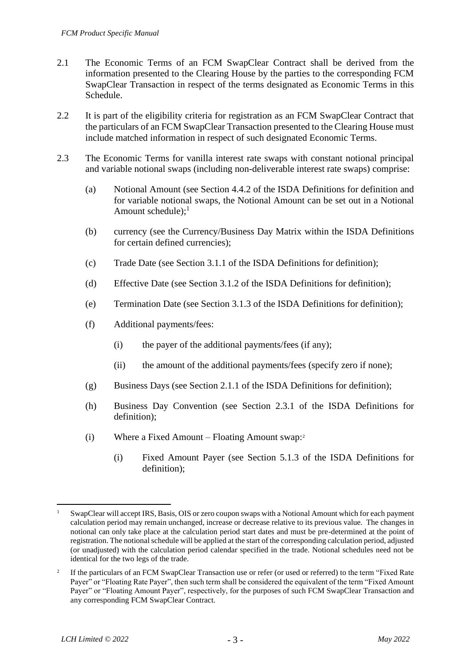- 2.1 The Economic Terms of an FCM SwapClear Contract shall be derived from the information presented to the Clearing House by the parties to the corresponding FCM SwapClear Transaction in respect of the terms designated as Economic Terms in this Schedule.
- 2.2 It is part of the eligibility criteria for registration as an FCM SwapClear Contract that the particulars of an FCM SwapClear Transaction presented to the Clearing House must include matched information in respect of such designated Economic Terms.
- 2.3 The Economic Terms for vanilla interest rate swaps with constant notional principal and variable notional swaps (including non-deliverable interest rate swaps) comprise:
	- (a) Notional Amount (see Section 4.4.2 of the ISDA Definitions for definition and for variable notional swaps, the Notional Amount can be set out in a Notional Amount schedule): $<sup>1</sup>$ </sup>
	- (b) currency (see the Currency/Business Day Matrix within the ISDA Definitions for certain defined currencies);
	- (c) Trade Date (see Section 3.1.1 of the ISDA Definitions for definition);
	- (d) Effective Date (see Section 3.1.2 of the ISDA Definitions for definition);
	- (e) Termination Date (see Section 3.1.3 of the ISDA Definitions for definition);
	- (f) Additional payments/fees:
		- (i) the payer of the additional payments/fees (if any);
		- (ii) the amount of the additional payments/fees (specify zero if none);
	- (g) Business Days (see Section 2.1.1 of the ISDA Definitions for definition);
	- (h) Business Day Convention (see Section 2.3.1 of the ISDA Definitions for definition);
	- (i) Where a Fixed Amount Floating Amount swap: 2
		- (i) Fixed Amount Payer (see Section 5.1.3 of the ISDA Definitions for definition);

SwapClear will accept IRS, Basis, OIS or zero coupon swaps with a Notional Amount which for each payment calculation period may remain unchanged, increase or decrease relative to its previous value. The changes in notional can only take place at the calculation period start dates and must be pre-determined at the point of registration. The notional schedule will be applied at the start of the corresponding calculation period, adjusted (or unadjusted) with the calculation period calendar specified in the trade. Notional schedules need not be identical for the two legs of the trade.

<sup>2</sup> If the particulars of an FCM SwapClear Transaction use or refer (or used or referred) to the term "Fixed Rate Payer" or "Floating Rate Payer", then such term shall be considered the equivalent of the term "Fixed Amount Payer" or "Floating Amount Payer", respectively, for the purposes of such FCM SwapClear Transaction and any corresponding FCM SwapClear Contract.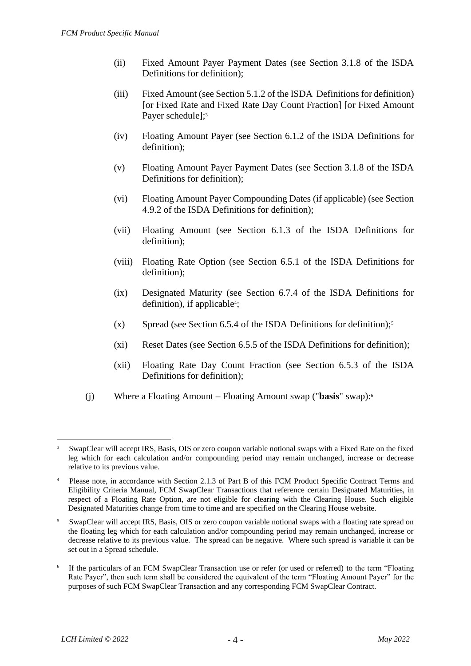- (ii) Fixed Amount Payer Payment Dates (see Section 3.1.8 of the ISDA Definitions for definition);
- (iii) Fixed Amount (see Section 5.1.2 of the ISDA Definitions for definition) [or Fixed Rate and Fixed Rate Day Count Fraction] [or Fixed Amount Payer schedule];<sup>3</sup>
- (iv) Floating Amount Payer (see Section 6.1.2 of the ISDA Definitions for definition);
- (v) Floating Amount Payer Payment Dates (see Section 3.1.8 of the ISDA Definitions for definition);
- (vi) Floating Amount Payer Compounding Dates (if applicable) (see Section 4.9.2 of the ISDA Definitions for definition);
- (vii) Floating Amount (see Section 6.1.3 of the ISDA Definitions for definition);
- (viii) Floating Rate Option (see Section 6.5.1 of the ISDA Definitions for definition);
- (ix) Designated Maturity (see Section 6.7.4 of the ISDA Definitions for definition), if applicable<sup>4</sup>;
- (x) Spread (see Section 6.5.4 of the ISDA Definitions for definition); 5
- (xi) Reset Dates (see Section 6.5.5 of the ISDA Definitions for definition);
- (xii) Floating Rate Day Count Fraction (see Section 6.5.3 of the ISDA Definitions for definition);
- (j) Where a Floating Amount Floating Amount swap ("**basis**" swap): 6

<sup>3</sup> SwapClear will accept IRS, Basis, OIS or zero coupon variable notional swaps with a Fixed Rate on the fixed leg which for each calculation and/or compounding period may remain unchanged, increase or decrease relative to its previous value.

<sup>4</sup> Please note, in accordance with Section 2.1.3 of Part B of this FCM Product Specific Contract Terms and Eligibility Criteria Manual, FCM SwapClear Transactions that reference certain Designated Maturities, in respect of a Floating Rate Option, are not eligible for clearing with the Clearing House. Such eligible Designated Maturities change from time to time and are specified on the Clearing House website.

<sup>5</sup> SwapClear will accept IRS, Basis, OIS or zero coupon variable notional swaps with a floating rate spread on the floating leg which for each calculation and/or compounding period may remain unchanged, increase or decrease relative to its previous value. The spread can be negative. Where such spread is variable it can be set out in a Spread schedule.

<sup>6</sup> If the particulars of an FCM SwapClear Transaction use or refer (or used or referred) to the term "Floating Rate Payer", then such term shall be considered the equivalent of the term "Floating Amount Payer" for the purposes of such FCM SwapClear Transaction and any corresponding FCM SwapClear Contract.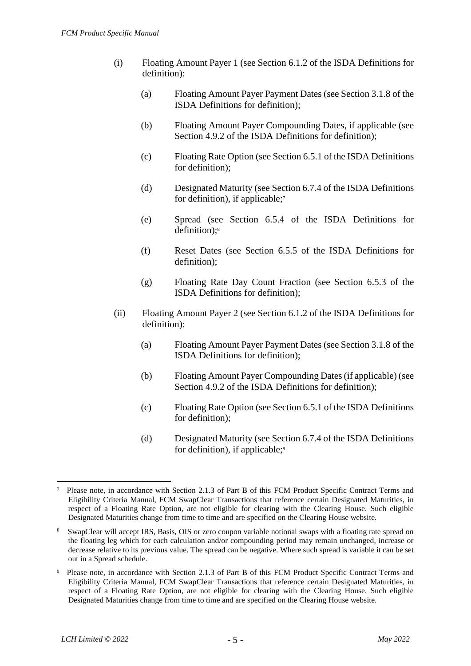- (i) Floating Amount Payer 1 (see Section 6.1.2 of the ISDA Definitions for definition):
	- (a) Floating Amount Payer Payment Dates (see Section 3.1.8 of the ISDA Definitions for definition);
	- (b) Floating Amount Payer Compounding Dates, if applicable (see Section 4.9.2 of the ISDA Definitions for definition);
	- (c) Floating Rate Option (see Section 6.5.1 of the ISDA Definitions for definition);
	- (d) Designated Maturity (see Section 6.7.4 of the ISDA Definitions for definition), if applicable;<sup>7</sup>
	- (e) Spread (see Section 6.5.4 of the ISDA Definitions for definition); 8
	- (f) Reset Dates (see Section 6.5.5 of the ISDA Definitions for definition);
	- (g) Floating Rate Day Count Fraction (see Section 6.5.3 of the ISDA Definitions for definition);
- (ii) Floating Amount Payer 2 (see Section 6.1.2 of the ISDA Definitions for definition):
	- (a) Floating Amount Payer Payment Dates (see Section 3.1.8 of the ISDA Definitions for definition);
	- (b) Floating Amount Payer Compounding Dates (if applicable) (see Section 4.9.2 of the ISDA Definitions for definition);
	- (c) Floating Rate Option (see Section 6.5.1 of the ISDA Definitions for definition);
	- (d) Designated Maturity (see Section 6.7.4 of the ISDA Definitions for definition), if applicable;<sup>9</sup>

<sup>7</sup> Please note, in accordance with Section 2.1.3 of Part B of this FCM Product Specific Contract Terms and Eligibility Criteria Manual, FCM SwapClear Transactions that reference certain Designated Maturities, in respect of a Floating Rate Option, are not eligible for clearing with the Clearing House. Such eligible Designated Maturities change from time to time and are specified on the Clearing House website.

<sup>8</sup> SwapClear will accept IRS, Basis, OIS or zero coupon variable notional swaps with a floating rate spread on the floating leg which for each calculation and/or compounding period may remain unchanged, increase or decrease relative to its previous value. The spread can be negative. Where such spread is variable it can be set out in a Spread schedule.

<sup>9</sup> Please note, in accordance with Section 2.1.3 of Part B of this FCM Product Specific Contract Terms and Eligibility Criteria Manual, FCM SwapClear Transactions that reference certain Designated Maturities, in respect of a Floating Rate Option, are not eligible for clearing with the Clearing House. Such eligible Designated Maturities change from time to time and are specified on the Clearing House website.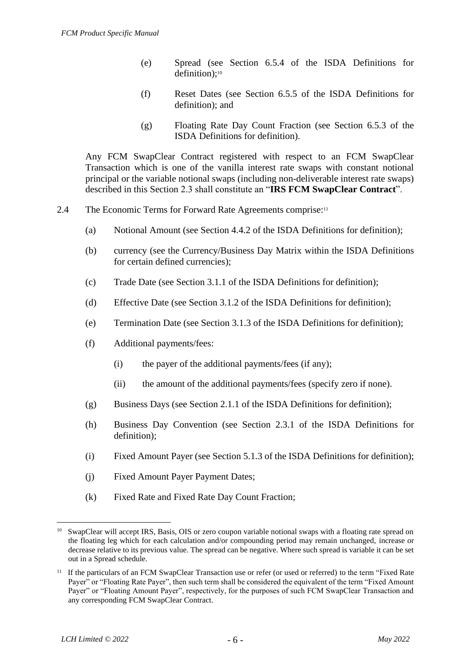- (e) Spread (see Section 6.5.4 of the ISDA Definitions for definition):<sup>10</sup>
- (f) Reset Dates (see Section 6.5.5 of the ISDA Definitions for definition); and
- (g) Floating Rate Day Count Fraction (see Section 6.5.3 of the ISDA Definitions for definition).

Any FCM SwapClear Contract registered with respect to an FCM SwapClear Transaction which is one of the vanilla interest rate swaps with constant notional principal or the variable notional swaps (including non-deliverable interest rate swaps) described in this Section 2.3 shall constitute an "**IRS FCM SwapClear Contract**".

- 2.4 The Economic Terms for Forward Rate Agreements comprise:<sup>11</sup>
	- (a) Notional Amount (see Section 4.4.2 of the ISDA Definitions for definition);
	- (b) currency (see the Currency/Business Day Matrix within the ISDA Definitions for certain defined currencies);
	- (c) Trade Date (see Section 3.1.1 of the ISDA Definitions for definition);
	- (d) Effective Date (see Section 3.1.2 of the ISDA Definitions for definition);
	- (e) Termination Date (see Section 3.1.3 of the ISDA Definitions for definition);
	- (f) Additional payments/fees:
		- (i) the payer of the additional payments/fees (if any);
		- (ii) the amount of the additional payments/fees (specify zero if none).
	- (g) Business Days (see Section 2.1.1 of the ISDA Definitions for definition);
	- (h) Business Day Convention (see Section 2.3.1 of the ISDA Definitions for definition);
	- (i) Fixed Amount Payer (see Section 5.1.3 of the ISDA Definitions for definition);
	- (j) Fixed Amount Payer Payment Dates;
	- (k) Fixed Rate and Fixed Rate Day Count Fraction;

<sup>&</sup>lt;sup>10</sup> SwapClear will accept IRS, Basis, OIS or zero coupon variable notional swaps with a floating rate spread on the floating leg which for each calculation and/or compounding period may remain unchanged, increase or decrease relative to its previous value. The spread can be negative. Where such spread is variable it can be set out in a Spread schedule.

<sup>&</sup>lt;sup>11</sup> If the particulars of an FCM SwapClear Transaction use or refer (or used or referred) to the term "Fixed Rate Payer" or "Floating Rate Payer", then such term shall be considered the equivalent of the term "Fixed Amount Payer" or "Floating Amount Payer", respectively, for the purposes of such FCM SwapClear Transaction and any corresponding FCM SwapClear Contract.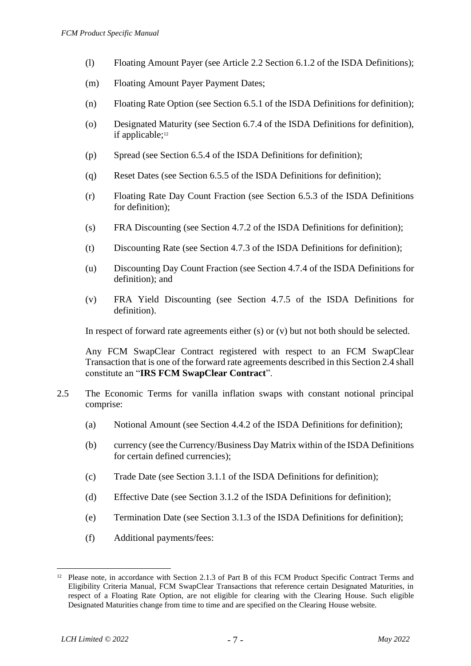- (l) Floating Amount Payer (see Article 2.2 Section 6.1.2 of the ISDA Definitions);
- (m) Floating Amount Payer Payment Dates;
- (n) Floating Rate Option (see Section 6.5.1 of the ISDA Definitions for definition);
- (o) Designated Maturity (see Section 6.7.4 of the ISDA Definitions for definition), if applicable; 12
- (p) Spread (see Section 6.5.4 of the ISDA Definitions for definition);
- (q) Reset Dates (see Section 6.5.5 of the ISDA Definitions for definition);
- (r) Floating Rate Day Count Fraction (see Section 6.5.3 of the ISDA Definitions for definition);
- (s) FRA Discounting (see Section 4.7.2 of the ISDA Definitions for definition);
- (t) Discounting Rate (see Section 4.7.3 of the ISDA Definitions for definition);
- (u) Discounting Day Count Fraction (see Section 4.7.4 of the ISDA Definitions for definition); and
- (v) FRA Yield Discounting (see Section 4.7.5 of the ISDA Definitions for definition).

In respect of forward rate agreements either (s) or (v) but not both should be selected.

Any FCM SwapClear Contract registered with respect to an FCM SwapClear Transaction that is one of the forward rate agreements described in this Section 2.4 shall constitute an "**IRS FCM SwapClear Contract**".

- 2.5 The Economic Terms for vanilla inflation swaps with constant notional principal comprise:
	- (a) Notional Amount (see Section 4.4.2 of the ISDA Definitions for definition);
	- (b) currency (see the Currency/Business Day Matrix within of the ISDA Definitions for certain defined currencies);
	- (c) Trade Date (see Section 3.1.1 of the ISDA Definitions for definition);
	- (d) Effective Date (see Section 3.1.2 of the ISDA Definitions for definition);
	- (e) Termination Date (see Section 3.1.3 of the ISDA Definitions for definition);
	- (f) Additional payments/fees:

<sup>&</sup>lt;sup>12</sup> Please note, in accordance with Section 2.1.3 of Part B of this FCM Product Specific Contract Terms and Eligibility Criteria Manual, FCM SwapClear Transactions that reference certain Designated Maturities, in respect of a Floating Rate Option, are not eligible for clearing with the Clearing House. Such eligible Designated Maturities change from time to time and are specified on the Clearing House website.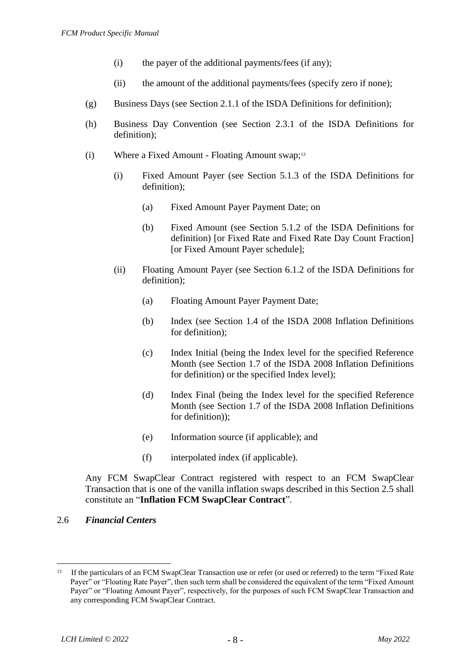- (i) the payer of the additional payments/fees (if any);
- (ii) the amount of the additional payments/fees (specify zero if none);
- (g) Business Days (see Section 2.1.1 of the ISDA Definitions for definition);
- (h) Business Day Convention (see Section 2.3.1 of the ISDA Definitions for definition);
- (i) Where a Fixed Amount Floating Amount swap;<sup>13</sup>
	- (i) Fixed Amount Payer (see Section 5.1.3 of the ISDA Definitions for definition);
		- (a) Fixed Amount Payer Payment Date; on
		- (b) Fixed Amount (see Section 5.1.2 of the ISDA Definitions for definition) [or Fixed Rate and Fixed Rate Day Count Fraction] [or Fixed Amount Payer schedule];
	- (ii) Floating Amount Payer (see Section 6.1.2 of the ISDA Definitions for definition);
		- (a) Floating Amount Payer Payment Date;
		- (b) Index (see Section 1.4 of the ISDA 2008 Inflation Definitions for definition);
		- (c) Index Initial (being the Index level for the specified Reference Month (see Section 1.7 of the ISDA 2008 Inflation Definitions for definition) or the specified Index level);
		- (d) Index Final (being the Index level for the specified Reference Month (see Section 1.7 of the ISDA 2008 Inflation Definitions for definition));
		- (e) Information source (if applicable); and
		- (f) interpolated index (if applicable).

Any FCM SwapClear Contract registered with respect to an FCM SwapClear Transaction that is one of the vanilla inflation swaps described in this Section 2.5 shall constitute an "**Inflation FCM SwapClear Contract**".

# 2.6 *Financial Centers*

<sup>&</sup>lt;sup>13</sup> If the particulars of an FCM SwapClear Transaction use or refer (or used or referred) to the term "Fixed Rate Payer" or "Floating Rate Payer", then such term shall be considered the equivalent of the term "Fixed Amount Payer" or "Floating Amount Payer", respectively, for the purposes of such FCM SwapClear Transaction and any corresponding FCM SwapClear Contract.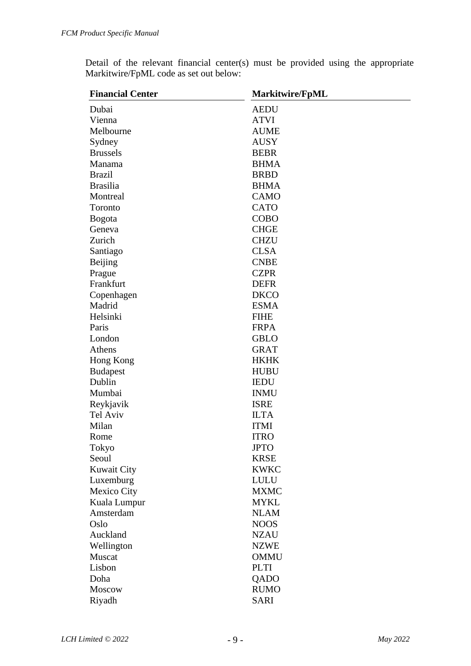|  |  |                                        |  |  |  | Detail of the relevant financial center(s) must be provided using the appropriate |
|--|--|----------------------------------------|--|--|--|-----------------------------------------------------------------------------------|
|  |  | Markitwire/FpML code as set out below: |  |  |  |                                                                                   |

| <b>Financial Center</b> | <b>Markitwire/FpML</b> |
|-------------------------|------------------------|
| Dubai                   | <b>AEDU</b>            |
| Vienna                  | <b>ATVI</b>            |
| Melbourne               | <b>AUME</b>            |
| Sydney                  | <b>AUSY</b>            |
| <b>Brussels</b>         | <b>BEBR</b>            |
| Manama                  | <b>BHMA</b>            |
| <b>Brazil</b>           | <b>BRBD</b>            |
| <b>Brasilia</b>         | <b>BHMA</b>            |
| Montreal                | CAMO                   |
| Toronto                 | <b>CATO</b>            |
| <b>Bogota</b>           | <b>COBO</b>            |
| Geneva                  | <b>CHGE</b>            |
| Zurich                  | <b>CHZU</b>            |
| Santiago                | <b>CLSA</b>            |
| Beijing                 | <b>CNBE</b>            |
| Prague                  | <b>CZPR</b>            |
| Frankfurt               | <b>DEFR</b>            |
| Copenhagen              | <b>DKCO</b>            |
| Madrid                  | <b>ESMA</b>            |
| Helsinki                | <b>FIHE</b>            |
| Paris                   | <b>FRPA</b>            |
| London                  | <b>GBLO</b>            |
| Athens                  | <b>GRAT</b>            |
| Hong Kong               | <b>HKHK</b>            |
| <b>Budapest</b>         | <b>HUBU</b>            |
| Dublin                  | <b>IEDU</b>            |
| Mumbai                  | <b>INMU</b>            |
| Reykjavik               | <b>ISRE</b>            |
| Tel Aviv                | <b>ILTA</b>            |
| Milan                   | <b>ITMI</b>            |
| Rome                    | <b>ITRO</b>            |
| Tokyo                   | <b>JPTO</b>            |
| Seoul                   | <b>KRSE</b>            |
| <b>Kuwait City</b>      | <b>KWKC</b>            |
| Luxemburg               | <b>LULU</b>            |
| Mexico City             | <b>MXMC</b>            |
| Kuala Lumpur            | <b>MYKL</b>            |
| Amsterdam               | <b>NLAM</b>            |
| Oslo                    | <b>NOOS</b>            |
| Auckland                | <b>NZAU</b>            |
| Wellington              | <b>NZWE</b>            |
| Muscat                  | <b>OMMU</b>            |
| Lisbon                  | <b>PLTI</b>            |
| Doha                    | QADO                   |
| Moscow                  | <b>RUMO</b>            |
| Riyadh                  | <b>SARI</b>            |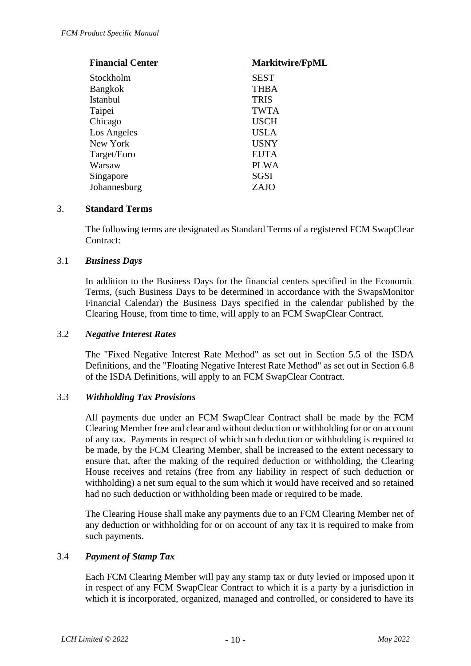| <b>Financial Center</b> | <b>Markitwire/FpML</b> |
|-------------------------|------------------------|
| Stockholm               | <b>SEST</b>            |
| <b>Bangkok</b>          | <b>THBA</b>            |
| Istanbul                | <b>TRIS</b>            |
| Taipei                  | <b>TWTA</b>            |
| Chicago                 | <b>USCH</b>            |
| Los Angeles             | <b>USLA</b>            |
| New York                | <b>USNY</b>            |
| Target/Euro             | <b>EUTA</b>            |
| Warsaw                  | <b>PLWA</b>            |
| Singapore               | <b>SGSI</b>            |
| Johannesburg            | ZAJO                   |

### 3. **Standard Terms**

The following terms are designated as Standard Terms of a registered FCM SwapClear Contract:

### 3.1 *Business Days*

In addition to the Business Days for the financial centers specified in the Economic Terms, (such Business Days to be determined in accordance with the SwapsMonitor Financial Calendar) the Business Days specified in the calendar published by the Clearing House, from time to time, will apply to an FCM SwapClear Contract.

#### 3.2 *Negative Interest Rates*

The "Fixed Negative Interest Rate Method" as set out in Section 5.5 of the ISDA Definitions, and the "Floating Negative Interest Rate Method" as set out in Section 6.8 of the ISDA Definitions, will apply to an FCM SwapClear Contract.

## 3.3 *Withholding Tax Provisions*

All payments due under an FCM SwapClear Contract shall be made by the FCM Clearing Member free and clear and without deduction or withholding for or on account of any tax. Payments in respect of which such deduction or withholding is required to be made, by the FCM Clearing Member, shall be increased to the extent necessary to ensure that, after the making of the required deduction or withholding, the Clearing House receives and retains (free from any liability in respect of such deduction or withholding) a net sum equal to the sum which it would have received and so retained had no such deduction or withholding been made or required to be made.

The Clearing House shall make any payments due to an FCM Clearing Member net of any deduction or withholding for or on account of any tax it is required to make from such payments.

#### 3.4 *Payment of Stamp Tax*

Each FCM Clearing Member will pay any stamp tax or duty levied or imposed upon it in respect of any FCM SwapClear Contract to which it is a party by a jurisdiction in which it is incorporated, organized, managed and controlled, or considered to have its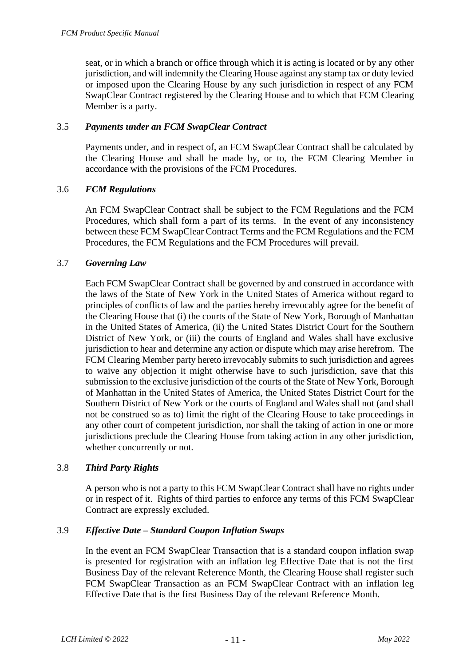seat, or in which a branch or office through which it is acting is located or by any other jurisdiction, and will indemnify the Clearing House against any stamp tax or duty levied or imposed upon the Clearing House by any such jurisdiction in respect of any FCM SwapClear Contract registered by the Clearing House and to which that FCM Clearing Member is a party.

## 3.5 *Payments under an FCM SwapClear Contract*

Payments under, and in respect of, an FCM SwapClear Contract shall be calculated by the Clearing House and shall be made by, or to, the FCM Clearing Member in accordance with the provisions of the FCM Procedures.

## 3.6 *FCM Regulations*

An FCM SwapClear Contract shall be subject to the FCM Regulations and the FCM Procedures, which shall form a part of its terms. In the event of any inconsistency between these FCM SwapClear Contract Terms and the FCM Regulations and the FCM Procedures, the FCM Regulations and the FCM Procedures will prevail.

## 3.7 *Governing Law*

Each FCM SwapClear Contract shall be governed by and construed in accordance with the laws of the State of New York in the United States of America without regard to principles of conflicts of law and the parties hereby irrevocably agree for the benefit of the Clearing House that (i) the courts of the State of New York, Borough of Manhattan in the United States of America, (ii) the United States District Court for the Southern District of New York, or (iii) the courts of England and Wales shall have exclusive jurisdiction to hear and determine any action or dispute which may arise herefrom. The FCM Clearing Member party hereto irrevocably submits to such jurisdiction and agrees to waive any objection it might otherwise have to such jurisdiction, save that this submission to the exclusive jurisdiction of the courts of the State of New York, Borough of Manhattan in the United States of America, the United States District Court for the Southern District of New York or the courts of England and Wales shall not (and shall not be construed so as to) limit the right of the Clearing House to take proceedings in any other court of competent jurisdiction, nor shall the taking of action in one or more jurisdictions preclude the Clearing House from taking action in any other jurisdiction, whether concurrently or not.

## 3.8 *Third Party Rights*

A person who is not a party to this FCM SwapClear Contract shall have no rights under or in respect of it. Rights of third parties to enforce any terms of this FCM SwapClear Contract are expressly excluded.

# 3.9 *Effective Date – Standard Coupon Inflation Swaps*

In the event an FCM SwapClear Transaction that is a standard coupon inflation swap is presented for registration with an inflation leg Effective Date that is not the first Business Day of the relevant Reference Month, the Clearing House shall register such FCM SwapClear Transaction as an FCM SwapClear Contract with an inflation leg Effective Date that is the first Business Day of the relevant Reference Month.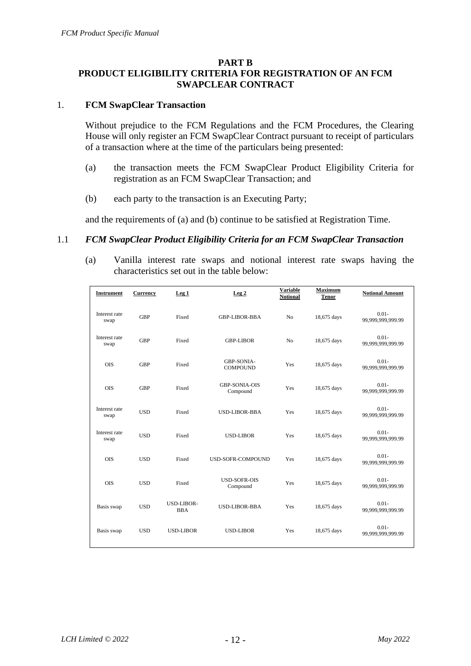## **PART B**

## **PRODUCT ELIGIBILITY CRITERIA FOR REGISTRATION OF AN FCM SWAPCLEAR CONTRACT**

#### 1. **FCM SwapClear Transaction**

Without prejudice to the FCM Regulations and the FCM Procedures, the Clearing House will only register an FCM SwapClear Contract pursuant to receipt of particulars of a transaction where at the time of the particulars being presented:

- (a) the transaction meets the FCM SwapClear Product Eligibility Criteria for registration as an FCM SwapClear Transaction; and
- (b) each party to the transaction is an Executing Party;

and the requirements of (a) and (b) continue to be satisfied at Registration Time.

#### 1.1 *FCM SwapClear Product Eligibility Criteria for an FCM SwapClear Transaction*

(a) Vanilla interest rate swaps and notional interest rate swaps having the characteristics set out in the table below:

| <b>Instrument</b>     | <b>Currency</b> | Leg <sub>1</sub>                | Leg <sub>2</sub>                     | <b>Variable</b><br><b>Notional</b> | <b>Maximum</b><br><b>Tenor</b> | <b>Notional Amount</b>        |
|-----------------------|-----------------|---------------------------------|--------------------------------------|------------------------------------|--------------------------------|-------------------------------|
| Interest rate<br>swap | <b>GBP</b>      | Fixed                           | <b>GBP-LIBOR-BBA</b>                 | N <sub>o</sub>                     | 18,675 days                    | $0.01 -$<br>99,999,999,999.99 |
| Interest rate<br>swap | <b>GBP</b>      | Fixed                           | <b>GBP-LIBOR</b>                     | N <sub>o</sub>                     | 18,675 days                    | $0.01 -$<br>99,999,999,999.99 |
| <b>OIS</b>            | <b>GBP</b>      | Fixed                           | <b>GBP-SONIA-</b><br><b>COMPOUND</b> | Yes                                | 18,675 days                    | $0.01 -$<br>99,999,999,999.99 |
| <b>OIS</b>            | <b>GBP</b>      | Fixed                           | <b>GBP-SONIA-OIS</b><br>Compound     | Yes                                | 18,675 days                    | $0.01 -$<br>99,999,999,999.99 |
| Interest rate<br>swap | <b>USD</b>      | Fixed                           | <b>USD-LIBOR-BBA</b>                 | Yes                                | 18,675 days                    | $0.01 -$<br>99,999,999,999.99 |
| Interest rate<br>swap | <b>USD</b>      | Fixed                           | <b>USD-LIBOR</b>                     | Yes                                | 18,675 days                    | $0.01 -$<br>99,999,999,999.99 |
| <b>OIS</b>            | <b>USD</b>      | Fixed                           | <b>USD-SOFR-COMPOUND</b>             | Yes                                | 18,675 days                    | $0.01 -$<br>99,999,999,999.99 |
| <b>OIS</b>            | <b>USD</b>      | Fixed                           | <b>USD-SOFR-OIS</b><br>Compound      | Yes                                | 18,675 days                    | $0.01 -$<br>99,999,999,999.99 |
| Basis swap            | <b>USD</b>      | <b>USD-LIBOR-</b><br><b>BBA</b> | <b>USD-LIBOR-BBA</b>                 | Yes                                | 18,675 days                    | $0.01 -$<br>99,999,999,999.99 |
| Basis swap            | <b>USD</b>      | <b>USD-LIBOR</b>                | <b>USD-LIBOR</b>                     | Yes                                | 18,675 days                    | $0.01 -$<br>99,999,999,999.99 |
|                       |                 |                                 |                                      |                                    |                                |                               |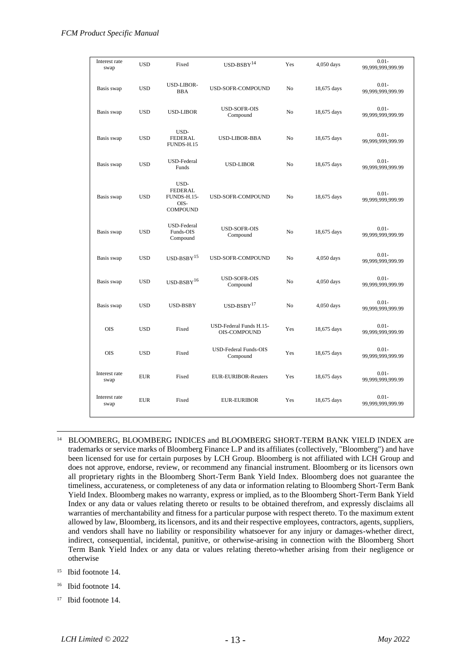| Interest rate<br>swap | <b>USD</b> | Fixed                                                                   | $\text{USD-BSBY}\rm^{14}$                      | Yes            | 4,050 days  | $0.01 -$<br>99,999,999,999.99 |
|-----------------------|------------|-------------------------------------------------------------------------|------------------------------------------------|----------------|-------------|-------------------------------|
| Basis swap            | <b>USD</b> | USD-LIBOR-<br><b>BBA</b>                                                | USD-SOFR-COMPOUND                              | No             | 18,675 days | $0.01 -$<br>99,999,999,999.99 |
| Basis swap            | <b>USD</b> | <b>USD-LIBOR</b>                                                        | <b>USD-SOFR-OIS</b><br>Compound                | No             | 18,675 days | $0.01 -$<br>99,999,999,999.99 |
| Basis swap            | <b>USD</b> | USD-<br><b>FEDERAL</b><br>FUNDS-H.15                                    | <b>USD-LIBOR-BBA</b>                           | No             | 18,675 days | $0.01 -$<br>99,999,999,999.99 |
| Basis swap            | <b>USD</b> | <b>USD-Federal</b><br>Funds                                             | <b>USD-LIBOR</b>                               | No             | 18,675 days | $0.01 -$<br>99,999,999,999.99 |
| Basis swap            | <b>USD</b> | USD-<br><b>FEDERAL</b><br><b>FUNDS-H.15-</b><br>OIS-<br><b>COMPOUND</b> | USD-SOFR-COMPOUND                              | N <sub>o</sub> | 18,675 days | $0.01 -$<br>99,999,999,999.99 |
| Basis swap            | <b>USD</b> | <b>USD-Federal</b><br>Funds-OIS<br>Compound                             | USD-SOFR-OIS<br>Compound                       | N <sub>o</sub> | 18,675 days | $0.01 -$<br>99,999,999,999.99 |
| Basis swap            | <b>USD</b> | $USD-BSBY$ <sup>15</sup>                                                | USD-SOFR-COMPOUND                              | N <sub>o</sub> | 4,050 days  | $0.01 -$<br>99,999,999,999.99 |
| Basis swap            | <b>USD</b> | $USD-BSBY$ <sup>16</sup>                                                | <b>USD-SOFR-OIS</b><br>Compound                | N <sub>o</sub> | 4,050 days  | $0.01 -$<br>99,999,999,999.99 |
| Basis swap            | <b>USD</b> | <b>USD-BSBY</b>                                                         | $USD-BSBY$ <sup>17</sup>                       | N <sub>o</sub> | 4,050 days  | $0.01 -$<br>99,999,999,999.99 |
| <b>OIS</b>            | <b>USD</b> | Fixed                                                                   | USD-Federal Funds H.15-<br><b>OIS-COMPOUND</b> | Yes            | 18,675 days | $0.01 -$<br>99,999,999,999.99 |
| <b>OIS</b>            | <b>USD</b> | Fixed                                                                   | <b>USD-Federal Funds-OIS</b><br>Compound       | Yes            | 18,675 days | $0.01 -$<br>99,999,999,999.99 |
| Interest rate<br>swap | <b>EUR</b> | Fixed                                                                   | EUR-EURIBOR-Reuters                            | Yes            | 18,675 days | $0.01 -$<br>99,999,999,999.99 |
| Interest rate<br>swap | <b>EUR</b> | Fixed                                                                   | <b>EUR-EURIBOR</b>                             | Yes            | 18,675 days | $0.01 -$<br>99,999,999,999.99 |

- 14 BLOOMBERG, BLOOMBERG INDICES and BLOOMBERG SHORT-TERM BANK YIELD INDEX are trademarks or service marks of Bloomberg Finance L.P and its affiliates (collectively, "Bloomberg") and have been licensed for use for certain purposes by LCH Group. Bloomberg is not affiliated with LCH Group and does not approve, endorse, review, or recommend any financial instrument. Bloomberg or its licensors own all proprietary rights in the Bloomberg Short-Term Bank Yield Index. Bloomberg does not guarantee the timeliness, accurateness, or completeness of any data or information relating to Bloomberg Short-Term Bank Yield Index. Bloomberg makes no warranty, express or implied, as to the Bloomberg Short-Term Bank Yield Index or any data or values relating thereto or results to be obtained therefrom, and expressly disclaims all warranties of merchantability and fitness for a particular purpose with respect thereto. To the maximum extent allowed by law, Bloomberg, its licensors, and its and their respective employees, contractors, agents, suppliers, and vendors shall have no liability or responsibility whatsoever for any injury or damages-whether direct, indirect, consequential, incidental, punitive, or otherwise-arising in connection with the Bloomberg Short Term Bank Yield Index or any data or values relating thereto-whether arising from their negligence or otherwise
- 15 Ibid footnote 14.
- 16 Ibid footnote 14.
- 17 Ibid footnote 14.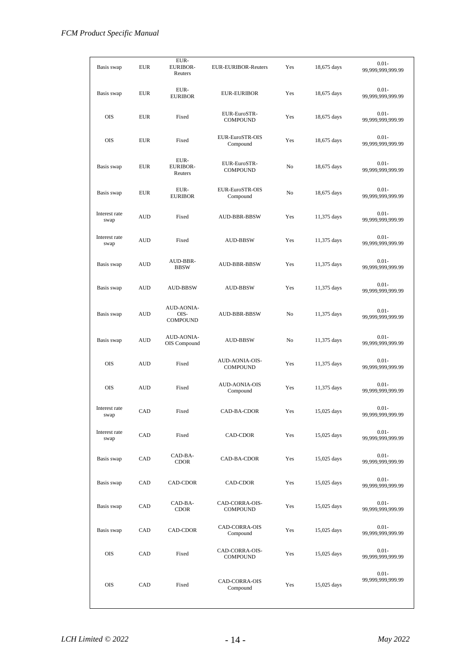| Basis swap            | <b>EUR</b> | EUR-<br><b>EURIBOR-</b><br>Reuters    | <b>EUR-EURIBOR-Reuters</b>        | Yes | 18,675 days | $0.01 -$<br>99,999,999,999.99 |
|-----------------------|------------|---------------------------------------|-----------------------------------|-----|-------------|-------------------------------|
| Basis swap            | <b>EUR</b> | EUR-<br><b>EURIBOR</b>                | <b>EUR-EURIBOR</b>                | Yes | 18,675 days | $0.01 -$<br>99,999,999,999.99 |
| <b>OIS</b>            | <b>EUR</b> | Fixed                                 | EUR-EuroSTR-<br><b>COMPOUND</b>   | Yes | 18,675 days | $0.01 -$<br>99,999,999,999.99 |
| <b>OIS</b>            | <b>EUR</b> | Fixed                                 | EUR-EuroSTR-OIS<br>Compound       | Yes | 18,675 days | $0.01 -$<br>99,999,999,999.99 |
| Basis swap            | <b>EUR</b> | EUR-<br><b>EURIBOR-</b><br>Reuters    | EUR-EuroSTR-<br><b>COMPOUND</b>   | No  | 18,675 days | $0.01 -$<br>99,999,999,999.99 |
| Basis swap            | <b>EUR</b> | EUR-<br><b>EURIBOR</b>                | EUR-EuroSTR-OIS<br>Compound       | No  | 18,675 days | $0.01 -$<br>99,999,999,999.99 |
| Interest rate<br>swap | <b>AUD</b> | Fixed                                 | <b>AUD-BBR-BBSW</b>               | Yes | 11,375 days | $0.01 -$<br>99,999,999,999.99 |
| Interest rate<br>swap | <b>AUD</b> | Fixed                                 | <b>AUD-BBSW</b>                   | Yes | 11,375 days | $0.01 -$<br>99,999,999,999.99 |
| Basis swap            | <b>AUD</b> | AUD-BBR-<br><b>BBSW</b>               | AUD-BBR-BBSW                      | Yes | 11,375 days | $0.01 -$<br>99,999,999,999.99 |
| Basis swap            | <b>AUD</b> | AUD-BBSW                              | <b>AUD-BBSW</b>                   | Yes | 11,375 days | $0.01 -$<br>99,999,999,999.99 |
| Basis swap            | <b>AUD</b> | AUD-AONIA-<br>OIS-<br><b>COMPOUND</b> | AUD-BBR-BBSW                      | No  | 11,375 days | $0.01 -$<br>99,999,999,999.99 |
| Basis swap            | <b>AUD</b> | <b>AUD-AONIA-</b><br>OIS Compound     | <b>AUD-BBSW</b>                   | No  | 11,375 days | $0.01 -$<br>99,999,999,999.99 |
| <b>OIS</b>            | <b>AUD</b> | Fixed                                 | AUD-AONIA-OIS-<br><b>COMPOUND</b> | Yes | 11,375 days | $0.01 -$<br>99,999,999,999.99 |
| <b>OIS</b>            | <b>AUD</b> | Fixed                                 | <b>AUD-AONIA-OIS</b><br>Compound  | Yes | 11,375 days | $0.01 -$<br>99,999,999,999.99 |
| Interest rate<br>swap | CAD        | Fixed                                 | CAD-BA-CDOR                       | Yes | 15,025 days | $0.01 -$<br>99,999,999,999.99 |
| Interest rate<br>swap | CAD        | Fixed                                 | CAD-CDOR                          | Yes | 15,025 days | $0.01 -$<br>99,999,999,999.99 |
| Basis swap            | CAD        | CAD-BA-<br><b>CDOR</b>                | CAD-BA-CDOR                       | Yes | 15,025 days | $0.01 -$<br>99,999,999,999.99 |
| Basis swap            | CAD        | CAD-CDOR                              | CAD-CDOR                          | Yes | 15,025 days | $0.01 -$<br>99,999,999,999.99 |
| Basis swap            | CAD        | CAD-BA-<br><b>CDOR</b>                | CAD-CORRA-OIS-<br><b>COMPOUND</b> | Yes | 15,025 days | $0.01 -$<br>99,999,999,999.99 |
| Basis swap            | CAD        | CAD-CDOR                              | CAD-CORRA-OIS<br>Compound         | Yes | 15,025 days | $0.01 -$<br>99,999,999,999.99 |
| OIS                   | CAD        | Fixed                                 | CAD-CORRA-OIS-<br><b>COMPOUND</b> | Yes | 15,025 days | $0.01 -$<br>99,999,999,999.99 |
| OIS                   | CAD        | Fixed                                 | CAD-CORRA-OIS<br>Compound         | Yes | 15,025 days | $0.01 -$<br>99,999,999,999.99 |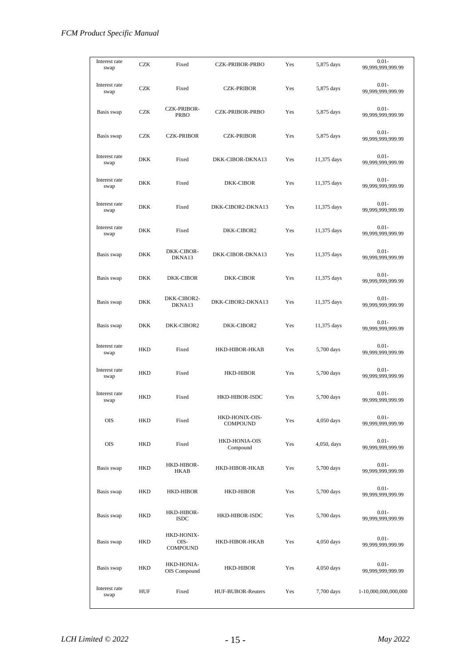| Interest rate<br>swap | <b>CZK</b> | Fixed                                 | <b>CZK-PRIBOR-PRBO</b>            | Yes | 5,875 days   | $0.01 -$<br>99,999,999,999.99 |
|-----------------------|------------|---------------------------------------|-----------------------------------|-----|--------------|-------------------------------|
| Interest rate<br>swap | <b>CZK</b> | Fixed                                 | <b>CZK-PRIBOR</b>                 | Yes | 5,875 days   | $0.01 -$<br>99,999,999,999.99 |
| Basis swap            | <b>CZK</b> | <b>CZK-PRIBOR-</b><br><b>PRBO</b>     | <b>CZK-PRIBOR-PRBO</b>            | Yes | 5,875 days   | $0.01 -$<br>99,999,999,999.99 |
| Basis swap            | <b>CZK</b> | <b>CZK-PRIBOR</b>                     | <b>CZK-PRIBOR</b>                 | Yes | 5,875 days   | $0.01 -$<br>99,999,999,999.99 |
| Interest rate<br>swap | DKK        | Fixed                                 | DKK-CIBOR-DKNA13                  | Yes | 11,375 days  | $0.01 -$<br>99,999,999,999.99 |
| Interest rate<br>swap | <b>DKK</b> | Fixed                                 | DKK-CIBOR                         | Yes | 11,375 days  | $0.01 -$<br>99,999,999,999.99 |
| Interest rate<br>swap | DKK        | Fixed                                 | DKK-CIBOR2-DKNA13                 | Yes | 11,375 days  | $0.01 -$<br>99,999,999,999.99 |
| Interest rate<br>swap | <b>DKK</b> | Fixed                                 | DKK-CIBOR2                        | Yes | 11,375 days  | $0.01 -$<br>99,999,999,999.99 |
| Basis swap            | DKK        | DKK-CIBOR-<br>DKNA13                  | DKK-CIBOR-DKNA13                  | Yes | 11,375 days  | $0.01 -$<br>99,999,999,999.99 |
| Basis swap            | <b>DKK</b> | <b>DKK-CIBOR</b>                      | DKK-CIBOR                         | Yes | 11,375 days  | $0.01 -$<br>99,999,999,999.99 |
| Basis swap            | DKK        | DKK-CIBOR2-<br>DKNA13                 | DKK-CIBOR2-DKNA13                 | Yes | 11,375 days  | $0.01 -$<br>99,999,999,999.99 |
| Basis swap            | DKK        | DKK-CIBOR2                            | DKK-CIBOR2                        | Yes | 11,375 days  | $0.01 -$<br>99,999,999,999.99 |
| Interest rate<br>swap | HKD        | Fixed                                 | HKD-HIBOR-HKAB                    | Yes | 5,700 days   | $0.01 -$<br>99,999,999,999.99 |
| Interest rate<br>swap | <b>HKD</b> | Fixed                                 | <b>HKD-HIBOR</b>                  | Yes | 5,700 days   | $0.01 -$<br>99,999,999,999.99 |
| Interest rate<br>swap | HKD        | Fixed                                 | HKD-HIBOR-ISDC                    | Yes | 5,700 days   | $0.01 -$<br>99,999,999,999.99 |
| OIS                   | <b>HKD</b> | Fixed                                 | HKD-HONIX-OIS-<br><b>COMPOUND</b> | Yes | $4,050$ days | $0.01 -$<br>99,999,999,999.99 |
| OIS                   | HKD        | Fixed                                 | HKD-HONIA-OIS<br>Compound         | Yes | 4,050, days  | $0.01 -$<br>99,999,999,999.99 |
| Basis swap            | <b>HKD</b> | HKD-HIBOR-<br><b>HKAB</b>             | HKD-HIBOR-HKAB                    | Yes | 5,700 days   | $0.01 -$<br>99,999,999,999.99 |
| Basis swap            | HKD        | <b>HKD-HIBOR</b>                      | <b>HKD-HIBOR</b>                  | Yes | 5,700 days   | $0.01 -$<br>99,999,999,999.99 |
| Basis swap            | HKD        | HKD-HIBOR-<br><b>ISDC</b>             | HKD-HIBOR-ISDC                    | Yes | 5,700 days   | $0.01 -$<br>99,999,999,999.99 |
| Basis swap            | HKD        | HKD-HONIX-<br>OIS-<br><b>COMPOUND</b> | HKD-HIBOR-HKAB                    | Yes | 4,050 days   | $0.01 -$<br>99,999,999,999.99 |
| Basis swap            | HKD        | HKD-HONIA-<br>OIS Compound            | HKD-HIBOR                         | Yes | 4,050 days   | $0.01 -$<br>99,999,999,999.99 |
| Interest rate<br>swap | HUF        | Fixed                                 | HUF-BUBOR-Reuters                 | Yes | 7,700 days   | 1-10,000,000,000,000          |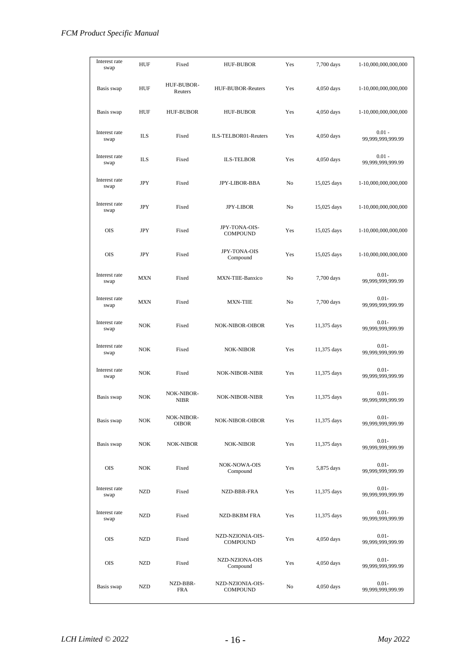| Interest rate<br>swap | HUF        | Fixed                     | <b>HUF-BUBOR</b>                    | Yes | 7,700 days   | 1-10,000,000,000,000          |
|-----------------------|------------|---------------------------|-------------------------------------|-----|--------------|-------------------------------|
| Basis swap            | HUF        | HUF-BUBOR-<br>Reuters     | HUF-BUBOR-Reuters                   | Yes | 4,050 days   | 1-10,000,000,000,000          |
| Basis swap            | HUF        | <b>HUF-BUBOR</b>          | <b>HUF-BUBOR</b>                    | Yes | 4,050 days   | 1-10,000,000,000,000          |
| Interest rate<br>swap | <b>ILS</b> | Fixed                     | ILS-TELBOR01-Reuters                | Yes | 4,050 days   | $0.01 -$<br>99,999,999,999.99 |
| Interest rate<br>swap | <b>ILS</b> | Fixed                     | <b>ILS-TELBOR</b>                   | Yes | 4,050 days   | $0.01 -$<br>99,999,999,999.99 |
| Interest rate<br>swap | JPY        | Fixed                     | JPY-LIBOR-BBA                       | No  | 15,025 days  | 1-10,000,000,000,000          |
| Interest rate<br>swap | JPY        | Fixed                     | <b>JPY-LIBOR</b>                    | No  | 15,025 days  | 1-10,000,000,000,000          |
| <b>OIS</b>            | JPY        | Fixed                     | JPY-TONA-OIS-<br><b>COMPOUND</b>    | Yes | 15,025 days  | 1-10,000,000,000,000          |
| <b>OIS</b>            | JPY        | Fixed                     | <b>JPY-TONA-OIS</b><br>Compound     | Yes | 15,025 days  | 1-10,000,000,000,000          |
| Interest rate<br>swap | MXN        | Fixed                     | MXN-TIIE-Banxico                    | No  | 7,700 days   | $0.01 -$<br>99,999,999,999.99 |
| Interest rate<br>swap | MXN        | Fixed                     | <b>MXN-TIIE</b>                     | No  | 7,700 days   | $0.01 -$<br>99,999,999,999.99 |
| Interest rate<br>swap | <b>NOK</b> | Fixed                     | <b>NOK-NIBOR-OIBOR</b>              | Yes | 11,375 days  | $0.01 -$<br>99,999,999,999.99 |
| Interest rate<br>swap | <b>NOK</b> | Fixed                     | <b>NOK-NIBOR</b>                    | Yes | 11,375 days  | $0.01 -$<br>99,999,999,999.99 |
| Interest rate<br>swap | <b>NOK</b> | Fixed                     | <b>NOK-NIBOR-NIBR</b>               | Yes | 11,375 days  | $0.01 -$<br>99,999,999,999.99 |
| Basis swap            | <b>NOK</b> | NOK-NIBOR-<br><b>NIBR</b> | <b>NOK-NIBOR-NIBR</b>               | Yes | 11,375 days  | 0.01-<br>99,999,999,999.99    |
| Basis swap            | <b>NOK</b> | NOK-NIBOR-<br>OIBOR       | NOK-NIBOR-OIBOR                     | Yes | 11,375 days  | $0.01 -$<br>99,999,999,999.99 |
| Basis swap            | <b>NOK</b> | <b>NOK-NIBOR</b>          | NOK-NIBOR                           | Yes | 11,375 days  | $0.01 -$<br>99,999,999,999.99 |
| OIS                   | <b>NOK</b> | Fixed                     | <b>NOK-NOWA-OIS</b><br>Compound     | Yes | 5,875 days   | $0.01 -$<br>99,999,999,999.99 |
| Interest rate<br>swap | NZD        | Fixed                     | NZD-BBR-FRA                         | Yes | 11,375 days  | $0.01 -$<br>99,999,999,999.99 |
| Interest rate<br>swap | <b>NZD</b> | Fixed                     | NZD-BKBM FRA                        | Yes | 11,375 days  | $0.01 -$<br>99,999,999,999.99 |
| <b>OIS</b>            | <b>NZD</b> | Fixed                     | NZD-NZIONIA-OIS-<br><b>COMPOUND</b> | Yes | 4,050 days   | $0.01 -$<br>99,999,999,999.99 |
| OIS                   | <b>NZD</b> | Fixed                     | NZD-NZIONA-OIS<br>Compound          | Yes | $4,050$ days | $0.01 -$<br>99,999,999,999.99 |
| Basis swap            | NZD        | NZD-BBR-<br><b>FRA</b>    | NZD-NZIONIA-OIS-<br><b>COMPOUND</b> | No  | 4,050 days   | $0.01 -$<br>99,999,999,999.99 |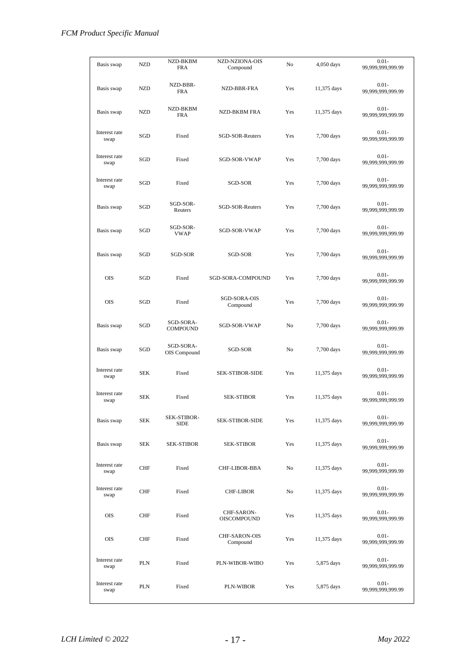| Basis swap            | <b>NZD</b> | NZD-BKBM<br><b>FRA</b>       | NZD-NZIONA-OIS<br>Compound       | No  | 4,050 days  | $0.01 -$<br>99,999,999,999.99 |
|-----------------------|------------|------------------------------|----------------------------------|-----|-------------|-------------------------------|
|                       |            |                              |                                  |     |             |                               |
| Basis swap            | NZD        | NZD-BBR-<br><b>FRA</b>       | NZD-BBR-FRA                      | Yes | 11,375 days | $0.01 -$<br>99,999,999,999.99 |
| Basis swap            | <b>NZD</b> | NZD-BKBM<br><b>FRA</b>       | <b>NZD-BKBM FRA</b>              | Yes | 11,375 days | $0.01 -$<br>99,999,999,999.99 |
| Interest rate<br>swap | SGD        | Fixed                        | SGD-SOR-Reuters                  | Yes | 7,700 days  | $0.01 -$<br>99,999,999,999.99 |
| Interest rate<br>swap | SGD        | Fixed                        | SGD-SOR-VWAP                     | Yes | 7,700 days  | $0.01 -$<br>99,999,999,999.99 |
| Interest rate<br>swap | SGD        | Fixed                        | SGD-SOR                          | Yes | 7,700 days  | $0.01 -$<br>99,999,999,999.99 |
| Basis swap            | SGD        | SGD-SOR-<br>Reuters          | SGD-SOR-Reuters                  | Yes | 7,700 days  | $0.01 -$<br>99,999,999,999.99 |
| Basis swap            | SGD        | SGD-SOR-<br><b>VWAP</b>      | SGD-SOR-VWAP                     | Yes | 7,700 days  | $0.01 -$<br>99,999,999,999.99 |
| Basis swap            | SGD        | SGD-SOR                      | SGD-SOR                          | Yes | 7,700 days  | $0.01 -$<br>99,999,999,999.99 |
| <b>OIS</b>            | SGD        | Fixed                        | SGD-SORA-COMPOUND                | Yes | 7,700 days  | $0.01 -$<br>99,999,999,999.99 |
| <b>OIS</b>            | SGD        | Fixed                        | SGD-SORA-OIS<br>Compound         | Yes | 7,700 days  | $0.01 -$<br>99,999,999,999.99 |
| Basis swap            | SGD        | SGD-SORA-<br><b>COMPOUND</b> | SGD-SOR-VWAP                     | No  | 7,700 days  | $0.01 -$<br>99,999,999,999.99 |
| Basis swap            | SGD        | SGD-SORA-<br>OIS Compound    | SGD-SOR                          | No  | 7,700 days  | $0.01 -$<br>99,999,999,999.99 |
| Interest rate<br>swap | SEK        | Fixed                        | <b>SEK-STIBOR-SIDE</b>           | Yes | 11,375 days | $0.01 -$<br>99,999,999,999.99 |
| Interest rate<br>swap | SEK        | Fixed                        | <b>SEK-STIBOR</b>                | Yes | 11,375 days | $0.01 -$<br>99,999,999,999.99 |
| Basis swap            | SEK        | SEK-STIBOR-<br>SIDE          | SEK-STIBOR-SIDE                  | Yes | 11,375 days | $0.01 -$<br>99,999,999,999.99 |
| Basis swap            | <b>SEK</b> | <b>SEK-STIBOR</b>            | SEK-STIBOR                       | Yes | 11,375 days | $0.01 -$<br>99,999,999,999.99 |
| Interest rate<br>swap | CHF        | Fixed                        | CHF-LIBOR-BBA                    | No  | 11,375 days | $0.01 -$<br>99,999,999,999.99 |
| Interest rate<br>swap | <b>CHF</b> | Fixed                        | <b>CHF-LIBOR</b>                 | No  | 11,375 days | $0.01 -$<br>99,999,999,999.99 |
| <b>OIS</b>            | <b>CHF</b> | Fixed                        | CHF-SARON-<br><b>OISCOMPOUND</b> | Yes | 11,375 days | $0.01 -$<br>99,999,999,999.99 |
| <b>OIS</b>            | <b>CHF</b> | Fixed                        | CHF-SARON-OIS<br>Compound        | Yes | 11,375 days | $0.01 -$<br>99,999,999,999.99 |
| Interest rate<br>swap | PLN        | Fixed                        | PLN-WIBOR-WIBO                   | Yes | 5,875 days  | $0.01 -$<br>99,999,999,999.99 |
| Interest rate<br>swap | PLN        | Fixed                        | PLN-WIBOR                        | Yes | 5,875 days  | $0.01 -$<br>99,999,999,999.99 |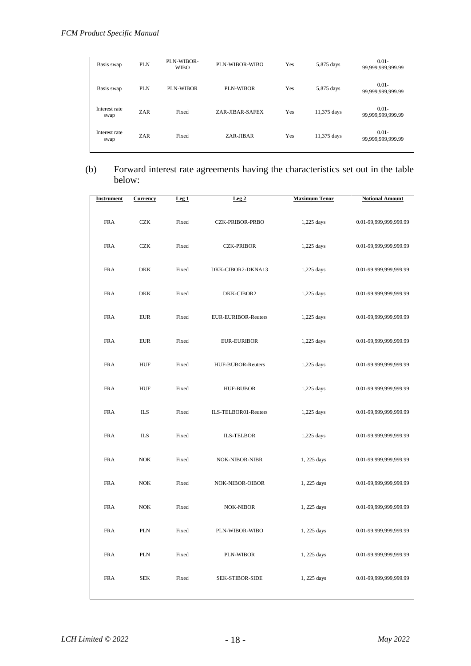| Basis swap            | <b>PLN</b> | PLN-WIBOR-<br><b>WIBO</b> | PLN-WIBOR-WIBO  | Yes | 5,875 days  | $0.01 -$<br>99,999,999,999.99 |
|-----------------------|------------|---------------------------|-----------------|-----|-------------|-------------------------------|
| Basis swap            | <b>PLN</b> | PLN-WIBOR                 | PLN-WIBOR       | Yes | 5,875 days  | $0.01 -$<br>99,999,999,999.99 |
| Interest rate<br>swap | ZAR        | Fixed                     | ZAR-JIBAR-SAFEX | Yes | 11,375 days | $0.01 -$<br>99,999,999,999.99 |
| Interest rate<br>swap | <b>ZAR</b> | Fixed                     | ZAR-JIBAR       | Yes | 11,375 days | $0.01 -$<br>99,999,999,999.99 |

(b) Forward interest rate agreements having the characteristics set out in the table below:

| <b>Instrument</b> | <b>Currency</b>   | Leg <sub>1</sub> | Leg2                   | <b>Maximum Tenor</b> | <b>Notional Amount</b> |
|-------------------|-------------------|------------------|------------------------|----------------------|------------------------|
| <b>FRA</b>        | <b>CZK</b>        | Fixed            | CZK-PRIBOR-PRBO        | 1,225 days           | 0.01-99,999,999,999.99 |
| <b>FRA</b>        | <b>CZK</b>        | Fixed            | <b>CZK-PRIBOR</b>      | 1,225 days           | 0.01-99,999,999,999.99 |
| <b>FRA</b>        | <b>DKK</b>        | Fixed            | DKK-CIBOR2-DKNA13      | 1,225 days           | 0.01-99,999,999,999.99 |
| <b>FRA</b>        | <b>DKK</b>        | Fixed            | DKK-CIBOR2             | 1,225 days           | 0.01-99,999,999,999.99 |
| <b>FRA</b>        | <b>EUR</b>        | Fixed            | EUR-EURIBOR-Reuters    | 1,225 days           | 0.01-99,999,999,999.99 |
| <b>FRA</b>        | <b>EUR</b>        | Fixed            | <b>EUR-EURIBOR</b>     | 1,225 days           | 0.01-99,999,999,999.99 |
| <b>FRA</b>        | <b>HUF</b>        | Fixed            | HUF-BUBOR-Reuters      | 1,225 days           | 0.01-99,999,999,999.99 |
| <b>FRA</b>        | <b>HUF</b>        | Fixed            | <b>HUF-BUBOR</b>       | 1,225 days           | 0.01-99,999,999,999.99 |
| <b>FRA</b>        | <b>ILS</b>        | Fixed            | ILS-TELBOR01-Reuters   | 1,225 days           | 0.01-99,999,999,999.99 |
| <b>FRA</b>        | <b>ILS</b>        | Fixed            | <b>ILS-TELBOR</b>      | 1,225 days           | 0.01-99,999,999,999.99 |
| <b>FRA</b>        | NOK               | Fixed            | NOK-NIBOR-NIBR         | 1, 225 days          | 0.01-99,999,999,999.99 |
| <b>FRA</b>        | NOK               | Fixed            | NOK-NIBOR-OIBOR        | 1, 225 days          | 0.01-99,999,999,999.99 |
| <b>FRA</b>        | $_{\mathrm{NOK}}$ | Fixed            | <b>NOK-NIBOR</b>       | 1, 225 days          | 0.01-99,999,999,999.99 |
| <b>FRA</b>        | <b>PLN</b>        | Fixed            | PLN-WIBOR-WIBO         | 1, 225 days          | 0.01-99,999,999,999.99 |
| <b>FRA</b>        | <b>PLN</b>        | Fixed            | <b>PLN-WIBOR</b>       | 1, 225 days          | 0.01-99,999,999,999.99 |
| <b>FRA</b>        | <b>SEK</b>        | Fixed            | <b>SEK-STIBOR-SIDE</b> | 1, 225 days          | 0.01-99,999,999,999.99 |
|                   |                   |                  |                        |                      |                        |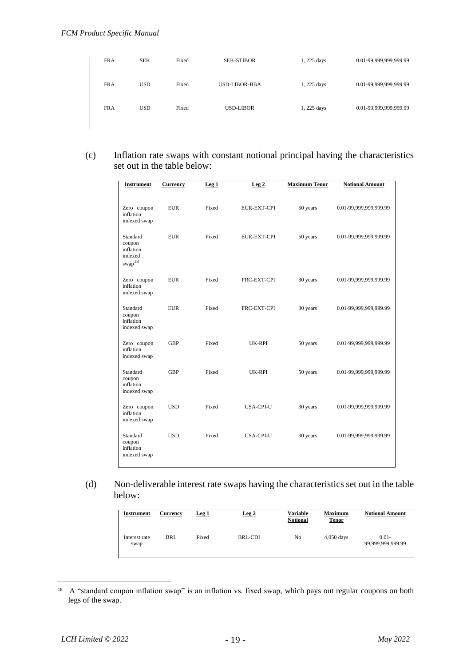| <b>FRA</b> | <b>SEK</b> | Fixed | <b>SEK-STIBOR</b>    | 1, 225 days | 0.01-99,999,999,999.99 |
|------------|------------|-------|----------------------|-------------|------------------------|
|            |            |       |                      |             |                        |
|            |            |       |                      |             |                        |
|            |            |       |                      |             |                        |
|            |            |       |                      |             |                        |
| <b>FRA</b> | <b>USD</b> | Fixed | <b>USD-LIBOR-BBA</b> | 1, 225 days | 0.01-99,999,999,999.99 |
|            |            |       |                      |             |                        |
|            |            |       |                      |             |                        |
|            |            |       |                      |             |                        |
| <b>FRA</b> | <b>USD</b> | Fixed | <b>USD-LIBOR</b>     | 1, 225 days | 0.01-99,999,999,999.99 |
|            |            |       |                      |             |                        |
|            |            |       |                      |             |                        |
|            |            |       |                      |             |                        |
|            |            |       |                      |             |                        |

(c) Inflation rate swaps with constant notional principal having the characteristics set out in the table below:

| <b>Instrument</b>                                                  | <b>Currency</b> | Leg <sub>1</sub> | Leg <sub>2</sub>   | <b>Maximum Tenor</b> | <b>Notional Amount</b> |
|--------------------------------------------------------------------|-----------------|------------------|--------------------|----------------------|------------------------|
| Zero coupon<br>inflation<br>indexed swap                           | <b>EUR</b>      | Fixed            | <b>EUR-EXT-CPI</b> | 50 years             | 0.01-99,999,999,999.99 |
| Standard<br>coupon<br>inflation<br>indexed<br>$\mathrm{swap}^{18}$ | <b>EUR</b>      | Fixed            | <b>EUR-EXT-CPI</b> | 50 years             | 0.01-99,999,999,999.99 |
| Zero coupon<br>inflation<br>indexed swap                           | <b>EUR</b>      | Fixed            | FRC-EXT-CPI        | 30 years             | 0.01-99,999,999,999.99 |
| Standard<br>coupon<br>inflation<br>indexed swap                    | <b>EUR</b>      | Fixed            | FRC-EXT-CPI        | 30 years             | 0.01-99,999,999,999.99 |
| Zero coupon<br>inflation<br>indexed swap                           | <b>GBP</b>      | Fixed            | UK-RPI             | 50 years             | 0.01-99,999,999,999.99 |
| Standard<br>coupon<br>inflation<br>indexed swap                    | GBP             | Fixed            | UK-RPI             | 50 years             | 0.01-99,999,999,999.99 |
| Zero coupon<br>inflation<br>indexed swap                           | <b>USD</b>      | Fixed            | <b>USA-CPI-U</b>   | 30 years             | 0.01-99,999,999,999.99 |
| Standard<br>coupon<br>inflation<br>indexed swap                    | <b>USD</b>      | Fixed            | <b>USA-CPI-U</b>   | 30 years             | 0.01-99,999,999,999.99 |

(d) Non-deliverable interest rate swaps having the characteristics set out in the table below:

| Instrument            | Currency   | Leg <sub>1</sub> | Leg2    | Variable<br><b>Notional</b> | <b>Maximum</b><br><b>Tenor</b> | <b>Notional Amount</b>        |
|-----------------------|------------|------------------|---------|-----------------------------|--------------------------------|-------------------------------|
| Interest rate<br>swap | <b>BRL</b> | Fixed            | BRL-CDI | No                          | $4,050$ days                   | $0.01 -$<br>99,999,999,999.99 |

<sup>&</sup>lt;sup>18</sup> A "standard coupon inflation swap" is an inflation vs. fixed swap, which pays out regular coupons on both legs of the swap.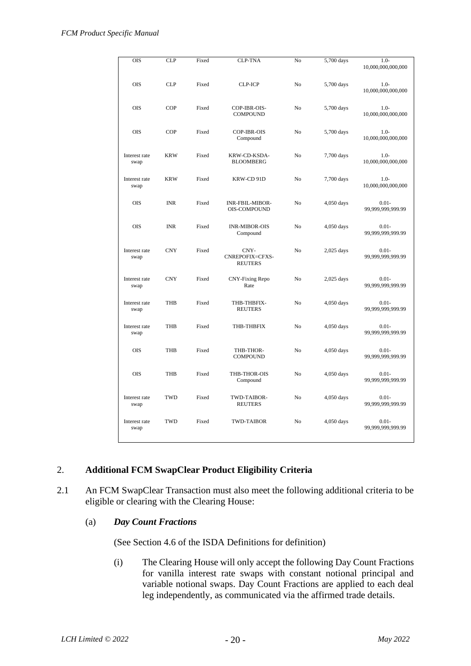| OIS                   | <b>CLP</b> | Fixed | <b>CLP-TNA</b>                                | No             | 5,700 days   | $1.0-$<br>10,000,000,000,000           |
|-----------------------|------------|-------|-----------------------------------------------|----------------|--------------|----------------------------------------|
| <b>OIS</b>            | <b>CLP</b> | Fixed | <b>CLP-ICP</b>                                | No             | 5,700 days   | $1.0-$<br>10,000,000,000,000           |
| <b>OIS</b>            | <b>COP</b> | Fixed | COP-IBR-OIS-<br><b>COMPOUND</b>               | No             | 5,700 days   | $1.0-$<br>$10,\!000,\!000,\!000,\!000$ |
| OIS                   | <b>COP</b> | Fixed | COP-IBR-OIS<br>Compound                       | N <sub>0</sub> | 5,700 days   | $1.0 -$<br>10,000,000,000,000          |
| Interest rate<br>swap | <b>KRW</b> | Fixed | KRW-CD-KSDA-<br><b>BLOOMBERG</b>              | N <sub>0</sub> | 7,700 days   | $1.0-$<br>10,000,000,000,000           |
| Interest rate<br>swap | <b>KRW</b> | Fixed | KRW-CD 91D                                    | No             | 7,700 days   | $1.0-$<br>10,000,000,000,000           |
| <b>OIS</b>            | <b>INR</b> | Fixed | <b>INR-FBIL-MIBOR-</b><br><b>OIS-COMPOUND</b> | No             | 4,050 days   | $0.01 -$<br>99,999,999,999.99          |
| <b>OIS</b>            | <b>INR</b> | Fixed | <b>INR-MIBOR-OIS</b><br>Compound              | N <sub>0</sub> | 4,050 days   | $0.01 -$<br>99,999,999,999.99          |
| Interest rate<br>swap | <b>CNY</b> | Fixed | CNY-<br>CNREPOFIX=CFXS-<br><b>REUTERS</b>     | No             | $2,025$ days | $0.01 -$<br>99,999,999,999.99          |
| Interest rate<br>swap | <b>CNY</b> | Fixed | CNY-Fixing Repo<br>Rate                       | No             | 2,025 days   | $0.01 -$<br>99,999,999,999.99          |
| Interest rate<br>swap | <b>THB</b> | Fixed | THB-THBFIX-<br><b>REUTERS</b>                 | N <sub>0</sub> | 4,050 days   | $0.01 -$<br>99,999,999,999.99          |
| Interest rate<br>swap | <b>THB</b> | Fixed | THB-THBFIX                                    | N <sub>0</sub> | 4,050 days   | $0.01 -$<br>99,999,999,999.99          |
| <b>OIS</b>            | <b>THB</b> | Fixed | THB-THOR-<br><b>COMPOUND</b>                  | No             | 4,050 days   | $0.01 -$<br>99,999,999,999.99          |
| <b>OIS</b>            | <b>THB</b> | Fixed | THB-THOR-OIS<br>Compound                      | No             | 4,050 days   | $0.01 -$<br>99,999,999,999.99          |
| Interest rate<br>swap | <b>TWD</b> | Fixed | TWD-TAIBOR-<br><b>REUTERS</b>                 | No             | 4,050 days   | $0.01 -$<br>99,999,999,999.99          |
| Interest rate<br>swap | <b>TWD</b> | Fixed | <b>TWD-TAIBOR</b>                             | No             | 4,050 days   | $0.01 -$<br>99,999,999,999.99          |

## 2. **Additional FCM SwapClear Product Eligibility Criteria**

2.1 An FCM SwapClear Transaction must also meet the following additional criteria to be eligible or clearing with the Clearing House:

#### (a) *Day Count Fractions*

(See Section 4.6 of the ISDA Definitions for definition)

(i) The Clearing House will only accept the following Day Count Fractions for vanilla interest rate swaps with constant notional principal and variable notional swaps. Day Count Fractions are applied to each deal leg independently, as communicated via the affirmed trade details.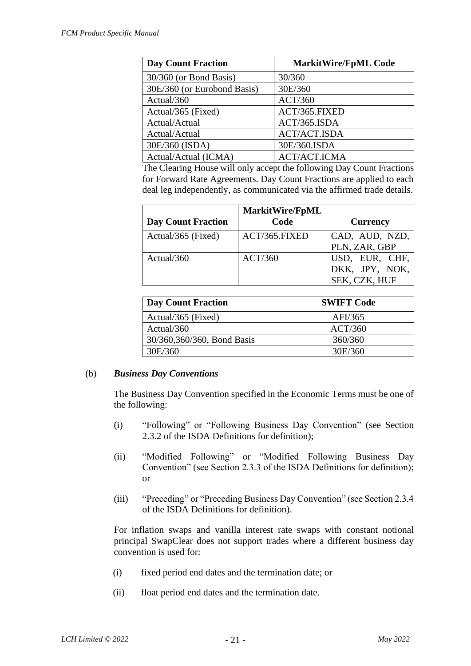| <b>Day Count Fraction</b>   | <b>MarkitWire/FpML Code</b> |
|-----------------------------|-----------------------------|
| $30/360$ (or Bond Basis)    | 30/360                      |
| 30E/360 (or Eurobond Basis) | 30E/360                     |
| Actual/360                  | ACT/360                     |
| Actual/365 (Fixed)          | ACT/365.FIXED               |
| Actual/Actual               | ACT/365.ISDA                |
| Actual/Actual               | <b>ACT/ACT.ISDA</b>         |
| 30E/360 (ISDA)              | 30E/360.ISDA                |
| Actual/Actual (ICMA)        | <b>ACT/ACT.ICMA</b>         |

The Clearing House will only accept the following Day Count Fractions for Forward Rate Agreements. Day Count Fractions are applied to each deal leg independently, as communicated via the affirmed trade details.

| <b>Day Count Fraction</b> | <b>MarkitWire/FpML</b><br>Code | <b>Currency</b>                                   |
|---------------------------|--------------------------------|---------------------------------------------------|
| Actual/365 (Fixed)        | ACT/365.FIXED                  | CAD, AUD, NZD,<br>PLN, ZAR, GBP                   |
| Actual/360                | ACT/360                        | USD, EUR, CHF,<br>DKK, JPY, NOK,<br>SEK, CZK, HUF |

| <b>Day Count Fraction</b>   | <b>SWIFT Code</b> |
|-----------------------------|-------------------|
| Actual/365 (Fixed)          | AFI/365           |
| Actual/360                  | ACT/360           |
| 30/360, 360/360, Bond Basis | 360/360           |
| 30E/360                     | 30E/360           |

## (b) *Business Day Conventions*

The Business Day Convention specified in the Economic Terms must be one of the following:

- (i) "Following" or "Following Business Day Convention" (see Section 2.3.2 of the ISDA Definitions for definition);
- (ii) "Modified Following" or "Modified Following Business Day Convention" (see Section 2.3.3 of the ISDA Definitions for definition); or
- (iii) "Preceding" or "Preceding Business Day Convention" (see Section 2.3.4 of the ISDA Definitions for definition).

For inflation swaps and vanilla interest rate swaps with constant notional principal SwapClear does not support trades where a different business day convention is used for:

- (i) fixed period end dates and the termination date; or
- (ii) float period end dates and the termination date.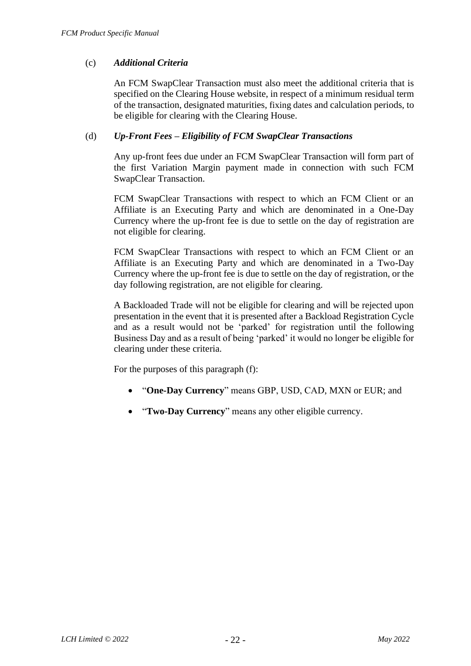## (c) *Additional Criteria*

An FCM SwapClear Transaction must also meet the additional criteria that is specified on the Clearing House website, in respect of a minimum residual term of the transaction, designated maturities, fixing dates and calculation periods, to be eligible for clearing with the Clearing House.

## (d) *Up-Front Fees – Eligibility of FCM SwapClear Transactions*

Any up-front fees due under an FCM SwapClear Transaction will form part of the first Variation Margin payment made in connection with such FCM SwapClear Transaction.

FCM SwapClear Transactions with respect to which an FCM Client or an Affiliate is an Executing Party and which are denominated in a One-Day Currency where the up-front fee is due to settle on the day of registration are not eligible for clearing.

FCM SwapClear Transactions with respect to which an FCM Client or an Affiliate is an Executing Party and which are denominated in a Two-Day Currency where the up-front fee is due to settle on the day of registration, or the day following registration, are not eligible for clearing.

A Backloaded Trade will not be eligible for clearing and will be rejected upon presentation in the event that it is presented after a Backload Registration Cycle and as a result would not be 'parked' for registration until the following Business Day and as a result of being 'parked' it would no longer be eligible for clearing under these criteria.

For the purposes of this paragraph (f):

- "**One-Day Currency**" means GBP, USD, CAD, MXN or EUR; and
- "**Two-Day Currency**" means any other eligible currency.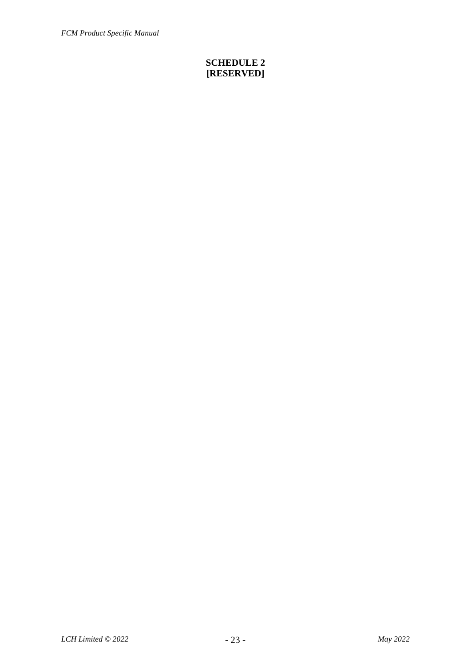## **SCHEDULE 2 [RESERVED]**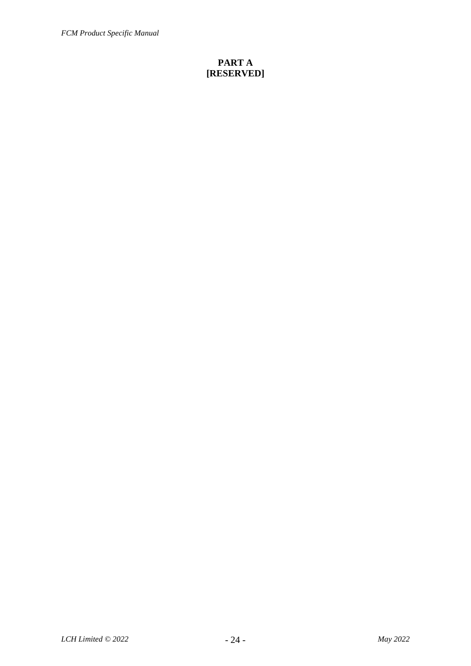*FCM Product Specific Manual*

## **PART A [RESERVED]**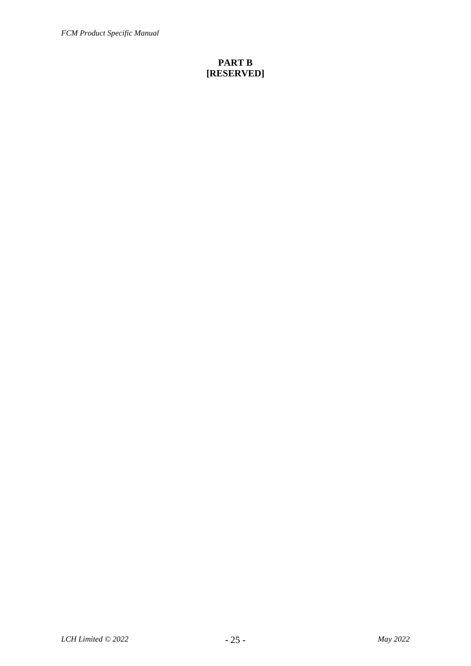*FCM Product Specific Manual*

## **PART B [RESERVED]**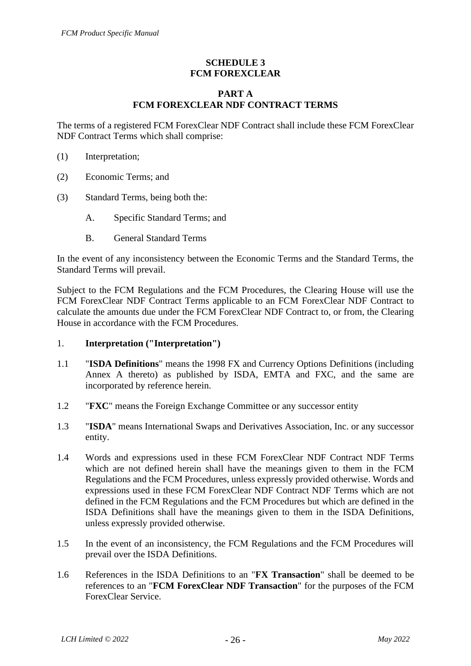## **SCHEDULE 3 FCM FOREXCLEAR**

## **PART A FCM FOREXCLEAR NDF CONTRACT TERMS**

The terms of a registered FCM ForexClear NDF Contract shall include these FCM ForexClear NDF Contract Terms which shall comprise:

- (1) Interpretation;
- (2) Economic Terms; and
- (3) Standard Terms, being both the:
	- A. Specific Standard Terms; and
	- B. General Standard Terms

In the event of any inconsistency between the Economic Terms and the Standard Terms, the Standard Terms will prevail.

Subject to the FCM Regulations and the FCM Procedures, the Clearing House will use the FCM ForexClear NDF Contract Terms applicable to an FCM ForexClear NDF Contract to calculate the amounts due under the FCM ForexClear NDF Contract to, or from, the Clearing House in accordance with the FCM Procedures.

- 1. **Interpretation ("Interpretation")**
- 1.1 "**ISDA Definitions**" means the 1998 FX and Currency Options Definitions (including Annex A thereto) as published by ISDA, EMTA and FXC, and the same are incorporated by reference herein.
- 1.2 "**FXC**" means the Foreign Exchange Committee or any successor entity
- 1.3 "**ISDA**" means International Swaps and Derivatives Association, Inc. or any successor entity.
- 1.4 Words and expressions used in these FCM ForexClear NDF Contract NDF Terms which are not defined herein shall have the meanings given to them in the FCM Regulations and the FCM Procedures, unless expressly provided otherwise. Words and expressions used in these FCM ForexClear NDF Contract NDF Terms which are not defined in the FCM Regulations and the FCM Procedures but which are defined in the ISDA Definitions shall have the meanings given to them in the ISDA Definitions, unless expressly provided otherwise.
- 1.5 In the event of an inconsistency, the FCM Regulations and the FCM Procedures will prevail over the ISDA Definitions.
- 1.6 References in the ISDA Definitions to an "**FX Transaction**" shall be deemed to be references to an "**FCM ForexClear NDF Transaction**" for the purposes of the FCM ForexClear Service.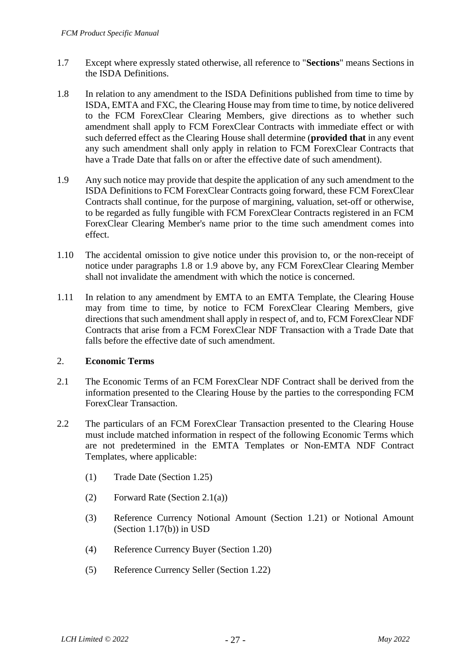- 1.7 Except where expressly stated otherwise, all reference to "**Sections**" means Sections in the ISDA Definitions.
- 1.8 In relation to any amendment to the ISDA Definitions published from time to time by ISDA, EMTA and FXC, the Clearing House may from time to time, by notice delivered to the FCM ForexClear Clearing Members, give directions as to whether such amendment shall apply to FCM ForexClear Contracts with immediate effect or with such deferred effect as the Clearing House shall determine (**provided that** in any event any such amendment shall only apply in relation to FCM ForexClear Contracts that have a Trade Date that falls on or after the effective date of such amendment).
- 1.9 Any such notice may provide that despite the application of any such amendment to the ISDA Definitions to FCM ForexClear Contracts going forward, these FCM ForexClear Contracts shall continue, for the purpose of margining, valuation, set-off or otherwise, to be regarded as fully fungible with FCM ForexClear Contracts registered in an FCM ForexClear Clearing Member's name prior to the time such amendment comes into effect.
- 1.10 The accidental omission to give notice under this provision to, or the non-receipt of notice under paragraphs 1.8 or 1.9 above by, any FCM ForexClear Clearing Member shall not invalidate the amendment with which the notice is concerned.
- 1.11 In relation to any amendment by EMTA to an EMTA Template, the Clearing House may from time to time, by notice to FCM ForexClear Clearing Members, give directions that such amendment shall apply in respect of, and to, FCM ForexClear NDF Contracts that arise from a FCM ForexClear NDF Transaction with a Trade Date that falls before the effective date of such amendment.

## 2. **Economic Terms**

- 2.1 The Economic Terms of an FCM ForexClear NDF Contract shall be derived from the information presented to the Clearing House by the parties to the corresponding FCM ForexClear Transaction.
- 2.2 The particulars of an FCM ForexClear Transaction presented to the Clearing House must include matched information in respect of the following Economic Terms which are not predetermined in the EMTA Templates or Non-EMTA NDF Contract Templates, where applicable:
	- (1) Trade Date (Section 1.25)
	- (2) Forward Rate (Section 2.1(a))
	- (3) Reference Currency Notional Amount (Section 1.21) or Notional Amount (Section 1.17(b)) in USD
	- (4) Reference Currency Buyer (Section 1.20)
	- (5) Reference Currency Seller (Section 1.22)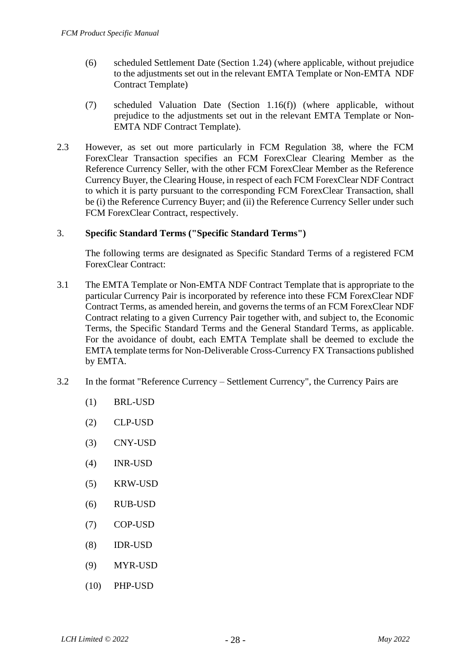- (6) scheduled Settlement Date (Section 1.24) (where applicable, without prejudice to the adjustments set out in the relevant EMTA Template or Non-EMTA NDF Contract Template)
- (7) scheduled Valuation Date (Section 1.16(f)) (where applicable, without prejudice to the adjustments set out in the relevant EMTA Template or Non-EMTA NDF Contract Template).
- 2.3 However, as set out more particularly in FCM Regulation 38, where the FCM ForexClear Transaction specifies an FCM ForexClear Clearing Member as the Reference Currency Seller, with the other FCM ForexClear Member as the Reference Currency Buyer, the Clearing House, in respect of each FCM ForexClear NDF Contract to which it is party pursuant to the corresponding FCM ForexClear Transaction, shall be (i) the Reference Currency Buyer; and (ii) the Reference Currency Seller under such FCM ForexClear Contract, respectively.

## 3. **Specific Standard Terms ("Specific Standard Terms")**

The following terms are designated as Specific Standard Terms of a registered FCM ForexClear Contract:

- 3.1 The EMTA Template or Non-EMTA NDF Contract Template that is appropriate to the particular Currency Pair is incorporated by reference into these FCM ForexClear NDF Contract Terms, as amended herein, and governs the terms of an FCM ForexClear NDF Contract relating to a given Currency Pair together with, and subject to, the Economic Terms, the Specific Standard Terms and the General Standard Terms, as applicable. For the avoidance of doubt, each EMTA Template shall be deemed to exclude the EMTA template terms for Non-Deliverable Cross-Currency FX Transactions published by EMTA.
- 3.2 In the format "Reference Currency Settlement Currency", the Currency Pairs are
	- (1) BRL-USD
	- (2) CLP-USD
	- (3) CNY-USD
	- (4) INR-USD
	- (5) KRW-USD
	- (6) RUB-USD
	- (7) COP-USD
	- (8) IDR-USD
	- (9) MYR-USD
	- (10) PHP-USD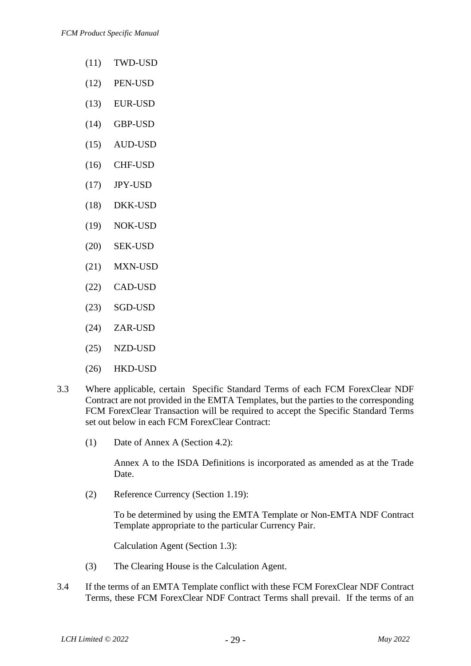- (11) TWD-USD
- (12) PEN-USD
- (13) EUR-USD
- (14) GBP-USD
- (15) AUD-USD
- (16) CHF-USD
- (17) JPY-USD
- (18) DKK-USD
- (19) NOK-USD
- (20) SEK-USD
- (21) MXN-USD
- (22) CAD-USD
- (23) SGD-USD
- (24) ZAR-USD
- (25) NZD-USD
- (26) HKD-USD
- 3.3 Where applicable, certain Specific Standard Terms of each FCM ForexClear NDF Contract are not provided in the EMTA Templates, but the parties to the corresponding FCM ForexClear Transaction will be required to accept the Specific Standard Terms set out below in each FCM ForexClear Contract:
	- (1) Date of Annex A (Section 4.2):

Annex A to the ISDA Definitions is incorporated as amended as at the Trade Date.

(2) Reference Currency (Section 1.19):

To be determined by using the EMTA Template or Non-EMTA NDF Contract Template appropriate to the particular Currency Pair.

Calculation Agent (Section 1.3):

- (3) The Clearing House is the Calculation Agent.
- 3.4 If the terms of an EMTA Template conflict with these FCM ForexClear NDF Contract Terms, these FCM ForexClear NDF Contract Terms shall prevail. If the terms of an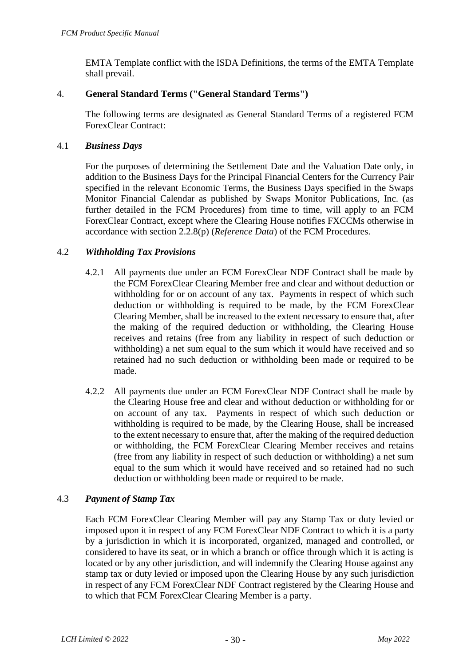EMTA Template conflict with the ISDA Definitions, the terms of the EMTA Template shall prevail.

## 4. **General Standard Terms ("General Standard Terms")**

The following terms are designated as General Standard Terms of a registered FCM ForexClear Contract:

## 4.1 *Business Days*

For the purposes of determining the Settlement Date and the Valuation Date only, in addition to the Business Days for the Principal Financial Centers for the Currency Pair specified in the relevant Economic Terms, the Business Days specified in the Swaps Monitor Financial Calendar as published by Swaps Monitor Publications, Inc. (as further detailed in the FCM Procedures) from time to time, will apply to an FCM ForexClear Contract, except where the Clearing House notifies FXCCMs otherwise in accordance with section 2.2.8(p) (*Reference Data*) of the FCM Procedures.

## 4.2 *Withholding Tax Provisions*

- 4.2.1 All payments due under an FCM ForexClear NDF Contract shall be made by the FCM ForexClear Clearing Member free and clear and without deduction or withholding for or on account of any tax. Payments in respect of which such deduction or withholding is required to be made, by the FCM ForexClear Clearing Member, shall be increased to the extent necessary to ensure that, after the making of the required deduction or withholding, the Clearing House receives and retains (free from any liability in respect of such deduction or withholding) a net sum equal to the sum which it would have received and so retained had no such deduction or withholding been made or required to be made.
- 4.2.2 All payments due under an FCM ForexClear NDF Contract shall be made by the Clearing House free and clear and without deduction or withholding for or on account of any tax. Payments in respect of which such deduction or withholding is required to be made, by the Clearing House, shall be increased to the extent necessary to ensure that, after the making of the required deduction or withholding, the FCM ForexClear Clearing Member receives and retains (free from any liability in respect of such deduction or withholding) a net sum equal to the sum which it would have received and so retained had no such deduction or withholding been made or required to be made.

## 4.3 *Payment of Stamp Tax*

Each FCM ForexClear Clearing Member will pay any Stamp Tax or duty levied or imposed upon it in respect of any FCM ForexClear NDF Contract to which it is a party by a jurisdiction in which it is incorporated, organized, managed and controlled, or considered to have its seat, or in which a branch or office through which it is acting is located or by any other jurisdiction, and will indemnify the Clearing House against any stamp tax or duty levied or imposed upon the Clearing House by any such jurisdiction in respect of any FCM ForexClear NDF Contract registered by the Clearing House and to which that FCM ForexClear Clearing Member is a party.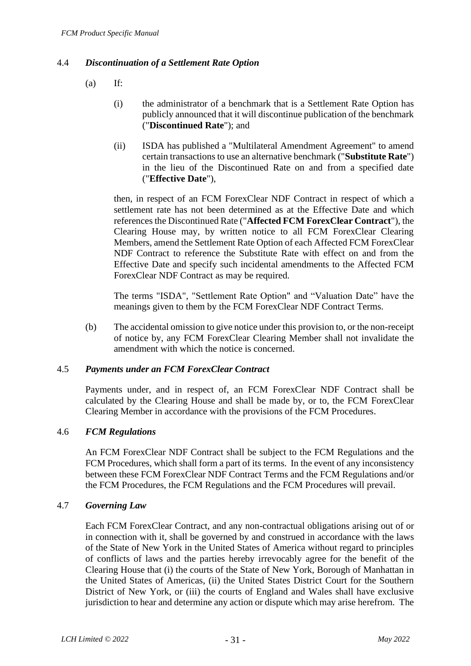## 4.4 *Discontinuation of a Settlement Rate Option*

- $(a)$  If:
	- (i) the administrator of a benchmark that is a Settlement Rate Option has publicly announced that it will discontinue publication of the benchmark ("**Discontinued Rate**"); and
	- (ii) ISDA has published a "Multilateral Amendment Agreement" to amend certain transactions to use an alternative benchmark ("**Substitute Rate**") in the lieu of the Discontinued Rate on and from a specified date ("**Effective Date**"),

then, in respect of an FCM ForexClear NDF Contract in respect of which a settlement rate has not been determined as at the Effective Date and which references the Discontinued Rate ("**Affected FCM ForexClear Contract**"), the Clearing House may, by written notice to all FCM ForexClear Clearing Members, amend the Settlement Rate Option of each Affected FCM ForexClear NDF Contract to reference the Substitute Rate with effect on and from the Effective Date and specify such incidental amendments to the Affected FCM ForexClear NDF Contract as may be required.

The terms "ISDA", "Settlement Rate Option" and "Valuation Date" have the meanings given to them by the FCM ForexClear NDF Contract Terms.

(b) The accidental omission to give notice under this provision to, or the non-receipt of notice by, any FCM ForexClear Clearing Member shall not invalidate the amendment with which the notice is concerned.

### 4.5 *Payments under an FCM ForexClear Contract*

Payments under, and in respect of, an FCM ForexClear NDF Contract shall be calculated by the Clearing House and shall be made by, or to, the FCM ForexClear Clearing Member in accordance with the provisions of the FCM Procedures.

#### 4.6 *FCM Regulations*

An FCM ForexClear NDF Contract shall be subject to the FCM Regulations and the FCM Procedures, which shall form a part of its terms. In the event of any inconsistency between these FCM ForexClear NDF Contract Terms and the FCM Regulations and/or the FCM Procedures, the FCM Regulations and the FCM Procedures will prevail.

#### 4.7 *Governing Law*

Each FCM ForexClear Contract, and any non-contractual obligations arising out of or in connection with it, shall be governed by and construed in accordance with the laws of the State of New York in the United States of America without regard to principles of conflicts of laws and the parties hereby irrevocably agree for the benefit of the Clearing House that (i) the courts of the State of New York, Borough of Manhattan in the United States of Americas, (ii) the United States District Court for the Southern District of New York, or (iii) the courts of England and Wales shall have exclusive jurisdiction to hear and determine any action or dispute which may arise herefrom. The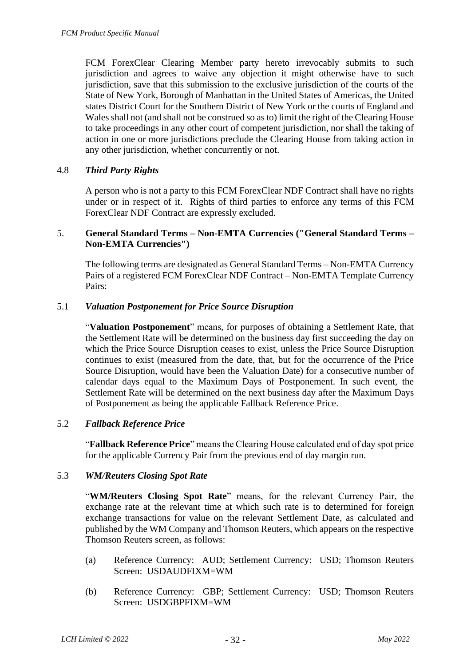FCM ForexClear Clearing Member party hereto irrevocably submits to such jurisdiction and agrees to waive any objection it might otherwise have to such jurisdiction, save that this submission to the exclusive jurisdiction of the courts of the State of New York, Borough of Manhattan in the United States of Americas, the United states District Court for the Southern District of New York or the courts of England and Wales shall not (and shall not be construed so as to) limit the right of the Clearing House to take proceedings in any other court of competent jurisdiction, nor shall the taking of action in one or more jurisdictions preclude the Clearing House from taking action in any other jurisdiction, whether concurrently or not.

### 4.8 *Third Party Rights*

A person who is not a party to this FCM ForexClear NDF Contract shall have no rights under or in respect of it. Rights of third parties to enforce any terms of this FCM ForexClear NDF Contract are expressly excluded.

### 5. **General Standard Terms – Non-EMTA Currencies ("General Standard Terms – Non-EMTA Currencies")**

The following terms are designated as General Standard Terms – Non-EMTA Currency Pairs of a registered FCM ForexClear NDF Contract – Non-EMTA Template Currency Pairs:

### 5.1 *Valuation Postponement for Price Source Disruption*

"**Valuation Postponement**" means, for purposes of obtaining a Settlement Rate, that the Settlement Rate will be determined on the business day first succeeding the day on which the Price Source Disruption ceases to exist, unless the Price Source Disruption continues to exist (measured from the date, that, but for the occurrence of the Price Source Disruption, would have been the Valuation Date) for a consecutive number of calendar days equal to the Maximum Days of Postponement. In such event, the Settlement Rate will be determined on the next business day after the Maximum Days of Postponement as being the applicable Fallback Reference Price.

## 5.2 *Fallback Reference Price*

"**Fallback Reference Price**" means the Clearing House calculated end of day spot price for the applicable Currency Pair from the previous end of day margin run.

#### 5.3 *WM/Reuters Closing Spot Rate*

"**WM/Reuters Closing Spot Rate**" means, for the relevant Currency Pair, the exchange rate at the relevant time at which such rate is to determined for foreign exchange transactions for value on the relevant Settlement Date, as calculated and published by the WM Company and Thomson Reuters, which appears on the respective Thomson Reuters screen, as follows:

- (a) Reference Currency: AUD; Settlement Currency: USD; Thomson Reuters Screen: USDAUDFIXM=WM
- (b) Reference Currency: GBP; Settlement Currency: USD; Thomson Reuters Screen: USDGBPFIXM=WM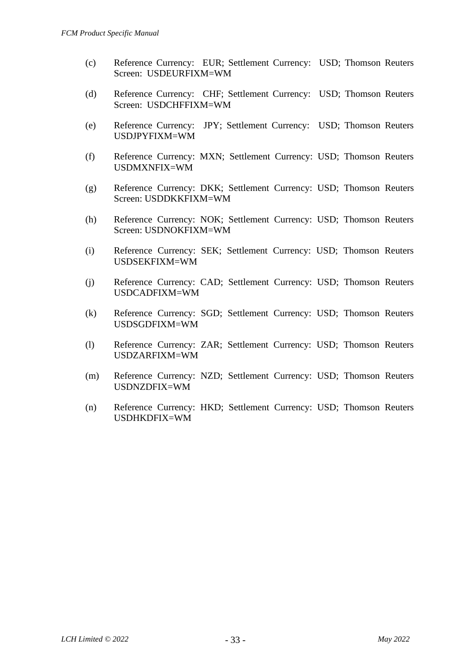- (c) Reference Currency: EUR; Settlement Currency: USD; Thomson Reuters Screen: USDEURFIXM=WM
- (d) Reference Currency: CHF; Settlement Currency: USD; Thomson Reuters Screen: USDCHFFIXM=WM
- (e) Reference Currency: JPY; Settlement Currency: USD; Thomson Reuters USDJPYFIXM=WM
- (f) Reference Currency: MXN; Settlement Currency: USD; Thomson Reuters USDMXNFIX=WM
- (g) Reference Currency: DKK; Settlement Currency: USD; Thomson Reuters Screen: USDDKKFIXM=WM
- (h) Reference Currency: NOK; Settlement Currency: USD; Thomson Reuters Screen: USDNOKFIXM=WM
- (i) Reference Currency: SEK; Settlement Currency: USD; Thomson Reuters USDSEKFIXM=WM
- (j) Reference Currency: CAD; Settlement Currency: USD; Thomson Reuters USDCADFIXM=WM
- (k) Reference Currency: SGD; Settlement Currency: USD; Thomson Reuters USDSGDFIXM=WM
- (l) Reference Currency: ZAR; Settlement Currency: USD; Thomson Reuters USDZARFIXM=WM
- (m) Reference Currency: NZD; Settlement Currency: USD; Thomson Reuters USDNZDFIX=WM
- (n) Reference Currency: HKD; Settlement Currency: USD; Thomson Reuters USDHKDFIX=WM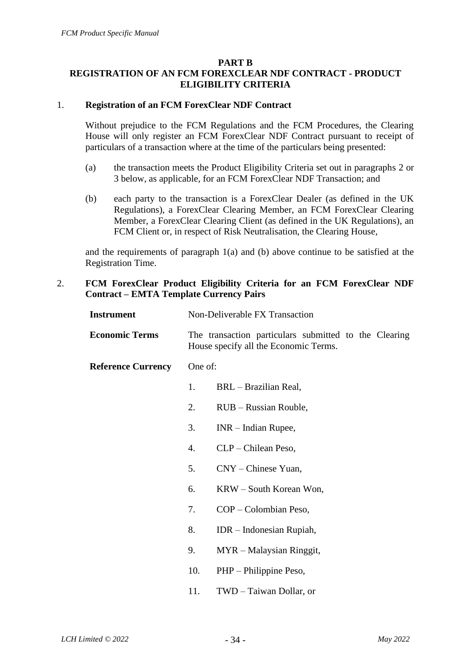#### **PART B**

# **REGISTRATION OF AN FCM FOREXCLEAR NDF CONTRACT - PRODUCT ELIGIBILITY CRITERIA**

### 1. **Registration of an FCM ForexClear NDF Contract**

Without prejudice to the FCM Regulations and the FCM Procedures, the Clearing House will only register an FCM ForexClear NDF Contract pursuant to receipt of particulars of a transaction where at the time of the particulars being presented:

- (a) the transaction meets the Product Eligibility Criteria set out in paragraphs 2 or 3 below, as applicable, for an FCM ForexClear NDF Transaction; and
- (b) each party to the transaction is a ForexClear Dealer (as defined in the UK Regulations), a ForexClear Clearing Member, an FCM ForexClear Clearing Member, a ForexClear Clearing Client (as defined in the UK Regulations), an FCM Client or, in respect of Risk Neutralisation, the Clearing House,

and the requirements of paragraph 1(a) and (b) above continue to be satisfied at the Registration Time.

## 2. **FCM ForexClear Product Eligibility Criteria for an FCM ForexClear NDF Contract – EMTA Template Currency Pairs**

| <b>Instrument</b>         | Non-Deliverable FX Transaction |                                                                                                |  |
|---------------------------|--------------------------------|------------------------------------------------------------------------------------------------|--|
| <b>Economic Terms</b>     |                                | The transaction particulars submitted to the Clearing<br>House specify all the Economic Terms. |  |
| <b>Reference Currency</b> | One of:                        |                                                                                                |  |
|                           | 1.                             | BRL - Brazilian Real,                                                                          |  |
|                           | 2.                             | RUB – Russian Rouble,                                                                          |  |
|                           | 3.                             | $INR - Indian Runpe$ ,                                                                         |  |
|                           | $\mathbf{4}$ .                 | CLP – Chilean Peso,                                                                            |  |
|                           | 5.                             | $CNY$ – Chinese Yuan,                                                                          |  |
|                           | 6.                             | KRW – South Korean Won,                                                                        |  |
|                           | 7.                             | COP – Colombian Peso,                                                                          |  |
|                           | 8.                             | $IDR - Indonesia Rupiah,$                                                                      |  |
|                           | 9.                             | MYR – Malaysian Ringgit,                                                                       |  |
|                           | 10.                            | PHP – Philippine Peso,                                                                         |  |
|                           |                                |                                                                                                |  |

11. TWD – Taiwan Dollar, or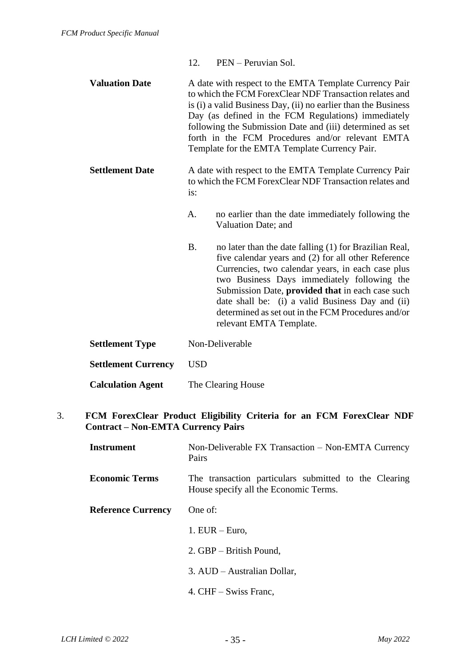|                            | 12.        | PEN – Peruvian Sol.                                                                                                                                                                                                                                                                                                                                                                                               |
|----------------------------|------------|-------------------------------------------------------------------------------------------------------------------------------------------------------------------------------------------------------------------------------------------------------------------------------------------------------------------------------------------------------------------------------------------------------------------|
| <b>Valuation Date</b>      |            | A date with respect to the EMTA Template Currency Pair<br>to which the FCM Forex Clear NDF Transaction relates and<br>is (i) a valid Business Day, (ii) no earlier than the Business<br>Day (as defined in the FCM Regulations) immediately<br>following the Submission Date and (iii) determined as set<br>forth in the FCM Procedures and/or relevant EMTA<br>Template for the EMTA Template Currency Pair.     |
| <b>Settlement Date</b>     | is:        | A date with respect to the EMTA Template Currency Pair<br>to which the FCM Forex Clear NDF Transaction relates and                                                                                                                                                                                                                                                                                                |
|                            | А.         | no earlier than the date immediately following the<br>Valuation Date; and                                                                                                                                                                                                                                                                                                                                         |
|                            | <b>B.</b>  | no later than the date falling (1) for Brazilian Real,<br>five calendar years and (2) for all other Reference<br>Currencies, two calendar years, in each case plus<br>two Business Days immediately following the<br>Submission Date, <b>provided that</b> in each case such<br>date shall be: (i) a valid Business Day and (ii)<br>determined as set out in the FCM Procedures and/or<br>relevant EMTA Template. |
| <b>Settlement Type</b>     |            | Non-Deliverable                                                                                                                                                                                                                                                                                                                                                                                                   |
| <b>Settlement Currency</b> | <b>USD</b> |                                                                                                                                                                                                                                                                                                                                                                                                                   |
| <b>Calculation Agent</b>   |            | The Clearing House                                                                                                                                                                                                                                                                                                                                                                                                |

## 3. **FCM ForexClear Product Eligibility Criteria for an FCM ForexClear NDF Contract – Non-EMTA Currency Pairs**

| Instrument                | Non-Deliverable FX Transaction - Non-EMTA Currency<br>Pairs                                    |
|---------------------------|------------------------------------------------------------------------------------------------|
| <b>Economic Terms</b>     | The transaction particulars submitted to the Clearing<br>House specify all the Economic Terms. |
| <b>Reference Currency</b> | One of:                                                                                        |
|                           | 1. $EUR - Euro$ ,                                                                              |
|                           | 2. GBP – British Pound,                                                                        |
|                           | 3. AUD – Australian Dollar,                                                                    |
|                           | 4. CHF – Swiss Franc,                                                                          |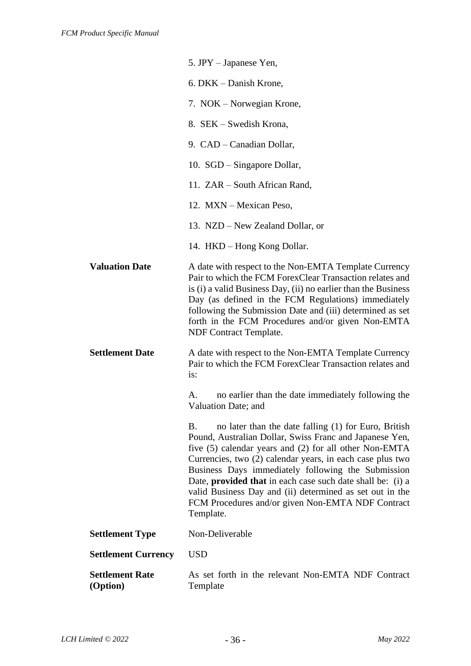|                                    | 5. JPY – Japanese Yen,                                                                                                                                                                                                                                                                                                                                                                                                                                                                                |
|------------------------------------|-------------------------------------------------------------------------------------------------------------------------------------------------------------------------------------------------------------------------------------------------------------------------------------------------------------------------------------------------------------------------------------------------------------------------------------------------------------------------------------------------------|
|                                    | 6. DKK – Danish Krone,                                                                                                                                                                                                                                                                                                                                                                                                                                                                                |
|                                    | 7. NOK – Norwegian Krone,                                                                                                                                                                                                                                                                                                                                                                                                                                                                             |
|                                    | 8. SEK – Swedish Krona,                                                                                                                                                                                                                                                                                                                                                                                                                                                                               |
|                                    | 9. CAD – Canadian Dollar,                                                                                                                                                                                                                                                                                                                                                                                                                                                                             |
|                                    | 10. SGD – Singapore Dollar,                                                                                                                                                                                                                                                                                                                                                                                                                                                                           |
|                                    | 11. ZAR – South African Rand,                                                                                                                                                                                                                                                                                                                                                                                                                                                                         |
|                                    | 12. MXN - Mexican Peso,                                                                                                                                                                                                                                                                                                                                                                                                                                                                               |
|                                    | 13. NZD – New Zealand Dollar, or                                                                                                                                                                                                                                                                                                                                                                                                                                                                      |
|                                    | 14. HKD - Hong Kong Dollar.                                                                                                                                                                                                                                                                                                                                                                                                                                                                           |
| <b>Valuation Date</b>              | A date with respect to the Non-EMTA Template Currency<br>Pair to which the FCM ForexClear Transaction relates and<br>is (i) a valid Business Day, (ii) no earlier than the Business<br>Day (as defined in the FCM Regulations) immediately<br>following the Submission Date and (iii) determined as set<br>forth in the FCM Procedures and/or given Non-EMTA<br>NDF Contract Template.                                                                                                                |
| <b>Settlement Date</b>             | A date with respect to the Non-EMTA Template Currency<br>Pair to which the FCM ForexClear Transaction relates and<br>is:                                                                                                                                                                                                                                                                                                                                                                              |
|                                    | no earlier than the date immediately following the<br>A.<br>Valuation Date; and                                                                                                                                                                                                                                                                                                                                                                                                                       |
|                                    | no later than the date falling (1) for Euro, British<br>Β.<br>Pound, Australian Dollar, Swiss Franc and Japanese Yen,<br>five (5) calendar years and (2) for all other Non-EMTA<br>Currencies, two (2) calendar years, in each case plus two<br>Business Days immediately following the Submission<br>Date, <b>provided that</b> in each case such date shall be: (i) a<br>valid Business Day and (ii) determined as set out in the<br>FCM Procedures and/or given Non-EMTA NDF Contract<br>Template. |
| <b>Settlement Type</b>             | Non-Deliverable                                                                                                                                                                                                                                                                                                                                                                                                                                                                                       |
| <b>Settlement Currency</b>         | <b>USD</b>                                                                                                                                                                                                                                                                                                                                                                                                                                                                                            |
| <b>Settlement Rate</b><br>(Option) | As set forth in the relevant Non-EMTA NDF Contract<br>Template                                                                                                                                                                                                                                                                                                                                                                                                                                        |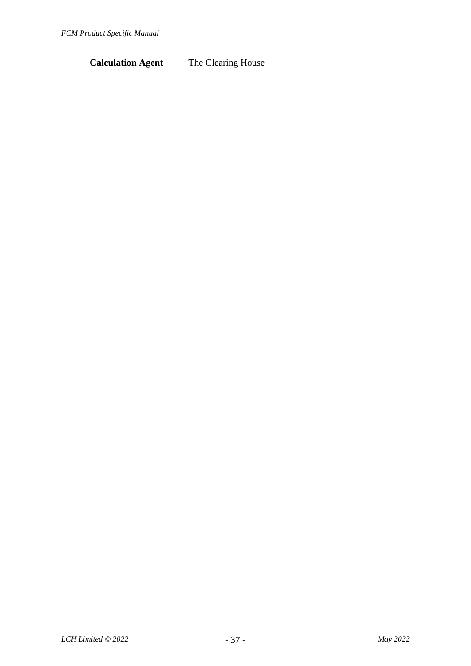# **Calculation Agent** The Clearing House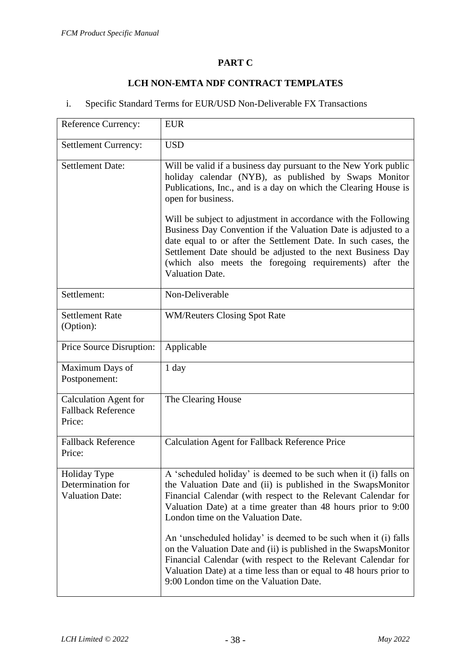### **PART C**

### **LCH NON-EMTA NDF CONTRACT TEMPLATES**

## i. Specific Standard Terms for EUR/USD Non-Deliverable FX Transactions

| <b>Reference Currency:</b>                                          | <b>EUR</b>                                                                                                                                                                                                                                                                                                                                             |
|---------------------------------------------------------------------|--------------------------------------------------------------------------------------------------------------------------------------------------------------------------------------------------------------------------------------------------------------------------------------------------------------------------------------------------------|
| <b>Settlement Currency:</b>                                         | <b>USD</b>                                                                                                                                                                                                                                                                                                                                             |
| <b>Settlement Date:</b>                                             | Will be valid if a business day pursuant to the New York public<br>holiday calendar (NYB), as published by Swaps Monitor<br>Publications, Inc., and is a day on which the Clearing House is<br>open for business.                                                                                                                                      |
|                                                                     | Will be subject to adjustment in accordance with the Following<br>Business Day Convention if the Valuation Date is adjusted to a<br>date equal to or after the Settlement Date. In such cases, the<br>Settlement Date should be adjusted to the next Business Day<br>(which also meets the foregoing requirements) after the<br><b>Valuation Date.</b> |
| Settlement:                                                         | Non-Deliverable                                                                                                                                                                                                                                                                                                                                        |
| <b>Settlement Rate</b><br>(Option):                                 | <b>WM/Reuters Closing Spot Rate</b>                                                                                                                                                                                                                                                                                                                    |
| Price Source Disruption:                                            | Applicable                                                                                                                                                                                                                                                                                                                                             |
| Maximum Days of<br>Postponement:                                    | $1$ day                                                                                                                                                                                                                                                                                                                                                |
| <b>Calculation Agent for</b><br><b>Fallback Reference</b><br>Price: | The Clearing House                                                                                                                                                                                                                                                                                                                                     |
| <b>Fallback Reference</b><br>Price:                                 | <b>Calculation Agent for Fallback Reference Price</b>                                                                                                                                                                                                                                                                                                  |
| Holiday Type<br>Determination for<br><b>Valuation Date:</b>         | A 'scheduled holiday' is deemed to be such when it (i) falls on<br>the Valuation Date and (ii) is published in the SwapsMonitor<br>Financial Calendar (with respect to the Relevant Calendar for<br>Valuation Date) at a time greater than 48 hours prior to 9:00<br>London time on the Valuation Date.                                                |
|                                                                     | An 'unscheduled holiday' is deemed to be such when it (i) falls<br>on the Valuation Date and (ii) is published in the SwapsMonitor<br>Financial Calendar (with respect to the Relevant Calendar for<br>Valuation Date) at a time less than or equal to 48 hours prior to<br>9:00 London time on the Valuation Date.                                    |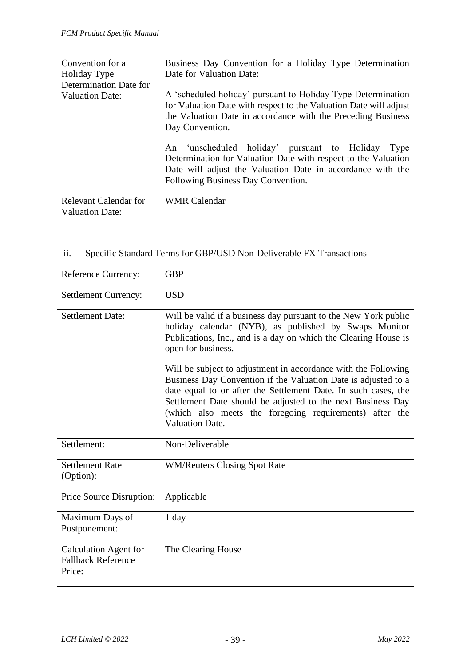| Convention for a                                | Business Day Convention for a Holiday Type Determination                                                                                                                                                                      |
|-------------------------------------------------|-------------------------------------------------------------------------------------------------------------------------------------------------------------------------------------------------------------------------------|
| Holiday Type                                    | Date for Valuation Date:                                                                                                                                                                                                      |
| Determination Date for                          |                                                                                                                                                                                                                               |
| <b>Valuation Date:</b>                          | A 'scheduled holiday' pursuant to Holiday Type Determination<br>for Valuation Date with respect to the Valuation Date will adjust<br>the Valuation Date in accordance with the Preceding Business<br>Day Convention.          |
|                                                 | 'unscheduled holiday' pursuant to Holiday<br>An<br>Type<br>Determination for Valuation Date with respect to the Valuation<br>Date will adjust the Valuation Date in accordance with the<br>Following Business Day Convention. |
| Relevant Calendar for<br><b>Valuation Date:</b> | <b>WMR Calendar</b>                                                                                                                                                                                                           |

# ii. Specific Standard Terms for GBP/USD Non-Deliverable FX Transactions

| <b>Reference Currency:</b>                                          | <b>GBP</b>                                                                                                                                                                                                                                                                           |
|---------------------------------------------------------------------|--------------------------------------------------------------------------------------------------------------------------------------------------------------------------------------------------------------------------------------------------------------------------------------|
| <b>Settlement Currency:</b>                                         | <b>USD</b>                                                                                                                                                                                                                                                                           |
| Settlement Date:                                                    | Will be valid if a business day pursuant to the New York public<br>holiday calendar (NYB), as published by Swaps Monitor<br>Publications, Inc., and is a day on which the Clearing House is<br>open for business.<br>Will be subject to adjustment in accordance with the Following  |
|                                                                     | Business Day Convention if the Valuation Date is adjusted to a<br>date equal to or after the Settlement Date. In such cases, the<br>Settlement Date should be adjusted to the next Business Day<br>(which also meets the foregoing requirements) after the<br><b>Valuation Date.</b> |
| Settlement:                                                         | Non-Deliverable                                                                                                                                                                                                                                                                      |
| <b>Settlement Rate</b><br>(Option):                                 | <b>WM/Reuters Closing Spot Rate</b>                                                                                                                                                                                                                                                  |
| Price Source Disruption:                                            | Applicable                                                                                                                                                                                                                                                                           |
| Maximum Days of<br>Postponement:                                    | $1$ day                                                                                                                                                                                                                                                                              |
| <b>Calculation Agent for</b><br><b>Fallback Reference</b><br>Price: | The Clearing House                                                                                                                                                                                                                                                                   |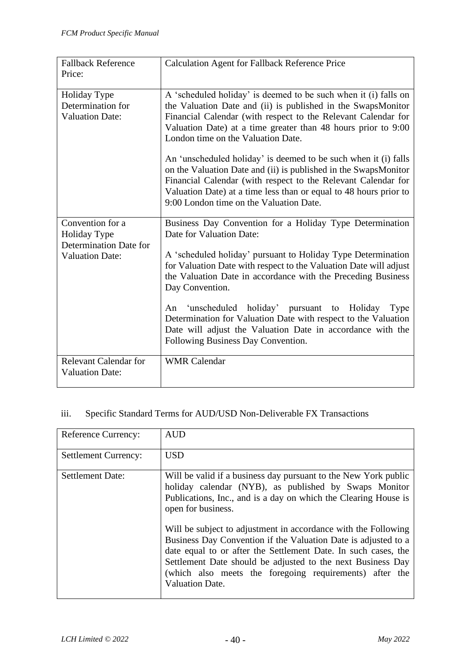| <b>Fallback Reference</b><br>Price:                                                         | <b>Calculation Agent for Fallback Reference Price</b>                                                                                                                                                                                                                                                                                                                                                                                                                                                                                                                                                                          |
|---------------------------------------------------------------------------------------------|--------------------------------------------------------------------------------------------------------------------------------------------------------------------------------------------------------------------------------------------------------------------------------------------------------------------------------------------------------------------------------------------------------------------------------------------------------------------------------------------------------------------------------------------------------------------------------------------------------------------------------|
| Holiday Type<br>Determination for<br><b>Valuation Date:</b>                                 | A 'scheduled holiday' is deemed to be such when it (i) falls on<br>the Valuation Date and (ii) is published in the SwapsMonitor<br>Financial Calendar (with respect to the Relevant Calendar for<br>Valuation Date) at a time greater than 48 hours prior to 9:00<br>London time on the Valuation Date.<br>An 'unscheduled holiday' is deemed to be such when it (i) falls<br>on the Valuation Date and (ii) is published in the SwapsMonitor<br>Financial Calendar (with respect to the Relevant Calendar for<br>Valuation Date) at a time less than or equal to 48 hours prior to<br>9:00 London time on the Valuation Date. |
| Convention for a<br><b>Holiday Type</b><br>Determination Date for<br><b>Valuation Date:</b> | Business Day Convention for a Holiday Type Determination<br>Date for Valuation Date:<br>A 'scheduled holiday' pursuant to Holiday Type Determination<br>for Valuation Date with respect to the Valuation Date will adjust<br>the Valuation Date in accordance with the Preceding Business<br>Day Convention.<br>An 'unscheduled holiday' pursuant to Holiday<br>Type<br>Determination for Valuation Date with respect to the Valuation<br>Date will adjust the Valuation Date in accordance with the<br>Following Business Day Convention.                                                                                     |
| <b>Relevant Calendar for</b><br><b>Valuation Date:</b>                                      | <b>WMR</b> Calendar                                                                                                                                                                                                                                                                                                                                                                                                                                                                                                                                                                                                            |

# iii. Specific Standard Terms for AUD/USD Non-Deliverable FX Transactions

| <b>Reference Currency:</b>  | <b>AUD</b>                                                                                                                                                                                                                                                                                                                                             |
|-----------------------------|--------------------------------------------------------------------------------------------------------------------------------------------------------------------------------------------------------------------------------------------------------------------------------------------------------------------------------------------------------|
| <b>Settlement Currency:</b> | <b>USD</b>                                                                                                                                                                                                                                                                                                                                             |
| <b>Settlement Date:</b>     | Will be valid if a business day pursuant to the New York public<br>holiday calendar (NYB), as published by Swaps Monitor<br>Publications, Inc., and is a day on which the Clearing House is<br>open for business.                                                                                                                                      |
|                             | Will be subject to adjustment in accordance with the Following<br>Business Day Convention if the Valuation Date is adjusted to a<br>date equal to or after the Settlement Date. In such cases, the<br>Settlement Date should be adjusted to the next Business Day<br>(which also meets the foregoing requirements) after the<br><b>Valuation Date.</b> |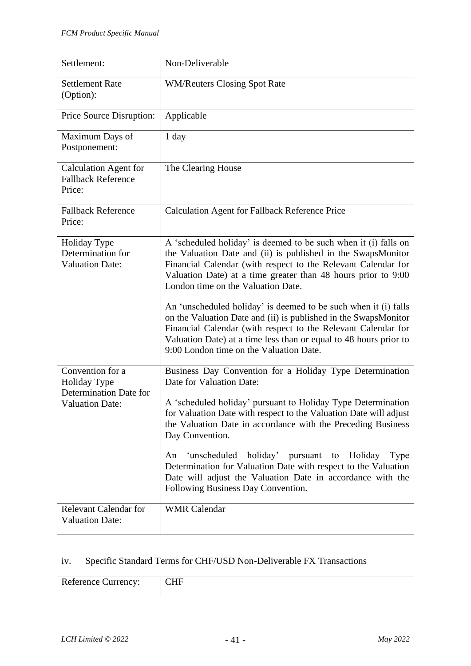| Settlement:                                                                                 | Non-Deliverable                                                                                                                                                                                                                                                                                                                                                                                                                                                                                                                                                                                                                |
|---------------------------------------------------------------------------------------------|--------------------------------------------------------------------------------------------------------------------------------------------------------------------------------------------------------------------------------------------------------------------------------------------------------------------------------------------------------------------------------------------------------------------------------------------------------------------------------------------------------------------------------------------------------------------------------------------------------------------------------|
| <b>Settlement Rate</b><br>(Option):                                                         | <b>WM/Reuters Closing Spot Rate</b>                                                                                                                                                                                                                                                                                                                                                                                                                                                                                                                                                                                            |
| Price Source Disruption:                                                                    | Applicable                                                                                                                                                                                                                                                                                                                                                                                                                                                                                                                                                                                                                     |
| Maximum Days of<br>Postponement:                                                            | 1 day                                                                                                                                                                                                                                                                                                                                                                                                                                                                                                                                                                                                                          |
| <b>Calculation Agent for</b><br><b>Fallback Reference</b><br>Price:                         | The Clearing House                                                                                                                                                                                                                                                                                                                                                                                                                                                                                                                                                                                                             |
| <b>Fallback Reference</b><br>Price:                                                         | <b>Calculation Agent for Fallback Reference Price</b>                                                                                                                                                                                                                                                                                                                                                                                                                                                                                                                                                                          |
| Holiday Type<br>Determination for<br><b>Valuation Date:</b>                                 | A 'scheduled holiday' is deemed to be such when it (i) falls on<br>the Valuation Date and (ii) is published in the SwapsMonitor<br>Financial Calendar (with respect to the Relevant Calendar for<br>Valuation Date) at a time greater than 48 hours prior to 9:00<br>London time on the Valuation Date.<br>An 'unscheduled holiday' is deemed to be such when it (i) falls<br>on the Valuation Date and (ii) is published in the SwapsMonitor<br>Financial Calendar (with respect to the Relevant Calendar for<br>Valuation Date) at a time less than or equal to 48 hours prior to<br>9:00 London time on the Valuation Date. |
| Convention for a<br><b>Holiday Type</b><br>Determination Date for<br><b>Valuation Date:</b> | Business Day Convention for a Holiday Type Determination<br>Date for Valuation Date:<br>A 'scheduled holiday' pursuant to Holiday Type Determination<br>for Valuation Date with respect to the Valuation Date will adjust<br>the Valuation Date in accordance with the Preceding Business<br>Day Convention.<br>'unscheduled<br>holiday' pursuant<br>Holiday<br>An<br>to<br>Type<br>Determination for Valuation Date with respect to the Valuation                                                                                                                                                                             |
| <b>Relevant Calendar for</b>                                                                | Date will adjust the Valuation Date in accordance with the<br>Following Business Day Convention.<br><b>WMR</b> Calendar                                                                                                                                                                                                                                                                                                                                                                                                                                                                                                        |
| <b>Valuation Date:</b>                                                                      |                                                                                                                                                                                                                                                                                                                                                                                                                                                                                                                                                                                                                                |

# iv. Specific Standard Terms for CHF/USD Non-Deliverable FX Transactions

| <b>Reference Currency:</b> | -            |
|----------------------------|--------------|
|                            | $\mathbf{u}$ |
|                            |              |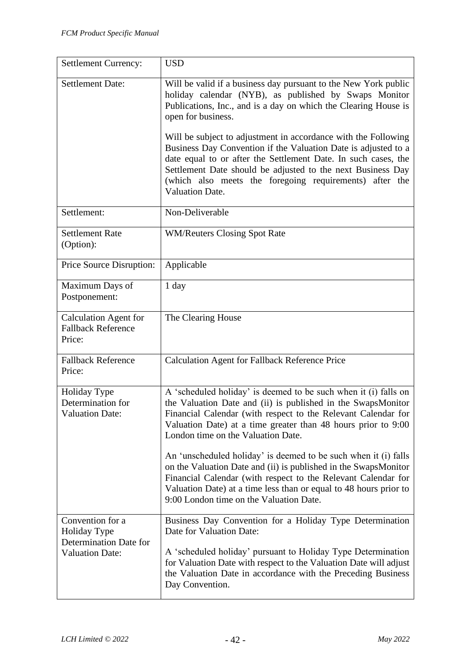| <b>Settlement Currency:</b>                                                          | <b>USD</b>                                                                                                                                                                                                                                                                                                                                                                                                                                                                                                                                                                                                                     |
|--------------------------------------------------------------------------------------|--------------------------------------------------------------------------------------------------------------------------------------------------------------------------------------------------------------------------------------------------------------------------------------------------------------------------------------------------------------------------------------------------------------------------------------------------------------------------------------------------------------------------------------------------------------------------------------------------------------------------------|
| <b>Settlement Date:</b>                                                              | Will be valid if a business day pursuant to the New York public<br>holiday calendar (NYB), as published by Swaps Monitor<br>Publications, Inc., and is a day on which the Clearing House is<br>open for business.<br>Will be subject to adjustment in accordance with the Following<br>Business Day Convention if the Valuation Date is adjusted to a<br>date equal to or after the Settlement Date. In such cases, the<br>Settlement Date should be adjusted to the next Business Day<br>(which also meets the foregoing requirements) after the<br><b>Valuation Date.</b>                                                    |
| Settlement:                                                                          | Non-Deliverable                                                                                                                                                                                                                                                                                                                                                                                                                                                                                                                                                                                                                |
| <b>Settlement Rate</b><br>(Option):                                                  | <b>WM/Reuters Closing Spot Rate</b>                                                                                                                                                                                                                                                                                                                                                                                                                                                                                                                                                                                            |
| Price Source Disruption:                                                             | Applicable                                                                                                                                                                                                                                                                                                                                                                                                                                                                                                                                                                                                                     |
| Maximum Days of<br>Postponement:                                                     | 1 day                                                                                                                                                                                                                                                                                                                                                                                                                                                                                                                                                                                                                          |
| <b>Calculation Agent for</b><br><b>Fallback Reference</b><br>Price:                  | The Clearing House                                                                                                                                                                                                                                                                                                                                                                                                                                                                                                                                                                                                             |
| <b>Fallback Reference</b><br>Price:                                                  | <b>Calculation Agent for Fallback Reference Price</b>                                                                                                                                                                                                                                                                                                                                                                                                                                                                                                                                                                          |
| Holiday Type<br>Determination for<br><b>Valuation Date:</b>                          | A 'scheduled holiday' is deemed to be such when it (i) falls on<br>the Valuation Date and (ii) is published in the SwapsMonitor<br>Financial Calendar (with respect to the Relevant Calendar for<br>Valuation Date) at a time greater than 48 hours prior to 9:00<br>London time on the Valuation Date.<br>An 'unscheduled holiday' is deemed to be such when it (i) falls<br>on the Valuation Date and (ii) is published in the SwapsMonitor<br>Financial Calendar (with respect to the Relevant Calendar for<br>Valuation Date) at a time less than or equal to 48 hours prior to<br>9:00 London time on the Valuation Date. |
| Convention for a<br>Holiday Type<br>Determination Date for<br><b>Valuation Date:</b> | Business Day Convention for a Holiday Type Determination<br>Date for Valuation Date:<br>A 'scheduled holiday' pursuant to Holiday Type Determination<br>for Valuation Date with respect to the Valuation Date will adjust<br>the Valuation Date in accordance with the Preceding Business<br>Day Convention.                                                                                                                                                                                                                                                                                                                   |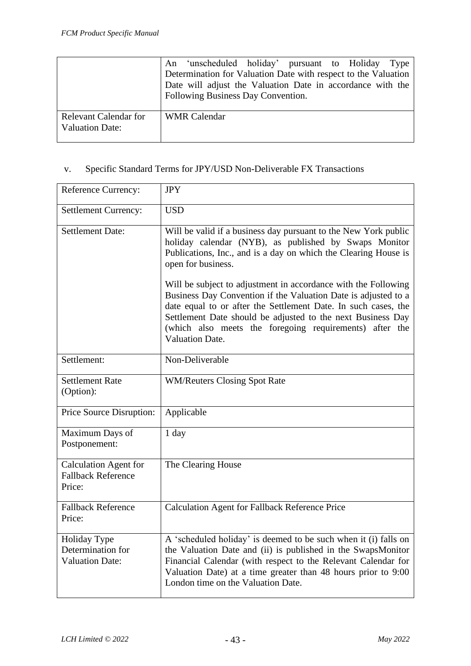|                                                 | An 'unscheduled holiday' pursuant to Holiday Type                                                                            |
|-------------------------------------------------|------------------------------------------------------------------------------------------------------------------------------|
|                                                 | Determination for Valuation Date with respect to the Valuation<br>Date will adjust the Valuation Date in accordance with the |
|                                                 | Following Business Day Convention.                                                                                           |
| Relevant Calendar for<br><b>Valuation Date:</b> | <b>WMR</b> Calendar                                                                                                          |

# v. Specific Standard Terms for JPY/USD Non-Deliverable FX Transactions

| Reference Currency:                                                 | <b>JPY</b>                                                                                                                                                                                                                                                                                                                                             |  |  |  |
|---------------------------------------------------------------------|--------------------------------------------------------------------------------------------------------------------------------------------------------------------------------------------------------------------------------------------------------------------------------------------------------------------------------------------------------|--|--|--|
| <b>Settlement Currency:</b>                                         | <b>USD</b>                                                                                                                                                                                                                                                                                                                                             |  |  |  |
| <b>Settlement Date:</b>                                             | Will be valid if a business day pursuant to the New York public<br>holiday calendar (NYB), as published by Swaps Monitor<br>Publications, Inc., and is a day on which the Clearing House is<br>open for business.                                                                                                                                      |  |  |  |
|                                                                     | Will be subject to adjustment in accordance with the Following<br>Business Day Convention if the Valuation Date is adjusted to a<br>date equal to or after the Settlement Date. In such cases, the<br>Settlement Date should be adjusted to the next Business Day<br>(which also meets the foregoing requirements) after the<br><b>Valuation Date.</b> |  |  |  |
| Settlement:                                                         | Non-Deliverable                                                                                                                                                                                                                                                                                                                                        |  |  |  |
| <b>Settlement Rate</b><br>(Option):                                 | <b>WM/Reuters Closing Spot Rate</b>                                                                                                                                                                                                                                                                                                                    |  |  |  |
| Price Source Disruption:                                            | Applicable                                                                                                                                                                                                                                                                                                                                             |  |  |  |
| Maximum Days of<br>Postponement:                                    | 1 day                                                                                                                                                                                                                                                                                                                                                  |  |  |  |
| <b>Calculation Agent for</b><br><b>Fallback Reference</b><br>Price: | The Clearing House                                                                                                                                                                                                                                                                                                                                     |  |  |  |
| <b>Fallback Reference</b><br>Price:                                 | <b>Calculation Agent for Fallback Reference Price</b>                                                                                                                                                                                                                                                                                                  |  |  |  |
| Holiday Type<br>Determination for<br><b>Valuation Date:</b>         | A 'scheduled holiday' is deemed to be such when it (i) falls on<br>the Valuation Date and (ii) is published in the SwapsMonitor<br>Financial Calendar (with respect to the Relevant Calendar for<br>Valuation Date) at a time greater than 48 hours prior to 9:00<br>London time on the Valuation Date.                                                |  |  |  |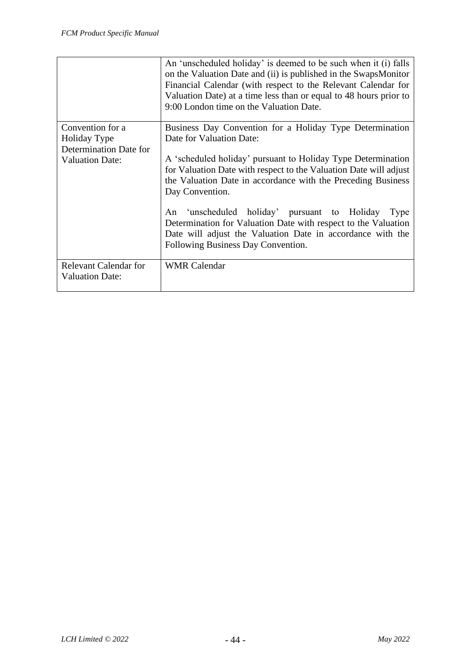|                              | An 'unscheduled holiday' is deemed to be such when it (i) falls<br>on the Valuation Date and (ii) is published in the SwapsMonitor<br>Financial Calendar (with respect to the Relevant Calendar for<br>Valuation Date) at a time less than or equal to 48 hours prior to<br>9:00 London time on the Valuation Date. |  |  |  |  |  |
|------------------------------|---------------------------------------------------------------------------------------------------------------------------------------------------------------------------------------------------------------------------------------------------------------------------------------------------------------------|--|--|--|--|--|
| Convention for a             | Business Day Convention for a Holiday Type Determination                                                                                                                                                                                                                                                            |  |  |  |  |  |
| Holiday Type                 | Date for Valuation Date:                                                                                                                                                                                                                                                                                            |  |  |  |  |  |
| Determination Date for       |                                                                                                                                                                                                                                                                                                                     |  |  |  |  |  |
| <b>Valuation Date:</b>       | A 'scheduled holiday' pursuant to Holiday Type Determination                                                                                                                                                                                                                                                        |  |  |  |  |  |
|                              | for Valuation Date with respect to the Valuation Date will adjust<br>the Valuation Date in accordance with the Preceding Business                                                                                                                                                                                   |  |  |  |  |  |
|                              | Day Convention.                                                                                                                                                                                                                                                                                                     |  |  |  |  |  |
|                              | 'unscheduled holiday' pursuant to Holiday<br>An<br>Type<br>Determination for Valuation Date with respect to the Valuation<br>Date will adjust the Valuation Date in accordance with the<br>Following Business Day Convention.                                                                                       |  |  |  |  |  |
| <b>Relevant Calendar for</b> | <b>WMR</b> Calendar                                                                                                                                                                                                                                                                                                 |  |  |  |  |  |
| <b>Valuation Date:</b>       |                                                                                                                                                                                                                                                                                                                     |  |  |  |  |  |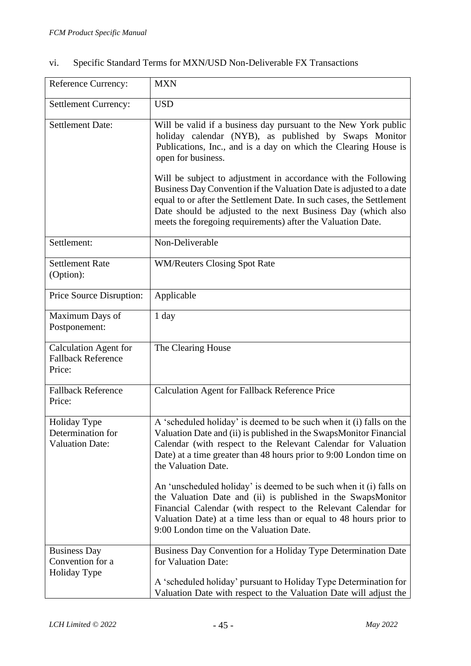| <b>Reference Currency:</b>                                          | <b>MXN</b>                                                                                                                                                                                                                                                                                                                                                                                                                                                                                                                                                                                                                     |
|---------------------------------------------------------------------|--------------------------------------------------------------------------------------------------------------------------------------------------------------------------------------------------------------------------------------------------------------------------------------------------------------------------------------------------------------------------------------------------------------------------------------------------------------------------------------------------------------------------------------------------------------------------------------------------------------------------------|
| <b>Settlement Currency:</b>                                         | <b>USD</b>                                                                                                                                                                                                                                                                                                                                                                                                                                                                                                                                                                                                                     |
| <b>Settlement Date:</b>                                             | Will be valid if a business day pursuant to the New York public<br>holiday calendar (NYB), as published by Swaps Monitor<br>Publications, Inc., and is a day on which the Clearing House is<br>open for business.<br>Will be subject to adjustment in accordance with the Following<br>Business Day Convention if the Valuation Date is adjusted to a date<br>equal to or after the Settlement Date. In such cases, the Settlement<br>Date should be adjusted to the next Business Day (which also<br>meets the foregoing requirements) after the Valuation Date.                                                              |
| Settlement:                                                         | Non-Deliverable                                                                                                                                                                                                                                                                                                                                                                                                                                                                                                                                                                                                                |
| <b>Settlement Rate</b><br>(Option):                                 | <b>WM/Reuters Closing Spot Rate</b>                                                                                                                                                                                                                                                                                                                                                                                                                                                                                                                                                                                            |
| Price Source Disruption:                                            | Applicable                                                                                                                                                                                                                                                                                                                                                                                                                                                                                                                                                                                                                     |
| Maximum Days of<br>Postponement:                                    | 1 day                                                                                                                                                                                                                                                                                                                                                                                                                                                                                                                                                                                                                          |
| <b>Calculation Agent for</b><br><b>Fallback Reference</b><br>Price: | The Clearing House                                                                                                                                                                                                                                                                                                                                                                                                                                                                                                                                                                                                             |
| <b>Fallback Reference</b><br>Price:                                 | <b>Calculation Agent for Fallback Reference Price</b>                                                                                                                                                                                                                                                                                                                                                                                                                                                                                                                                                                          |
| Holiday Type<br>Determination for<br><b>Valuation Date:</b>         | A 'scheduled holiday' is deemed to be such when it (i) falls on the<br>Valuation Date and (ii) is published in the SwapsMonitor Financial<br>Calendar (with respect to the Relevant Calendar for Valuation<br>Date) at a time greater than 48 hours prior to 9:00 London time on<br>the Valuation Date.<br>An 'unscheduled holiday' is deemed to be such when it (i) falls on<br>the Valuation Date and (ii) is published in the SwapsMonitor<br>Financial Calendar (with respect to the Relevant Calendar for<br>Valuation Date) at a time less than or equal to 48 hours prior to<br>9:00 London time on the Valuation Date. |
| <b>Business Day</b><br>Convention for a<br>Holiday Type             | Business Day Convention for a Holiday Type Determination Date<br>for Valuation Date:<br>A 'scheduled holiday' pursuant to Holiday Type Determination for<br>Valuation Date with respect to the Valuation Date will adjust the                                                                                                                                                                                                                                                                                                                                                                                                  |

# vi. Specific Standard Terms for MXN/USD Non-Deliverable FX Transactions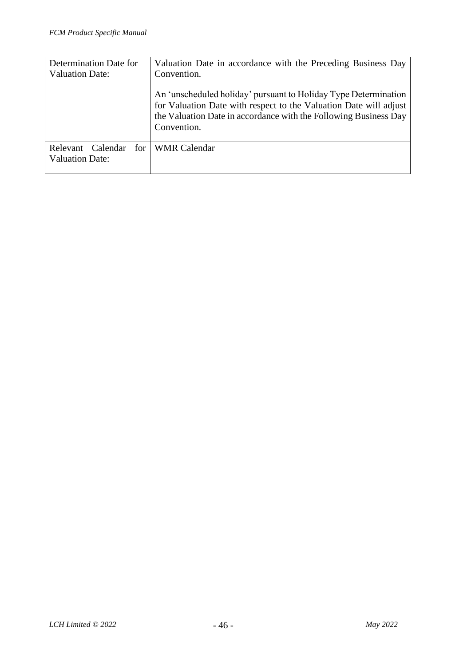| Determination Date for        | Valuation Date in accordance with the Preceding Business Day                                                                                                                                                            |  |  |  |
|-------------------------------|-------------------------------------------------------------------------------------------------------------------------------------------------------------------------------------------------------------------------|--|--|--|
| <b>Valuation Date:</b>        | Convention.                                                                                                                                                                                                             |  |  |  |
|                               | An 'unscheduled holiday' pursuant to Holiday Type Determination<br>for Valuation Date with respect to the Valuation Date will adjust<br>the Valuation Date in accordance with the Following Business Day<br>Convention. |  |  |  |
| Calendar<br>for 1<br>Relevant | WMR Calendar                                                                                                                                                                                                            |  |  |  |
| <b>Valuation Date:</b>        |                                                                                                                                                                                                                         |  |  |  |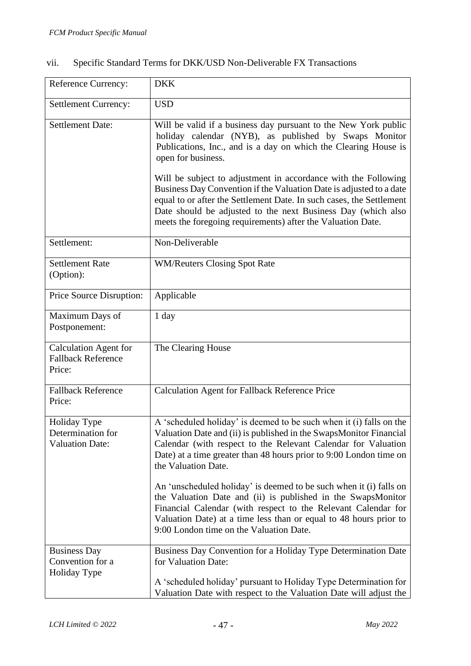| <b>Reference Currency:</b>                                          | <b>DKK</b>                                                                                                                                                                                                                                                                                                                                                                                                                                                                                                                                                                                                                     |
|---------------------------------------------------------------------|--------------------------------------------------------------------------------------------------------------------------------------------------------------------------------------------------------------------------------------------------------------------------------------------------------------------------------------------------------------------------------------------------------------------------------------------------------------------------------------------------------------------------------------------------------------------------------------------------------------------------------|
| Settlement Currency:                                                | <b>USD</b>                                                                                                                                                                                                                                                                                                                                                                                                                                                                                                                                                                                                                     |
| <b>Settlement Date:</b>                                             | Will be valid if a business day pursuant to the New York public<br>holiday calendar (NYB), as published by Swaps Monitor<br>Publications, Inc., and is a day on which the Clearing House is<br>open for business.<br>Will be subject to adjustment in accordance with the Following<br>Business Day Convention if the Valuation Date is adjusted to a date<br>equal to or after the Settlement Date. In such cases, the Settlement<br>Date should be adjusted to the next Business Day (which also<br>meets the foregoing requirements) after the Valuation Date.                                                              |
| Settlement:                                                         | Non-Deliverable                                                                                                                                                                                                                                                                                                                                                                                                                                                                                                                                                                                                                |
| <b>Settlement Rate</b><br>(Option):                                 | <b>WM/Reuters Closing Spot Rate</b>                                                                                                                                                                                                                                                                                                                                                                                                                                                                                                                                                                                            |
| Price Source Disruption:                                            | Applicable                                                                                                                                                                                                                                                                                                                                                                                                                                                                                                                                                                                                                     |
| Maximum Days of<br>Postponement:                                    | 1 day                                                                                                                                                                                                                                                                                                                                                                                                                                                                                                                                                                                                                          |
| <b>Calculation Agent for</b><br><b>Fallback Reference</b><br>Price: | The Clearing House                                                                                                                                                                                                                                                                                                                                                                                                                                                                                                                                                                                                             |
| <b>Fallback Reference</b><br>Price:                                 | <b>Calculation Agent for Fallback Reference Price</b>                                                                                                                                                                                                                                                                                                                                                                                                                                                                                                                                                                          |
| <b>Holiday Type</b><br>Determination for<br><b>Valuation Date:</b>  | A 'scheduled holiday' is deemed to be such when it (i) falls on the<br>Valuation Date and (ii) is published in the SwapsMonitor Financial<br>Calendar (with respect to the Relevant Calendar for Valuation<br>Date) at a time greater than 48 hours prior to 9:00 London time on<br>the Valuation Date.<br>An 'unscheduled holiday' is deemed to be such when it (i) falls on<br>the Valuation Date and (ii) is published in the SwapsMonitor<br>Financial Calendar (with respect to the Relevant Calendar for<br>Valuation Date) at a time less than or equal to 48 hours prior to<br>9:00 London time on the Valuation Date. |
| <b>Business Day</b><br>Convention for a<br>Holiday Type             | Business Day Convention for a Holiday Type Determination Date<br>for Valuation Date:<br>A 'scheduled holiday' pursuant to Holiday Type Determination for<br>Valuation Date with respect to the Valuation Date will adjust the                                                                                                                                                                                                                                                                                                                                                                                                  |

# vii. Specific Standard Terms for DKK/USD Non-Deliverable FX Transactions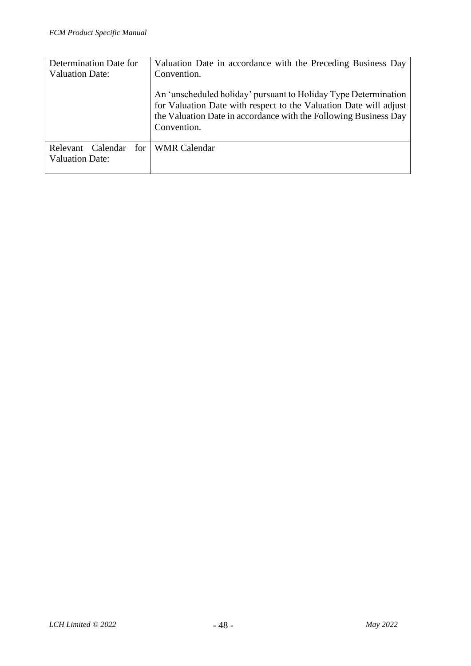| Determination Date for | Valuation Date in accordance with the Preceding Business Day                                                                                                                                                            |  |  |  |
|------------------------|-------------------------------------------------------------------------------------------------------------------------------------------------------------------------------------------------------------------------|--|--|--|
| <b>Valuation Date:</b> | Convention.                                                                                                                                                                                                             |  |  |  |
|                        | An 'unscheduled holiday' pursuant to Holiday Type Determination<br>for Valuation Date with respect to the Valuation Date will adjust<br>the Valuation Date in accordance with the Following Business Day<br>Convention. |  |  |  |
| Calendar<br>Relevant   | for WMR Calendar                                                                                                                                                                                                        |  |  |  |
| <b>Valuation Date:</b> |                                                                                                                                                                                                                         |  |  |  |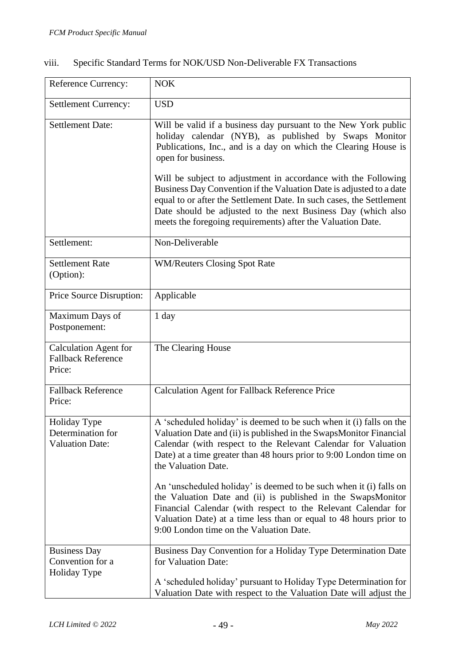| Reference Currency:                                                 | <b>NOK</b>                                                                                                                                                                                                                                                                                                                                                                                                                                                                                                                                                                                                                     |  |  |  |  |
|---------------------------------------------------------------------|--------------------------------------------------------------------------------------------------------------------------------------------------------------------------------------------------------------------------------------------------------------------------------------------------------------------------------------------------------------------------------------------------------------------------------------------------------------------------------------------------------------------------------------------------------------------------------------------------------------------------------|--|--|--|--|
| <b>Settlement Currency:</b>                                         | <b>USD</b>                                                                                                                                                                                                                                                                                                                                                                                                                                                                                                                                                                                                                     |  |  |  |  |
| <b>Settlement Date:</b>                                             | Will be valid if a business day pursuant to the New York public<br>holiday calendar (NYB), as published by Swaps Monitor<br>Publications, Inc., and is a day on which the Clearing House is<br>open for business.<br>Will be subject to adjustment in accordance with the Following<br>Business Day Convention if the Valuation Date is adjusted to a date<br>equal to or after the Settlement Date. In such cases, the Settlement<br>Date should be adjusted to the next Business Day (which also<br>meets the foregoing requirements) after the Valuation Date.                                                              |  |  |  |  |
| Settlement:                                                         | Non-Deliverable                                                                                                                                                                                                                                                                                                                                                                                                                                                                                                                                                                                                                |  |  |  |  |
| <b>Settlement Rate</b><br>(Option):                                 | <b>WM/Reuters Closing Spot Rate</b>                                                                                                                                                                                                                                                                                                                                                                                                                                                                                                                                                                                            |  |  |  |  |
| Price Source Disruption:                                            | Applicable                                                                                                                                                                                                                                                                                                                                                                                                                                                                                                                                                                                                                     |  |  |  |  |
| Maximum Days of<br>Postponement:                                    | 1 day                                                                                                                                                                                                                                                                                                                                                                                                                                                                                                                                                                                                                          |  |  |  |  |
| <b>Calculation Agent for</b><br><b>Fallback Reference</b><br>Price: | The Clearing House                                                                                                                                                                                                                                                                                                                                                                                                                                                                                                                                                                                                             |  |  |  |  |
| <b>Fallback Reference</b><br>Price:                                 | <b>Calculation Agent for Fallback Reference Price</b>                                                                                                                                                                                                                                                                                                                                                                                                                                                                                                                                                                          |  |  |  |  |
| Holiday Type<br>Determination for<br><b>Valuation Date:</b>         | A 'scheduled holiday' is deemed to be such when it (i) falls on the<br>Valuation Date and (ii) is published in the SwapsMonitor Financial<br>Calendar (with respect to the Relevant Calendar for Valuation<br>Date) at a time greater than 48 hours prior to 9:00 London time on<br>the Valuation Date.<br>An 'unscheduled holiday' is deemed to be such when it (i) falls on<br>the Valuation Date and (ii) is published in the SwapsMonitor<br>Financial Calendar (with respect to the Relevant Calendar for<br>Valuation Date) at a time less than or equal to 48 hours prior to<br>9:00 London time on the Valuation Date. |  |  |  |  |
| <b>Business Day</b><br>Convention for a<br>Holiday Type             | Business Day Convention for a Holiday Type Determination Date<br>for Valuation Date:<br>A 'scheduled holiday' pursuant to Holiday Type Determination for<br>Valuation Date with respect to the Valuation Date will adjust the                                                                                                                                                                                                                                                                                                                                                                                                  |  |  |  |  |

# viii. Specific Standard Terms for NOK/USD Non-Deliverable FX Transactions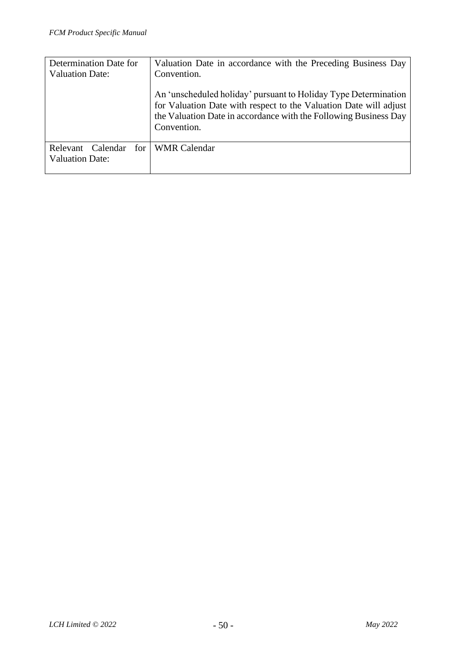| Determination Date for        | Valuation Date in accordance with the Preceding Business Day                                                                                                                                                            |  |  |  |  |
|-------------------------------|-------------------------------------------------------------------------------------------------------------------------------------------------------------------------------------------------------------------------|--|--|--|--|
| <b>Valuation Date:</b>        | Convention.                                                                                                                                                                                                             |  |  |  |  |
|                               | An 'unscheduled holiday' pursuant to Holiday Type Determination<br>for Valuation Date with respect to the Valuation Date will adjust<br>the Valuation Date in accordance with the Following Business Day<br>Convention. |  |  |  |  |
| for 1<br>Calendar<br>Relevant | <b>WMR</b> Calendar                                                                                                                                                                                                     |  |  |  |  |
| <b>Valuation Date:</b>        |                                                                                                                                                                                                                         |  |  |  |  |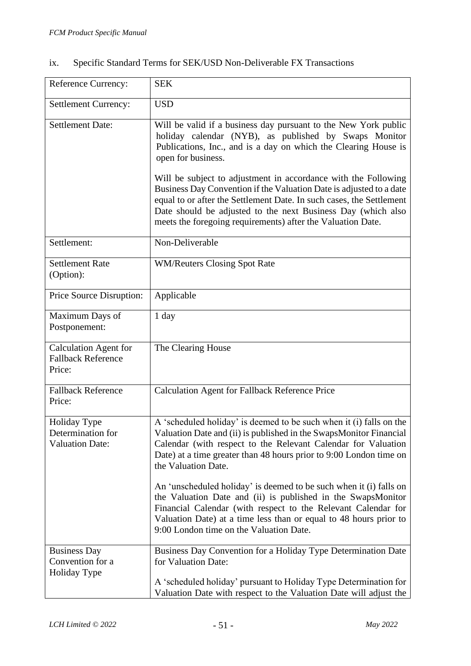| Specific Standard Terms for SEK/USD Non-Deliverable FX Transactions | ix. |  |  |  |  |
|---------------------------------------------------------------------|-----|--|--|--|--|
|---------------------------------------------------------------------|-----|--|--|--|--|

| Reference Currency:                                                 | <b>SEK</b>                                                                                                                                                                                                                                                                                                          |
|---------------------------------------------------------------------|---------------------------------------------------------------------------------------------------------------------------------------------------------------------------------------------------------------------------------------------------------------------------------------------------------------------|
| <b>Settlement Currency:</b>                                         | <b>USD</b>                                                                                                                                                                                                                                                                                                          |
| <b>Settlement Date:</b>                                             | Will be valid if a business day pursuant to the New York public<br>holiday calendar (NYB), as published by Swaps Monitor<br>Publications, Inc., and is a day on which the Clearing House is<br>open for business.<br>Will be subject to adjustment in accordance with the Following                                 |
|                                                                     | Business Day Convention if the Valuation Date is adjusted to a date<br>equal to or after the Settlement Date. In such cases, the Settlement<br>Date should be adjusted to the next Business Day (which also<br>meets the foregoing requirements) after the Valuation Date.                                          |
| Settlement:                                                         | Non-Deliverable                                                                                                                                                                                                                                                                                                     |
| <b>Settlement Rate</b><br>(Option):                                 | <b>WM/Reuters Closing Spot Rate</b>                                                                                                                                                                                                                                                                                 |
| Price Source Disruption:                                            | Applicable                                                                                                                                                                                                                                                                                                          |
| Maximum Days of<br>Postponement:                                    | 1 day                                                                                                                                                                                                                                                                                                               |
| <b>Calculation Agent for</b><br><b>Fallback Reference</b><br>Price: | The Clearing House                                                                                                                                                                                                                                                                                                  |
| <b>Fallback Reference</b><br>Price:                                 | Calculation Agent for Fallback Reference Price                                                                                                                                                                                                                                                                      |
| Holiday Type<br>Determination for<br><b>Valuation Date:</b>         | A 'scheduled holiday' is deemed to be such when it (i) falls on the<br>Valuation Date and (ii) is published in the SwapsMonitor Financial<br>Calendar (with respect to the Relevant Calendar for Valuation<br>Date) at a time greater than 48 hours prior to 9:00 London time on<br>the Valuation Date.             |
|                                                                     | An 'unscheduled holiday' is deemed to be such when it (i) falls on<br>the Valuation Date and (ii) is published in the SwapsMonitor<br>Financial Calendar (with respect to the Relevant Calendar for<br>Valuation Date) at a time less than or equal to 48 hours prior to<br>9:00 London time on the Valuation Date. |
| <b>Business Day</b><br>Convention for a<br>Holiday Type             | Business Day Convention for a Holiday Type Determination Date<br>for Valuation Date:<br>A 'scheduled holiday' pursuant to Holiday Type Determination for<br>Valuation Date with respect to the Valuation Date will adjust the                                                                                       |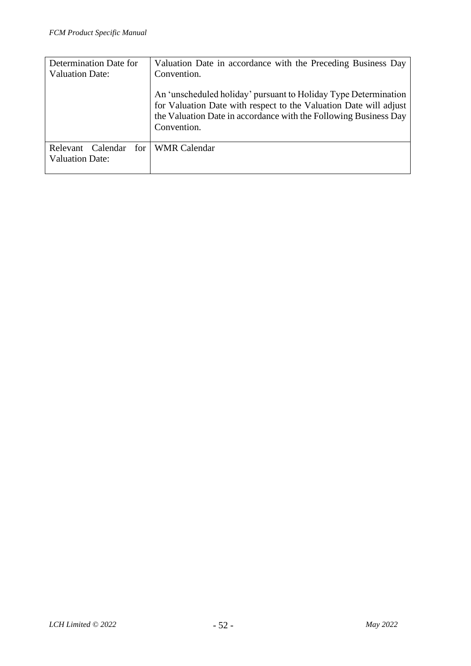| Determination Date for                             | Valuation Date in accordance with the Preceding Business Day                                                                                                                                                            |  |  |  |
|----------------------------------------------------|-------------------------------------------------------------------------------------------------------------------------------------------------------------------------------------------------------------------------|--|--|--|
| <b>Valuation Date:</b>                             | Convention.                                                                                                                                                                                                             |  |  |  |
|                                                    | An 'unscheduled holiday' pursuant to Holiday Type Determination<br>for Valuation Date with respect to the Valuation Date will adjust<br>the Valuation Date in accordance with the Following Business Day<br>Convention. |  |  |  |
| Relevant Calendar<br>for<br><b>Valuation Date:</b> | <b>WMR Calendar</b>                                                                                                                                                                                                     |  |  |  |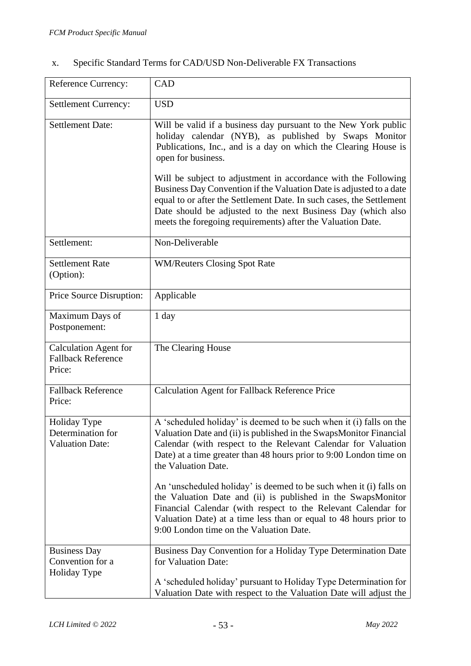| Х. |  |  |  | Specific Standard Terms for CAD/USD Non-Deliverable FX Transactions |
|----|--|--|--|---------------------------------------------------------------------|
|    |  |  |  |                                                                     |

| Reference Currency:                                                 | CAD                                                                                                                                                                                                                                                                                                                                                                                                                                                                                                            |
|---------------------------------------------------------------------|----------------------------------------------------------------------------------------------------------------------------------------------------------------------------------------------------------------------------------------------------------------------------------------------------------------------------------------------------------------------------------------------------------------------------------------------------------------------------------------------------------------|
| <b>Settlement Currency:</b>                                         | <b>USD</b>                                                                                                                                                                                                                                                                                                                                                                                                                                                                                                     |
| <b>Settlement Date:</b>                                             | Will be valid if a business day pursuant to the New York public<br>holiday calendar (NYB), as published by Swaps Monitor<br>Publications, Inc., and is a day on which the Clearing House is<br>open for business.<br>Will be subject to adjustment in accordance with the Following<br>Business Day Convention if the Valuation Date is adjusted to a date<br>equal to or after the Settlement Date. In such cases, the Settlement<br>Date should be adjusted to the next Business Day (which also             |
|                                                                     | meets the foregoing requirements) after the Valuation Date.                                                                                                                                                                                                                                                                                                                                                                                                                                                    |
| Settlement:                                                         | Non-Deliverable                                                                                                                                                                                                                                                                                                                                                                                                                                                                                                |
| <b>Settlement Rate</b><br>(Option):                                 | <b>WM/Reuters Closing Spot Rate</b>                                                                                                                                                                                                                                                                                                                                                                                                                                                                            |
| Price Source Disruption:                                            | Applicable                                                                                                                                                                                                                                                                                                                                                                                                                                                                                                     |
| Maximum Days of<br>Postponement:                                    | 1 day                                                                                                                                                                                                                                                                                                                                                                                                                                                                                                          |
| <b>Calculation Agent for</b><br><b>Fallback Reference</b><br>Price: | The Clearing House                                                                                                                                                                                                                                                                                                                                                                                                                                                                                             |
| <b>Fallback Reference</b><br>Price:                                 | <b>Calculation Agent for Fallback Reference Price</b>                                                                                                                                                                                                                                                                                                                                                                                                                                                          |
| Holiday Type<br>Determination for<br><b>Valuation Date:</b>         | A 'scheduled holiday' is deemed to be such when it (i) falls on the<br>Valuation Date and (ii) is published in the SwapsMonitor Financial<br>Calendar (with respect to the Relevant Calendar for Valuation<br>Date) at a time greater than 48 hours prior to 9:00 London time on<br>the Valuation Date.<br>An 'unscheduled holiday' is deemed to be such when it (i) falls on<br>the Valuation Date and (ii) is published in the SwapsMonitor<br>Financial Calendar (with respect to the Relevant Calendar for |
|                                                                     | Valuation Date) at a time less than or equal to 48 hours prior to<br>9:00 London time on the Valuation Date.                                                                                                                                                                                                                                                                                                                                                                                                   |
| <b>Business Day</b><br>Convention for a<br>Holiday Type             | Business Day Convention for a Holiday Type Determination Date<br>for Valuation Date:<br>A 'scheduled holiday' pursuant to Holiday Type Determination for<br>Valuation Date with respect to the Valuation Date will adjust the                                                                                                                                                                                                                                                                                  |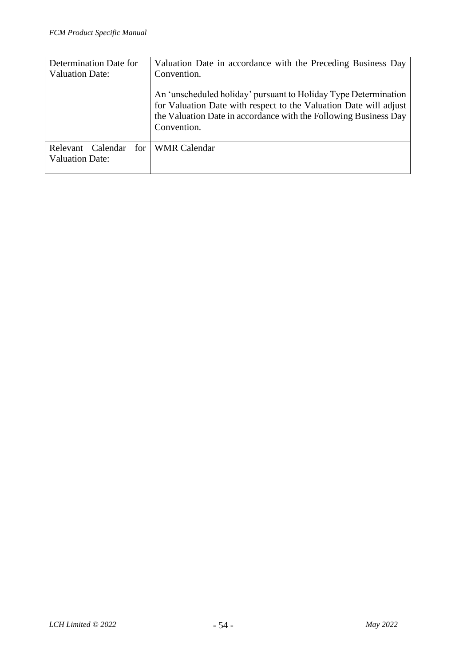| Determination Date for | Valuation Date in accordance with the Preceding Business Day                                                                                                                                                            |
|------------------------|-------------------------------------------------------------------------------------------------------------------------------------------------------------------------------------------------------------------------|
| <b>Valuation Date:</b> | Convention.                                                                                                                                                                                                             |
|                        | An 'unscheduled holiday' pursuant to Holiday Type Determination<br>for Valuation Date with respect to the Valuation Date will adjust<br>the Valuation Date in accordance with the Following Business Day<br>Convention. |
| Calendar<br>Relevant   | for WMR Calendar                                                                                                                                                                                                        |
| <b>Valuation Date:</b> |                                                                                                                                                                                                                         |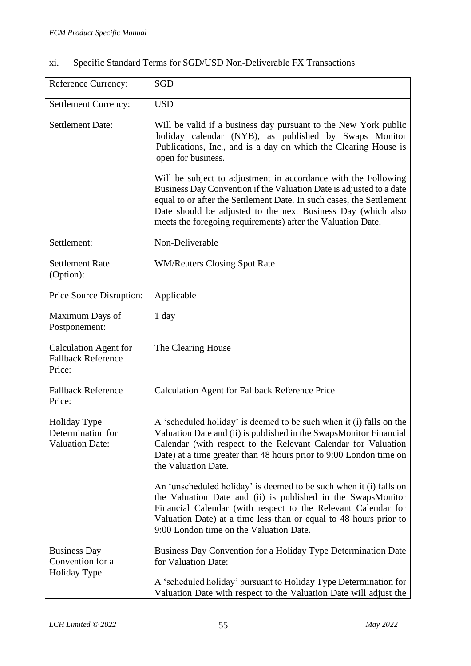| Reference Currency:                                                 | <b>SGD</b>                                                                                                                                                                                                                                                                                                                                   |
|---------------------------------------------------------------------|----------------------------------------------------------------------------------------------------------------------------------------------------------------------------------------------------------------------------------------------------------------------------------------------------------------------------------------------|
| <b>Settlement Currency:</b>                                         | <b>USD</b>                                                                                                                                                                                                                                                                                                                                   |
| <b>Settlement Date:</b>                                             | Will be valid if a business day pursuant to the New York public<br>holiday calendar (NYB), as published by Swaps Monitor<br>Publications, Inc., and is a day on which the Clearing House is<br>open for business.                                                                                                                            |
|                                                                     | Will be subject to adjustment in accordance with the Following<br>Business Day Convention if the Valuation Date is adjusted to a date<br>equal to or after the Settlement Date. In such cases, the Settlement<br>Date should be adjusted to the next Business Day (which also<br>meets the foregoing requirements) after the Valuation Date. |
| Settlement:                                                         | Non-Deliverable                                                                                                                                                                                                                                                                                                                              |
| <b>Settlement Rate</b><br>(Option):                                 | <b>WM/Reuters Closing Spot Rate</b>                                                                                                                                                                                                                                                                                                          |
| Price Source Disruption:                                            | Applicable                                                                                                                                                                                                                                                                                                                                   |
| Maximum Days of<br>Postponement:                                    | 1 day                                                                                                                                                                                                                                                                                                                                        |
| <b>Calculation Agent for</b><br><b>Fallback Reference</b><br>Price: | The Clearing House                                                                                                                                                                                                                                                                                                                           |
| <b>Fallback Reference</b><br>Price:                                 | <b>Calculation Agent for Fallback Reference Price</b>                                                                                                                                                                                                                                                                                        |
| Holiday Type<br>Determination for<br><b>Valuation Date:</b>         | A 'scheduled holiday' is deemed to be such when it (i) falls on the<br>Valuation Date and (ii) is published in the SwapsMonitor Financial<br>Calendar (with respect to the Relevant Calendar for Valuation<br>Date) at a time greater than 48 hours prior to 9:00 London time on<br>the Valuation Date.                                      |
|                                                                     | An iungebeduled helidev' is deemed to be such when it (i) fells on                                                                                                                                                                                                                                                                           |

#### xi. Specific Standard Terms for SGD/USD Non-Deliverable FX Transactions

An 'unscheduled holiday' is deemed to be such when it (i) falls on the Valuation Date and (ii) is published in the SwapsMonitor Financial Calendar (with respect to the Relevant Calendar for Valuation Date) at a time less than or equal to 48 hours prior to 9:00 London time on the Valuation Date. Business Day Convention for a Holiday Type Business Day Convention for a Holiday Type Determination Date for Valuation Date: A 'scheduled holiday' pursuant to Holiday Type Determination for Valuation Date with respect to the Valuation Date will adjust the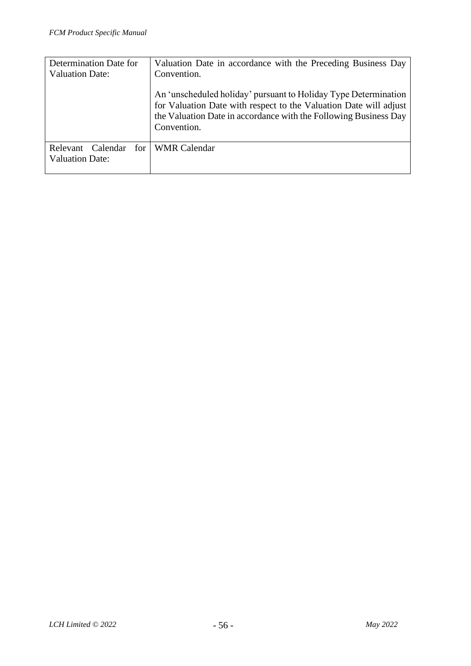| Determination Date for                                  | Valuation Date in accordance with the Preceding Business Day                                                                                                                                                                           |
|---------------------------------------------------------|----------------------------------------------------------------------------------------------------------------------------------------------------------------------------------------------------------------------------------------|
| <b>Valuation Date:</b>                                  | Convention.<br>An 'unscheduled holiday' pursuant to Holiday Type Determination<br>for Valuation Date with respect to the Valuation Date will adjust<br>the Valuation Date in accordance with the Following Business Day<br>Convention. |
| for 1<br>Calendar<br>Relevant<br><b>Valuation Date:</b> | <b>WMR</b> Calendar                                                                                                                                                                                                                    |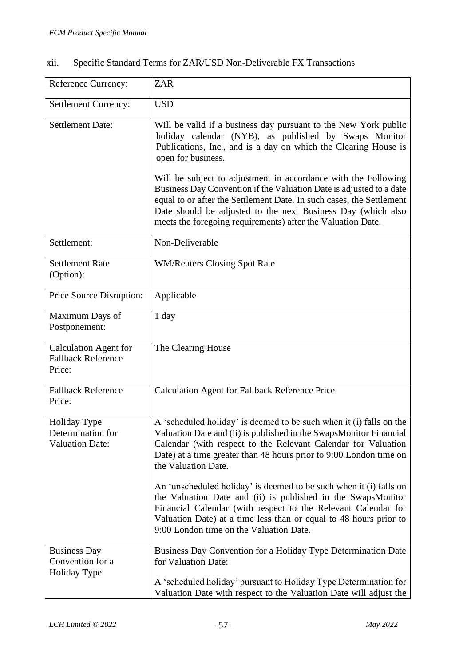| Specific Standard Terms for ZAR/USD Non-Deliverable FX Transactions | xii. |  |  |  |  |
|---------------------------------------------------------------------|------|--|--|--|--|
|---------------------------------------------------------------------|------|--|--|--|--|

| Reference Currency:                                                 | <b>ZAR</b>                                                                                                                                                                                                                                                                                                                                                                                                                         |
|---------------------------------------------------------------------|------------------------------------------------------------------------------------------------------------------------------------------------------------------------------------------------------------------------------------------------------------------------------------------------------------------------------------------------------------------------------------------------------------------------------------|
| <b>Settlement Currency:</b>                                         | <b>USD</b>                                                                                                                                                                                                                                                                                                                                                                                                                         |
| <b>Settlement Date:</b>                                             | Will be valid if a business day pursuant to the New York public<br>holiday calendar (NYB), as published by Swaps Monitor<br>Publications, Inc., and is a day on which the Clearing House is<br>open for business.<br>Will be subject to adjustment in accordance with the Following<br>Business Day Convention if the Valuation Date is adjusted to a date<br>equal to or after the Settlement Date. In such cases, the Settlement |
|                                                                     | Date should be adjusted to the next Business Day (which also<br>meets the foregoing requirements) after the Valuation Date.                                                                                                                                                                                                                                                                                                        |
| Settlement:                                                         | Non-Deliverable                                                                                                                                                                                                                                                                                                                                                                                                                    |
| <b>Settlement Rate</b><br>(Option):                                 | <b>WM/Reuters Closing Spot Rate</b>                                                                                                                                                                                                                                                                                                                                                                                                |
| Price Source Disruption:                                            | Applicable                                                                                                                                                                                                                                                                                                                                                                                                                         |
| Maximum Days of<br>Postponement:                                    | 1 day                                                                                                                                                                                                                                                                                                                                                                                                                              |
| <b>Calculation Agent for</b><br><b>Fallback Reference</b><br>Price: | The Clearing House                                                                                                                                                                                                                                                                                                                                                                                                                 |
| <b>Fallback Reference</b><br>Price:                                 | <b>Calculation Agent for Fallback Reference Price</b>                                                                                                                                                                                                                                                                                                                                                                              |
| Holiday Type<br>Determination for<br><b>Valuation Date:</b>         | A 'scheduled holiday' is deemed to be such when it (i) falls on the<br>Valuation Date and (ii) is published in the SwapsMonitor Financial<br>Calendar (with respect to the Relevant Calendar for Valuation<br>Date) at a time greater than 48 hours prior to 9:00 London time on<br>the Valuation Date.<br>An 'unscheduled holiday' is deemed to be such when it (i) falls on                                                      |
|                                                                     | the Valuation Date and (ii) is published in the SwapsMonitor<br>Financial Calendar (with respect to the Relevant Calendar for<br>Valuation Date) at a time less than or equal to 48 hours prior to<br>9:00 London time on the Valuation Date.                                                                                                                                                                                      |
| <b>Business Day</b><br>Convention for a<br>Holiday Type             | Business Day Convention for a Holiday Type Determination Date<br>for Valuation Date:<br>A 'scheduled holiday' pursuant to Holiday Type Determination for<br>Valuation Date with respect to the Valuation Date will adjust the                                                                                                                                                                                                      |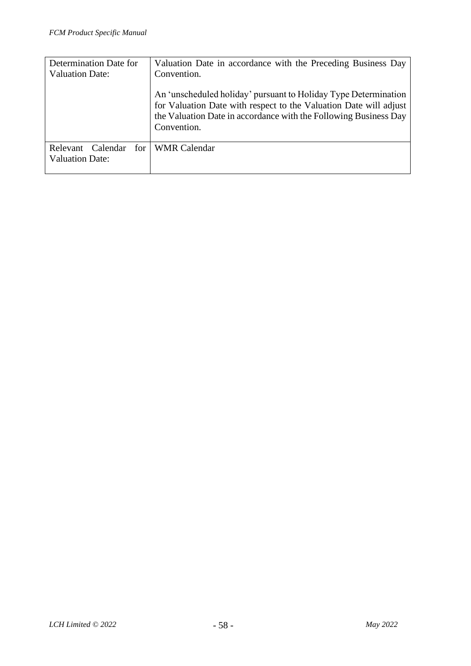| Determination Date for<br><b>Valuation Date:</b>        | Valuation Date in accordance with the Preceding Business Day<br>Convention.                                                                                                                                             |
|---------------------------------------------------------|-------------------------------------------------------------------------------------------------------------------------------------------------------------------------------------------------------------------------|
|                                                         | An 'unscheduled holiday' pursuant to Holiday Type Determination<br>for Valuation Date with respect to the Valuation Date will adjust<br>the Valuation Date in accordance with the Following Business Day<br>Convention. |
| for 1<br>Calendar<br>Relevant<br><b>Valuation Date:</b> | <b>WMR</b> Calendar                                                                                                                                                                                                     |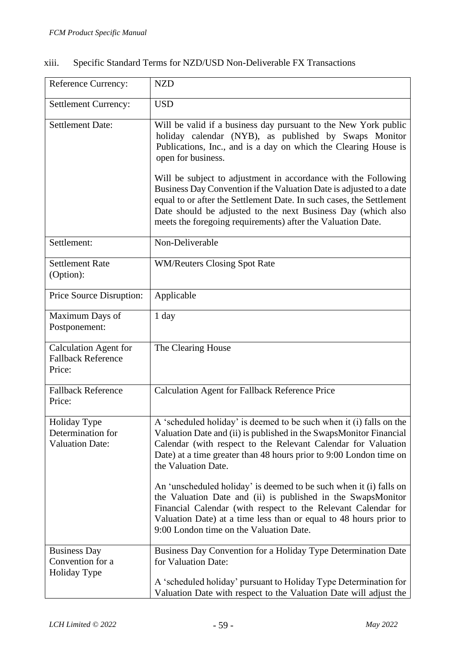| xiii. | Specific Standard Terms for NZD/USD Non-Deliverable FX Transactions |  |
|-------|---------------------------------------------------------------------|--|
|       |                                                                     |  |

| <b>Reference Currency:</b>                                          | <b>NZD</b>                                                                                                                                                                                                                                                                                                                                                                                                                                                                                         |
|---------------------------------------------------------------------|----------------------------------------------------------------------------------------------------------------------------------------------------------------------------------------------------------------------------------------------------------------------------------------------------------------------------------------------------------------------------------------------------------------------------------------------------------------------------------------------------|
| <b>Settlement Currency:</b>                                         | <b>USD</b>                                                                                                                                                                                                                                                                                                                                                                                                                                                                                         |
| <b>Settlement Date:</b>                                             | Will be valid if a business day pursuant to the New York public<br>holiday calendar (NYB), as published by Swaps Monitor<br>Publications, Inc., and is a day on which the Clearing House is<br>open for business.<br>Will be subject to adjustment in accordance with the Following<br>Business Day Convention if the Valuation Date is adjusted to a date<br>equal to or after the Settlement Date. In such cases, the Settlement<br>Date should be adjusted to the next Business Day (which also |
|                                                                     | meets the foregoing requirements) after the Valuation Date.                                                                                                                                                                                                                                                                                                                                                                                                                                        |
| Settlement:                                                         | Non-Deliverable                                                                                                                                                                                                                                                                                                                                                                                                                                                                                    |
| <b>Settlement Rate</b><br>(Option):                                 | <b>WM/Reuters Closing Spot Rate</b>                                                                                                                                                                                                                                                                                                                                                                                                                                                                |
| Price Source Disruption:                                            | Applicable                                                                                                                                                                                                                                                                                                                                                                                                                                                                                         |
| Maximum Days of<br>Postponement:                                    | $1$ day                                                                                                                                                                                                                                                                                                                                                                                                                                                                                            |
| <b>Calculation Agent for</b><br><b>Fallback Reference</b><br>Price: | The Clearing House                                                                                                                                                                                                                                                                                                                                                                                                                                                                                 |
| <b>Fallback Reference</b><br>Price:                                 | <b>Calculation Agent for Fallback Reference Price</b>                                                                                                                                                                                                                                                                                                                                                                                                                                              |
| Holiday Type<br>Determination for<br><b>Valuation Date:</b>         | A 'scheduled holiday' is deemed to be such when it (i) falls on the<br>Valuation Date and (ii) is published in the SwapsMonitor Financial<br>Calendar (with respect to the Relevant Calendar for Valuation<br>Date) at a time greater than 48 hours prior to 9:00 London time on<br>the Valuation Date.<br>An 'unscheduled holiday' is deemed to be such when it (i) falls on<br>the Valuation Date and (ii) is published in the SwapsMonitor                                                      |
|                                                                     | Financial Calendar (with respect to the Relevant Calendar for<br>Valuation Date) at a time less than or equal to 48 hours prior to<br>9:00 London time on the Valuation Date.                                                                                                                                                                                                                                                                                                                      |
| <b>Business Day</b><br>Convention for a<br>Holiday Type             | Business Day Convention for a Holiday Type Determination Date<br>for Valuation Date:<br>A 'scheduled holiday' pursuant to Holiday Type Determination for<br>Valuation Date with respect to the Valuation Date will adjust the                                                                                                                                                                                                                                                                      |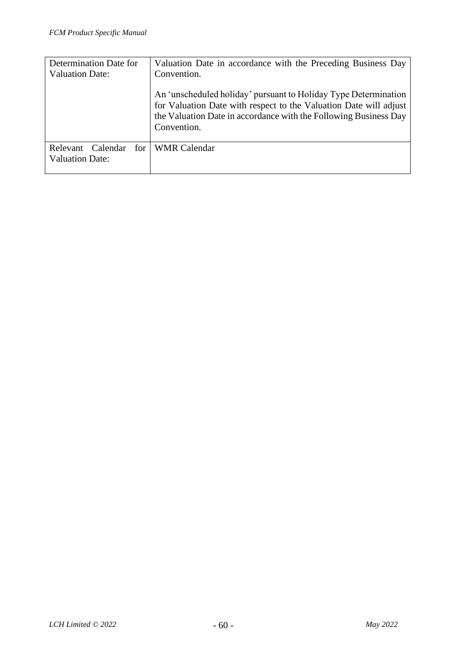| Determination Date for        | Valuation Date in accordance with the Preceding Business Day                                                                                                                                                            |
|-------------------------------|-------------------------------------------------------------------------------------------------------------------------------------------------------------------------------------------------------------------------|
| <b>Valuation Date:</b>        | Convention.                                                                                                                                                                                                             |
|                               | An 'unscheduled holiday' pursuant to Holiday Type Determination<br>for Valuation Date with respect to the Valuation Date will adjust<br>the Valuation Date in accordance with the Following Business Day<br>Convention. |
| for 1<br>Calendar<br>Relevant | <b>WMR</b> Calendar                                                                                                                                                                                                     |
| <b>Valuation Date:</b>        |                                                                                                                                                                                                                         |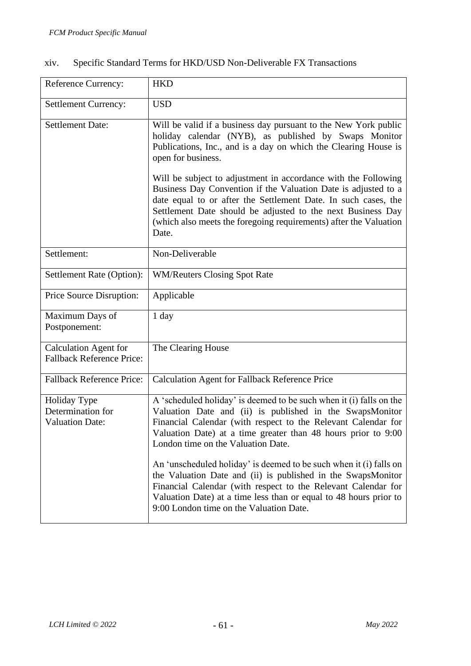| <b>Reference Currency:</b>                                       | <b>HKD</b>                                                                                                                                                                                                                                                                                                                                      |
|------------------------------------------------------------------|-------------------------------------------------------------------------------------------------------------------------------------------------------------------------------------------------------------------------------------------------------------------------------------------------------------------------------------------------|
| <b>Settlement Currency:</b>                                      | <b>USD</b>                                                                                                                                                                                                                                                                                                                                      |
| <b>Settlement Date:</b>                                          | Will be valid if a business day pursuant to the New York public<br>holiday calendar (NYB), as published by Swaps Monitor<br>Publications, Inc., and is a day on which the Clearing House is<br>open for business.                                                                                                                               |
|                                                                  | Will be subject to adjustment in accordance with the Following<br>Business Day Convention if the Valuation Date is adjusted to a<br>date equal to or after the Settlement Date. In such cases, the<br>Settlement Date should be adjusted to the next Business Day<br>(which also meets the foregoing requirements) after the Valuation<br>Date. |
| Settlement:                                                      | Non-Deliverable                                                                                                                                                                                                                                                                                                                                 |
| Settlement Rate (Option):                                        | <b>WM/Reuters Closing Spot Rate</b>                                                                                                                                                                                                                                                                                                             |
| Price Source Disruption:                                         | Applicable                                                                                                                                                                                                                                                                                                                                      |
| Maximum Days of<br>Postponement:                                 | 1 day                                                                                                                                                                                                                                                                                                                                           |
| <b>Calculation Agent for</b><br><b>Fallback Reference Price:</b> | The Clearing House                                                                                                                                                                                                                                                                                                                              |
| <b>Fallback Reference Price:</b>                                 | <b>Calculation Agent for Fallback Reference Price</b>                                                                                                                                                                                                                                                                                           |
| Holiday Type<br>Determination for<br><b>Valuation Date:</b>      | A 'scheduled holiday' is deemed to be such when it (i) falls on the<br>Valuation Date and (ii) is published in the SwapsMonitor<br>Financial Calendar (with respect to the Relevant Calendar for<br>Valuation Date) at a time greater than 48 hours prior to 9:00<br>London time on the Valuation Date.                                         |
|                                                                  | An 'unscheduled holiday' is deemed to be such when it (i) falls on<br>the Valuation Date and (ii) is published in the SwapsMonitor<br>Financial Calendar (with respect to the Relevant Calendar for<br>Valuation Date) at a time less than or equal to 48 hours prior to<br>9:00 London time on the Valuation Date.                             |

# xiv. Specific Standard Terms for HKD/USD Non-Deliverable FX Transactions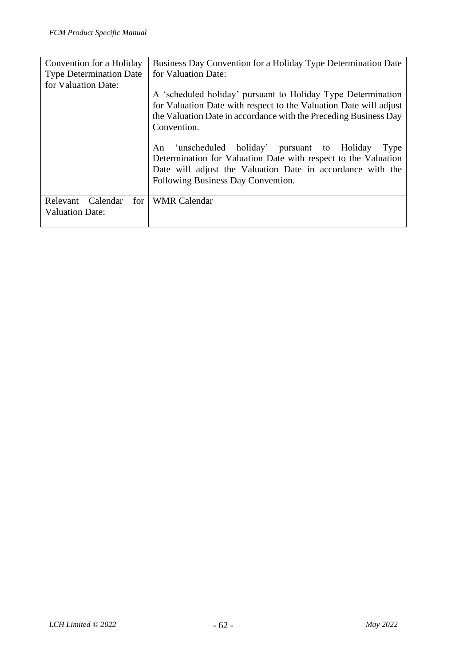| Convention for a Holiday                              | Business Day Convention for a Holiday Type Determination Date                                                                                                                                                                 |
|-------------------------------------------------------|-------------------------------------------------------------------------------------------------------------------------------------------------------------------------------------------------------------------------------|
| <b>Type Determination Date</b><br>for Valuation Date: | for Valuation Date:                                                                                                                                                                                                           |
|                                                       | A 'scheduled holiday' pursuant to Holiday Type Determination<br>for Valuation Date with respect to the Valuation Date will adjust<br>the Valuation Date in accordance with the Preceding Business Day<br>Convention.          |
|                                                       | 'unscheduled holiday' pursuant to Holiday<br>An<br>Type<br>Determination for Valuation Date with respect to the Valuation<br>Date will adjust the Valuation Date in accordance with the<br>Following Business Day Convention. |
| Relevant<br>Calendar<br>for<br>Valuation Date:        | <b>WMR</b> Calendar                                                                                                                                                                                                           |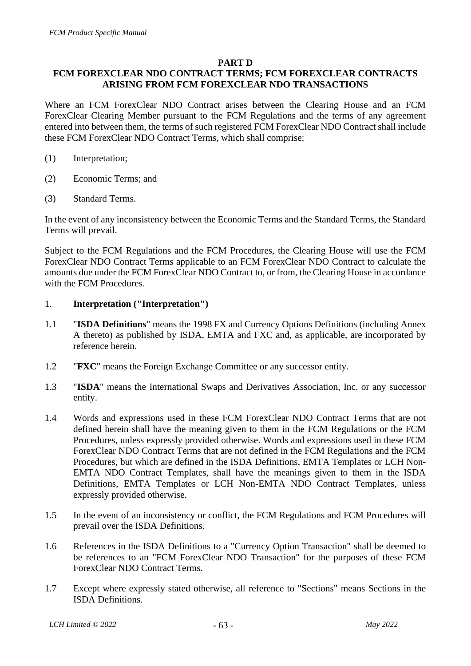#### **PART D**

## **FCM FOREXCLEAR NDO CONTRACT TERMS; FCM FOREXCLEAR CONTRACTS ARISING FROM FCM FOREXCLEAR NDO TRANSACTIONS**

Where an FCM ForexClear NDO Contract arises between the Clearing House and an FCM ForexClear Clearing Member pursuant to the FCM Regulations and the terms of any agreement entered into between them, the terms of such registered FCM ForexClear NDO Contract shall include these FCM ForexClear NDO Contract Terms, which shall comprise:

- (1) Interpretation;
- (2) Economic Terms; and
- (3) Standard Terms.

In the event of any inconsistency between the Economic Terms and the Standard Terms, the Standard Terms will prevail.

Subject to the FCM Regulations and the FCM Procedures, the Clearing House will use the FCM ForexClear NDO Contract Terms applicable to an FCM ForexClear NDO Contract to calculate the amounts due under the FCM ForexClear NDO Contract to, or from, the Clearing House in accordance with the FCM Procedures.

#### 1. **Interpretation ("Interpretation")**

- 1.1 "**ISDA Definitions**" means the 1998 FX and Currency Options Definitions (including Annex A thereto) as published by ISDA, EMTA and FXC and, as applicable, are incorporated by reference herein.
- 1.2 "**FXC**" means the Foreign Exchange Committee or any successor entity.
- 1.3 "**ISDA**" means the International Swaps and Derivatives Association, Inc. or any successor entity.
- 1.4 Words and expressions used in these FCM ForexClear NDO Contract Terms that are not defined herein shall have the meaning given to them in the FCM Regulations or the FCM Procedures, unless expressly provided otherwise. Words and expressions used in these FCM ForexClear NDO Contract Terms that are not defined in the FCM Regulations and the FCM Procedures, but which are defined in the ISDA Definitions, EMTA Templates or LCH Non-EMTA NDO Contract Templates, shall have the meanings given to them in the ISDA Definitions, EMTA Templates or LCH Non-EMTA NDO Contract Templates, unless expressly provided otherwise.
- 1.5 In the event of an inconsistency or conflict, the FCM Regulations and FCM Procedures will prevail over the ISDA Definitions.
- 1.6 References in the ISDA Definitions to a "Currency Option Transaction" shall be deemed to be references to an "FCM ForexClear NDO Transaction" for the purposes of these FCM ForexClear NDO Contract Terms.
- 1.7 Except where expressly stated otherwise, all reference to "Sections" means Sections in the ISDA Definitions.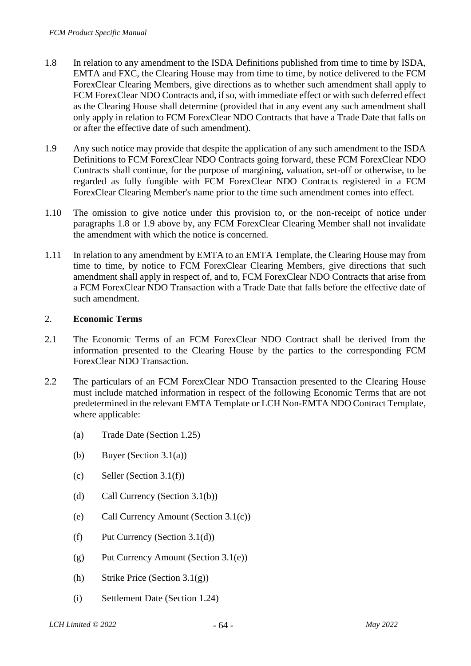- 1.8 In relation to any amendment to the ISDA Definitions published from time to time by ISDA, EMTA and FXC, the Clearing House may from time to time, by notice delivered to the FCM ForexClear Clearing Members, give directions as to whether such amendment shall apply to FCM ForexClear NDO Contracts and, if so, with immediate effect or with such deferred effect as the Clearing House shall determine (provided that in any event any such amendment shall only apply in relation to FCM ForexClear NDO Contracts that have a Trade Date that falls on or after the effective date of such amendment).
- 1.9 Any such notice may provide that despite the application of any such amendment to the ISDA Definitions to FCM ForexClear NDO Contracts going forward, these FCM ForexClear NDO Contracts shall continue, for the purpose of margining, valuation, set-off or otherwise, to be regarded as fully fungible with FCM ForexClear NDO Contracts registered in a FCM ForexClear Clearing Member's name prior to the time such amendment comes into effect.
- 1.10 The omission to give notice under this provision to, or the non-receipt of notice under paragraphs 1.8 or 1.9 above by, any FCM ForexClear Clearing Member shall not invalidate the amendment with which the notice is concerned.
- 1.11 In relation to any amendment by EMTA to an EMTA Template, the Clearing House may from time to time, by notice to FCM ForexClear Clearing Members, give directions that such amendment shall apply in respect of, and to, FCM ForexClear NDO Contracts that arise from a FCM ForexClear NDO Transaction with a Trade Date that falls before the effective date of such amendment.

#### 2. **Economic Terms**

- 2.1 The Economic Terms of an FCM ForexClear NDO Contract shall be derived from the information presented to the Clearing House by the parties to the corresponding FCM ForexClear NDO Transaction.
- 2.2 The particulars of an FCM ForexClear NDO Transaction presented to the Clearing House must include matched information in respect of the following Economic Terms that are not predetermined in the relevant EMTA Template or LCH Non-EMTA NDO Contract Template, where applicable:
	- (a) Trade Date (Section 1.25)
	- (b) Buyer (Section 3.1(a))
	- (c) Seller (Section  $3.1(f)$ )
	- (d) Call Currency (Section 3.1(b))
	- (e) Call Currency Amount (Section 3.1(c))
	- (f) Put Currency (Section 3.1(d))
	- (g) Put Currency Amount (Section 3.1(e))
	- (h) Strike Price (Section 3.1(g))
	- (i) Settlement Date (Section 1.24)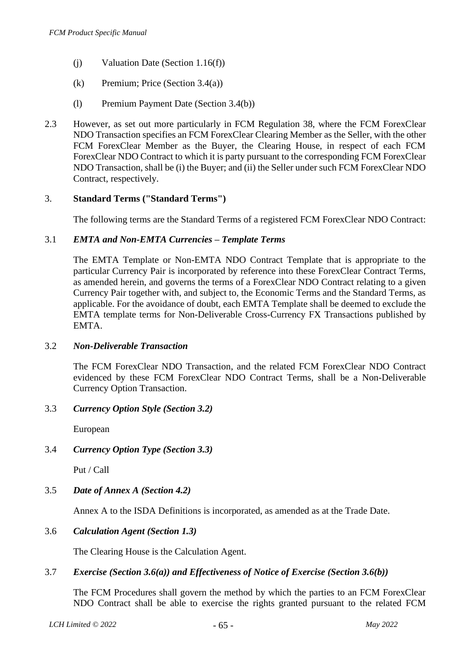- (j) Valuation Date (Section 1.16(f))
- (k) Premium; Price (Section 3.4(a))
- (l) Premium Payment Date (Section 3.4(b))
- 2.3 However, as set out more particularly in FCM Regulation 38, where the FCM ForexClear NDO Transaction specifies an FCM ForexClear Clearing Member as the Seller, with the other FCM ForexClear Member as the Buyer, the Clearing House, in respect of each FCM ForexClear NDO Contract to which it is party pursuant to the corresponding FCM ForexClear NDO Transaction, shall be (i) the Buyer; and (ii) the Seller under such FCM ForexClear NDO Contract, respectively.

#### 3. **Standard Terms ("Standard Terms")**

The following terms are the Standard Terms of a registered FCM ForexClear NDO Contract:

#### 3.1 *EMTA and Non-EMTA Currencies – Template Terms*

The EMTA Template or Non-EMTA NDO Contract Template that is appropriate to the particular Currency Pair is incorporated by reference into these ForexClear Contract Terms, as amended herein, and governs the terms of a ForexClear NDO Contract relating to a given Currency Pair together with, and subject to, the Economic Terms and the Standard Terms, as applicable. For the avoidance of doubt, each EMTA Template shall be deemed to exclude the EMTA template terms for Non-Deliverable Cross-Currency FX Transactions published by EMTA.

#### 3.2 *Non-Deliverable Transaction*

The FCM ForexClear NDO Transaction, and the related FCM ForexClear NDO Contract evidenced by these FCM ForexClear NDO Contract Terms, shall be a Non-Deliverable Currency Option Transaction.

#### 3.3 *Currency Option Style (Section 3.2)*

European

#### 3.4 *Currency Option Type (Section 3.3)*

Put / Call

#### 3.5 *Date of Annex A (Section 4.2)*

Annex A to the ISDA Definitions is incorporated, as amended as at the Trade Date.

#### 3.6 *Calculation Agent (Section 1.3)*

The Clearing House is the Calculation Agent.

#### 3.7 *Exercise (Section 3.6(a)) and Effectiveness of Notice of Exercise (Section 3.6(b))*

The FCM Procedures shall govern the method by which the parties to an FCM ForexClear NDO Contract shall be able to exercise the rights granted pursuant to the related FCM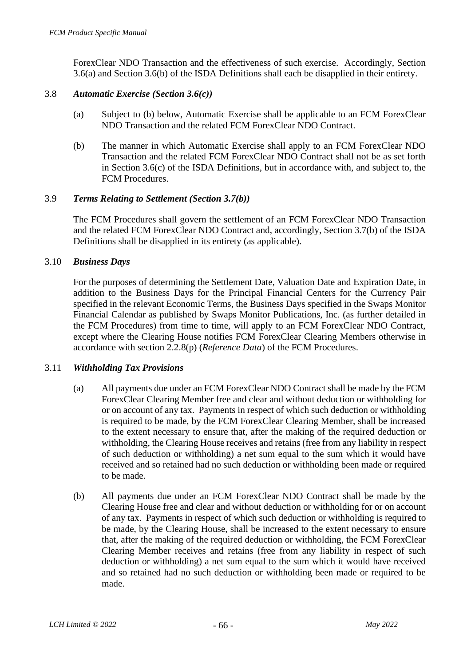ForexClear NDO Transaction and the effectiveness of such exercise. Accordingly, Section 3.6(a) and Section 3.6(b) of the ISDA Definitions shall each be disapplied in their entirety.

#### 3.8 *Automatic Exercise (Section 3.6(c))*

- (a) Subject to (b) below, Automatic Exercise shall be applicable to an FCM ForexClear NDO Transaction and the related FCM ForexClear NDO Contract.
- (b) The manner in which Automatic Exercise shall apply to an FCM ForexClear NDO Transaction and the related FCM ForexClear NDO Contract shall not be as set forth in Section 3.6(c) of the ISDA Definitions, but in accordance with, and subject to, the FCM Procedures.

#### 3.9 *Terms Relating to Settlement (Section 3.7(b))*

The FCM Procedures shall govern the settlement of an FCM ForexClear NDO Transaction and the related FCM ForexClear NDO Contract and, accordingly, Section 3.7(b) of the ISDA Definitions shall be disapplied in its entirety (as applicable).

#### 3.10 *Business Days*

For the purposes of determining the Settlement Date, Valuation Date and Expiration Date, in addition to the Business Days for the Principal Financial Centers for the Currency Pair specified in the relevant Economic Terms, the Business Days specified in the Swaps Monitor Financial Calendar as published by Swaps Monitor Publications, Inc. (as further detailed in the FCM Procedures) from time to time, will apply to an FCM ForexClear NDO Contract, except where the Clearing House notifies FCM ForexClear Clearing Members otherwise in accordance with section 2.2.8(p) (*Reference Data*) of the FCM Procedures.

#### 3.11 *Withholding Tax Provisions*

- (a) All payments due under an FCM ForexClear NDO Contract shall be made by the FCM ForexClear Clearing Member free and clear and without deduction or withholding for or on account of any tax. Payments in respect of which such deduction or withholding is required to be made, by the FCM ForexClear Clearing Member, shall be increased to the extent necessary to ensure that, after the making of the required deduction or withholding, the Clearing House receives and retains (free from any liability in respect of such deduction or withholding) a net sum equal to the sum which it would have received and so retained had no such deduction or withholding been made or required to be made.
- (b) All payments due under an FCM ForexClear NDO Contract shall be made by the Clearing House free and clear and without deduction or withholding for or on account of any tax. Payments in respect of which such deduction or withholding is required to be made, by the Clearing House, shall be increased to the extent necessary to ensure that, after the making of the required deduction or withholding, the FCM ForexClear Clearing Member receives and retains (free from any liability in respect of such deduction or withholding) a net sum equal to the sum which it would have received and so retained had no such deduction or withholding been made or required to be made.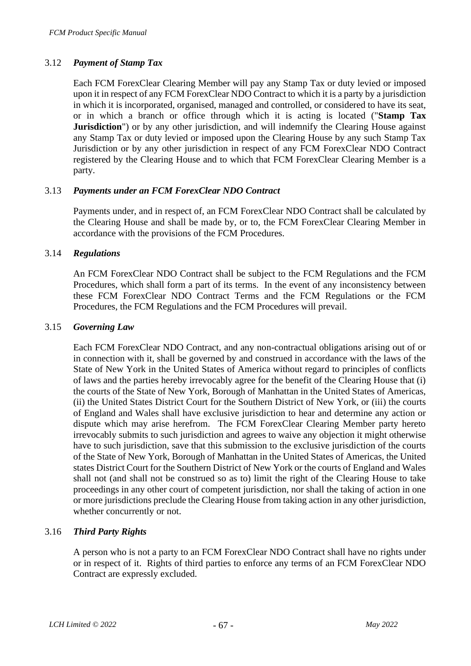### 3.12 *Payment of Stamp Tax*

Each FCM ForexClear Clearing Member will pay any Stamp Tax or duty levied or imposed upon it in respect of any FCM ForexClear NDO Contract to which it is a party by a jurisdiction in which it is incorporated, organised, managed and controlled, or considered to have its seat, or in which a branch or office through which it is acting is located ("**Stamp Tax Jurisdiction**") or by any other jurisdiction, and will indemnify the Clearing House against any Stamp Tax or duty levied or imposed upon the Clearing House by any such Stamp Tax Jurisdiction or by any other jurisdiction in respect of any FCM ForexClear NDO Contract registered by the Clearing House and to which that FCM ForexClear Clearing Member is a party.

### 3.13 *Payments under an FCM ForexClear NDO Contract*

Payments under, and in respect of, an FCM ForexClear NDO Contract shall be calculated by the Clearing House and shall be made by, or to, the FCM ForexClear Clearing Member in accordance with the provisions of the FCM Procedures.

#### 3.14 *Regulations*

An FCM ForexClear NDO Contract shall be subject to the FCM Regulations and the FCM Procedures, which shall form a part of its terms. In the event of any inconsistency between these FCM ForexClear NDO Contract Terms and the FCM Regulations or the FCM Procedures, the FCM Regulations and the FCM Procedures will prevail.

#### 3.15 *Governing Law*

Each FCM ForexClear NDO Contract, and any non-contractual obligations arising out of or in connection with it, shall be governed by and construed in accordance with the laws of the State of New York in the United States of America without regard to principles of conflicts of laws and the parties hereby irrevocably agree for the benefit of the Clearing House that (i) the courts of the State of New York, Borough of Manhattan in the United States of Americas, (ii) the United States District Court for the Southern District of New York, or (iii) the courts of England and Wales shall have exclusive jurisdiction to hear and determine any action or dispute which may arise herefrom. The FCM ForexClear Clearing Member party hereto irrevocably submits to such jurisdiction and agrees to waive any objection it might otherwise have to such jurisdiction, save that this submission to the exclusive jurisdiction of the courts of the State of New York, Borough of Manhattan in the United States of Americas, the United states District Court for the Southern District of New York or the courts of England and Wales shall not (and shall not be construed so as to) limit the right of the Clearing House to take proceedings in any other court of competent jurisdiction, nor shall the taking of action in one or more jurisdictions preclude the Clearing House from taking action in any other jurisdiction, whether concurrently or not.

#### 3.16 *Third Party Rights*

A person who is not a party to an FCM ForexClear NDO Contract shall have no rights under or in respect of it. Rights of third parties to enforce any terms of an FCM ForexClear NDO Contract are expressly excluded.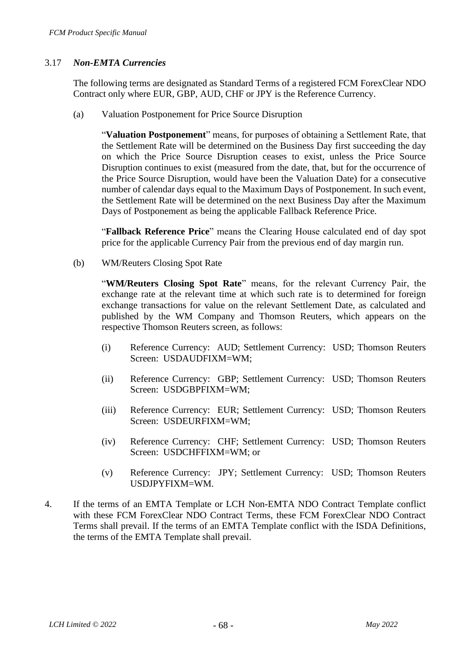### 3.17 *Non-EMTA Currencies*

The following terms are designated as Standard Terms of a registered FCM ForexClear NDO Contract only where EUR, GBP, AUD, CHF or JPY is the Reference Currency.

(a) Valuation Postponement for Price Source Disruption

"**Valuation Postponement**" means, for purposes of obtaining a Settlement Rate, that the Settlement Rate will be determined on the Business Day first succeeding the day on which the Price Source Disruption ceases to exist, unless the Price Source Disruption continues to exist (measured from the date, that, but for the occurrence of the Price Source Disruption, would have been the Valuation Date) for a consecutive number of calendar days equal to the Maximum Days of Postponement. In such event, the Settlement Rate will be determined on the next Business Day after the Maximum Days of Postponement as being the applicable Fallback Reference Price.

"**Fallback Reference Price**" means the Clearing House calculated end of day spot price for the applicable Currency Pair from the previous end of day margin run.

(b) WM/Reuters Closing Spot Rate

"**WM/Reuters Closing Spot Rate**" means, for the relevant Currency Pair, the exchange rate at the relevant time at which such rate is to determined for foreign exchange transactions for value on the relevant Settlement Date, as calculated and published by the WM Company and Thomson Reuters, which appears on the respective Thomson Reuters screen, as follows:

- (i) Reference Currency: AUD; Settlement Currency: USD; Thomson Reuters Screen: USDAUDFIXM=WM;
- (ii) Reference Currency: GBP; Settlement Currency: USD; Thomson Reuters Screen: USDGBPFIXM=WM;
- (iii) Reference Currency: EUR; Settlement Currency: USD; Thomson Reuters Screen: USDEURFIXM=WM;
- (iv) Reference Currency: CHF; Settlement Currency: USD; Thomson Reuters Screen: USDCHFFIXM=WM; or
- (v) Reference Currency: JPY; Settlement Currency: USD; Thomson Reuters USDJPYFIXM=WM.
- 4. If the terms of an EMTA Template or LCH Non-EMTA NDO Contract Template conflict with these FCM ForexClear NDO Contract Terms, these FCM ForexClear NDO Contract Terms shall prevail. If the terms of an EMTA Template conflict with the ISDA Definitions, the terms of the EMTA Template shall prevail.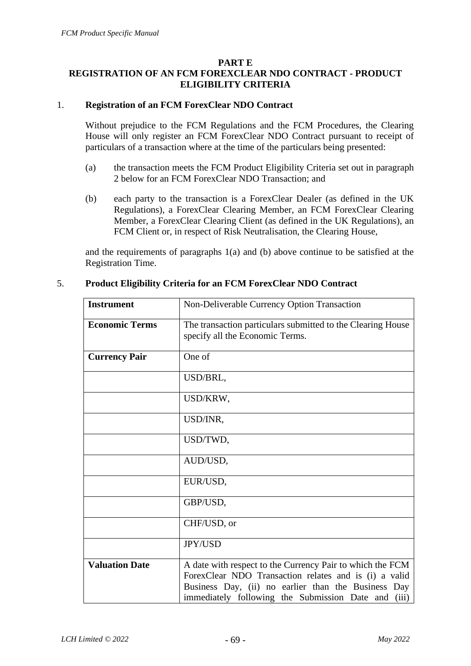#### **PART E**

## **REGISTRATION OF AN FCM FOREXCLEAR NDO CONTRACT - PRODUCT ELIGIBILITY CRITERIA**

#### 1. **Registration of an FCM ForexClear NDO Contract**

Without prejudice to the FCM Regulations and the FCM Procedures, the Clearing House will only register an FCM ForexClear NDO Contract pursuant to receipt of particulars of a transaction where at the time of the particulars being presented:

- (a) the transaction meets the FCM Product Eligibility Criteria set out in paragraph 2 below for an FCM ForexClear NDO Transaction; and
- (b) each party to the transaction is a ForexClear Dealer (as defined in the UK Regulations), a ForexClear Clearing Member, an FCM ForexClear Clearing Member, a ForexClear Clearing Client (as defined in the UK Regulations), an FCM Client or, in respect of Risk Neutralisation, the Clearing House,

and the requirements of paragraphs 1(a) and (b) above continue to be satisfied at the Registration Time.

| <b>Instrument</b>     | Non-Deliverable Currency Option Transaction                                                                                                                                                                                         |
|-----------------------|-------------------------------------------------------------------------------------------------------------------------------------------------------------------------------------------------------------------------------------|
| <b>Economic Terms</b> | The transaction particulars submitted to the Clearing House<br>specify all the Economic Terms.                                                                                                                                      |
| <b>Currency Pair</b>  | One of                                                                                                                                                                                                                              |
|                       | USD/BRL,                                                                                                                                                                                                                            |
|                       | USD/KRW,                                                                                                                                                                                                                            |
|                       | USD/INR,                                                                                                                                                                                                                            |
|                       | USD/TWD,                                                                                                                                                                                                                            |
|                       | AUD/USD,                                                                                                                                                                                                                            |
|                       | EUR/USD,                                                                                                                                                                                                                            |
|                       | GBP/USD,                                                                                                                                                                                                                            |
|                       | CHF/USD, or                                                                                                                                                                                                                         |
|                       | <b>JPY/USD</b>                                                                                                                                                                                                                      |
| <b>Valuation Date</b> | A date with respect to the Currency Pair to which the FCM<br>ForexClear NDO Transaction relates and is (i) a valid<br>Business Day, (ii) no earlier than the Business Day<br>immediately following the Submission Date and<br>(iii) |

#### 5. **Product Eligibility Criteria for an FCM ForexClear NDO Contract**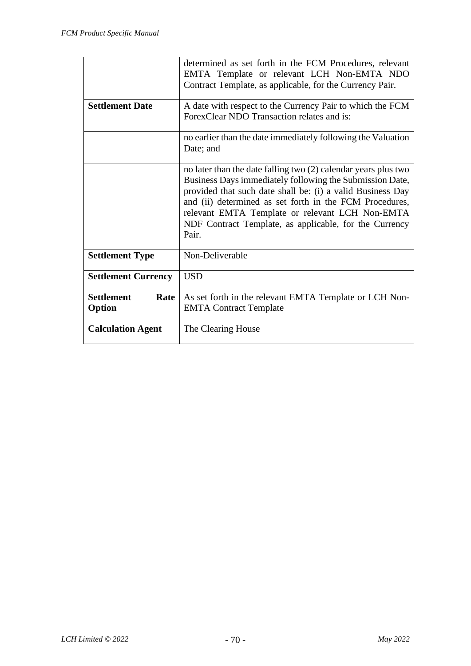|                                     | determined as set forth in the FCM Procedures, relevant<br>EMTA Template or relevant LCH Non-EMTA NDO<br>Contract Template, as applicable, for the Currency Pair.                                                                                                                                                                                                         |
|-------------------------------------|---------------------------------------------------------------------------------------------------------------------------------------------------------------------------------------------------------------------------------------------------------------------------------------------------------------------------------------------------------------------------|
| <b>Settlement Date</b>              | A date with respect to the Currency Pair to which the FCM<br>ForexClear NDO Transaction relates and is:                                                                                                                                                                                                                                                                   |
|                                     | no earlier than the date immediately following the Valuation<br>Date; and                                                                                                                                                                                                                                                                                                 |
|                                     | no later than the date falling two (2) calendar years plus two<br>Business Days immediately following the Submission Date,<br>provided that such date shall be: (i) a valid Business Day<br>and (ii) determined as set forth in the FCM Procedures,<br>relevant EMTA Template or relevant LCH Non-EMTA<br>NDF Contract Template, as applicable, for the Currency<br>Pair. |
| <b>Settlement Type</b>              | Non-Deliverable                                                                                                                                                                                                                                                                                                                                                           |
| <b>Settlement Currency</b>          | <b>USD</b>                                                                                                                                                                                                                                                                                                                                                                |
| <b>Settlement</b><br>Rate<br>Option | As set forth in the relevant EMTA Template or LCH Non-<br><b>EMTA Contract Template</b>                                                                                                                                                                                                                                                                                   |
| <b>Calculation Agent</b>            | The Clearing House                                                                                                                                                                                                                                                                                                                                                        |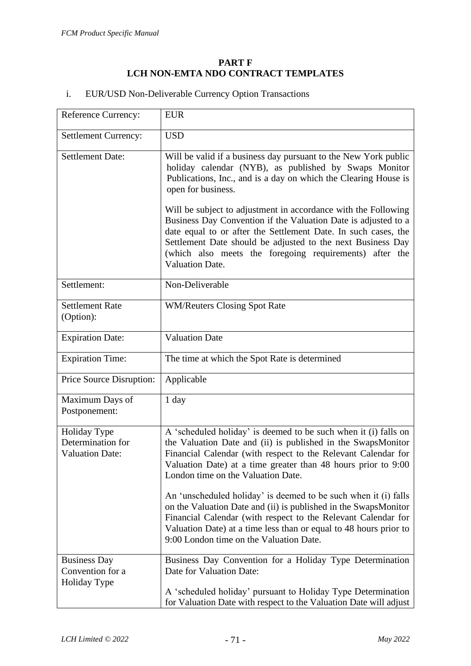#### **PART F LCH NON-EMTA NDO CONTRACT TEMPLATES**

| <b>EUR/USD Non-Deliverable Currency Option Transactions</b> |  |
|-------------------------------------------------------------|--|
|                                                             |  |

| Reference Currency:                                         | <b>EUR</b>                                                                                                                                                                                                                                                                                                                                                                                                              |
|-------------------------------------------------------------|-------------------------------------------------------------------------------------------------------------------------------------------------------------------------------------------------------------------------------------------------------------------------------------------------------------------------------------------------------------------------------------------------------------------------|
| Settlement Currency:                                        | <b>USD</b>                                                                                                                                                                                                                                                                                                                                                                                                              |
| <b>Settlement Date:</b>                                     | Will be valid if a business day pursuant to the New York public<br>holiday calendar (NYB), as published by Swaps Monitor<br>Publications, Inc., and is a day on which the Clearing House is<br>open for business.<br>Will be subject to adjustment in accordance with the Following<br>Business Day Convention if the Valuation Date is adjusted to a<br>date equal to or after the Settlement Date. In such cases, the |
|                                                             | Settlement Date should be adjusted to the next Business Day<br>(which also meets the foregoing requirements) after the<br><b>Valuation Date.</b>                                                                                                                                                                                                                                                                        |
| Settlement:                                                 | Non-Deliverable                                                                                                                                                                                                                                                                                                                                                                                                         |
| <b>Settlement Rate</b><br>(Option):                         | <b>WM/Reuters Closing Spot Rate</b>                                                                                                                                                                                                                                                                                                                                                                                     |
| <b>Expiration Date:</b>                                     | <b>Valuation Date</b>                                                                                                                                                                                                                                                                                                                                                                                                   |
| <b>Expiration Time:</b>                                     | The time at which the Spot Rate is determined                                                                                                                                                                                                                                                                                                                                                                           |
| Price Source Disruption:                                    | Applicable                                                                                                                                                                                                                                                                                                                                                                                                              |
| Maximum Days of<br>Postponement:                            | 1 day                                                                                                                                                                                                                                                                                                                                                                                                                   |
| Holiday Type<br>Determination for<br><b>Valuation Date:</b> | A 'scheduled holiday' is deemed to be such when it (i) falls on<br>the Valuation Date and (ii) is published in the SwapsMonitor<br>Financial Calendar (with respect to the Relevant Calendar for<br>Valuation Date) at a time greater than 48 hours prior to 9:00<br>London time on the Valuation Date.                                                                                                                 |
|                                                             | An 'unscheduled holiday' is deemed to be such when it (i) falls<br>on the Valuation Date and (ii) is published in the SwapsMonitor<br>Financial Calendar (with respect to the Relevant Calendar for<br>Valuation Date) at a time less than or equal to 48 hours prior to<br>9:00 London time on the Valuation Date.                                                                                                     |
| <b>Business Day</b><br>Convention for a<br>Holiday Type     | Business Day Convention for a Holiday Type Determination<br>Date for Valuation Date:                                                                                                                                                                                                                                                                                                                                    |
|                                                             | A 'scheduled holiday' pursuant to Holiday Type Determination<br>for Valuation Date with respect to the Valuation Date will adjust                                                                                                                                                                                                                                                                                       |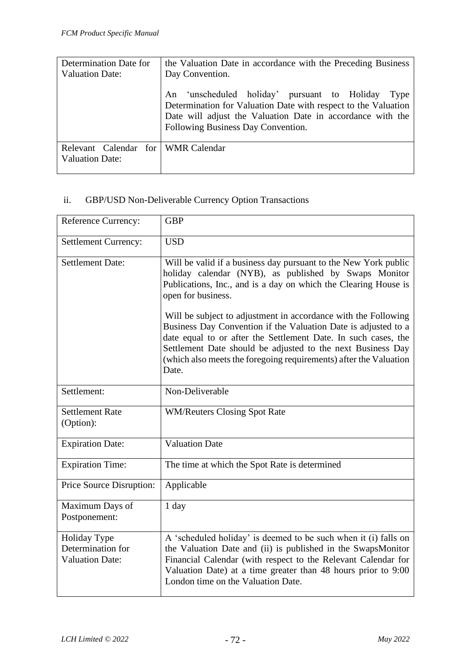| Determination Date for<br><b>Valuation Date:</b>             | the Valuation Date in accordance with the Preceding Business<br>Day Convention.<br>An 'unscheduled holiday' pursuant to Holiday<br>Type<br>Determination for Valuation Date with respect to the Valuation<br>Date will adjust the Valuation Date in accordance with the<br>Following Business Day Convention. |
|--------------------------------------------------------------|---------------------------------------------------------------------------------------------------------------------------------------------------------------------------------------------------------------------------------------------------------------------------------------------------------------|
| Relevant Calendar for WMR Calendar<br><b>Valuation Date:</b> |                                                                                                                                                                                                                                                                                                               |

## ii. GBP/USD Non-Deliverable Currency Option Transactions

| <b>Reference Currency:</b>                                  | <b>GBP</b>                                                                                                                                                                                                                                                                                                                                      |
|-------------------------------------------------------------|-------------------------------------------------------------------------------------------------------------------------------------------------------------------------------------------------------------------------------------------------------------------------------------------------------------------------------------------------|
| <b>Settlement Currency:</b>                                 | <b>USD</b>                                                                                                                                                                                                                                                                                                                                      |
| <b>Settlement Date:</b>                                     | Will be valid if a business day pursuant to the New York public<br>holiday calendar (NYB), as published by Swaps Monitor<br>Publications, Inc., and is a day on which the Clearing House is<br>open for business.                                                                                                                               |
|                                                             | Will be subject to adjustment in accordance with the Following<br>Business Day Convention if the Valuation Date is adjusted to a<br>date equal to or after the Settlement Date. In such cases, the<br>Settlement Date should be adjusted to the next Business Day<br>(which also meets the foregoing requirements) after the Valuation<br>Date. |
| Settlement:                                                 | Non-Deliverable                                                                                                                                                                                                                                                                                                                                 |
| <b>Settlement Rate</b><br>(Option):                         | <b>WM/Reuters Closing Spot Rate</b>                                                                                                                                                                                                                                                                                                             |
| <b>Expiration Date:</b>                                     | <b>Valuation Date</b>                                                                                                                                                                                                                                                                                                                           |
| <b>Expiration Time:</b>                                     | The time at which the Spot Rate is determined                                                                                                                                                                                                                                                                                                   |
| Price Source Disruption:                                    | Applicable                                                                                                                                                                                                                                                                                                                                      |
| Maximum Days of<br>Postponement:                            | 1 day                                                                                                                                                                                                                                                                                                                                           |
| Holiday Type<br>Determination for<br><b>Valuation Date:</b> | A 'scheduled holiday' is deemed to be such when it (i) falls on<br>the Valuation Date and (ii) is published in the SwapsMonitor<br>Financial Calendar (with respect to the Relevant Calendar for<br>Valuation Date) at a time greater than 48 hours prior to 9:00<br>London time on the Valuation Date.                                         |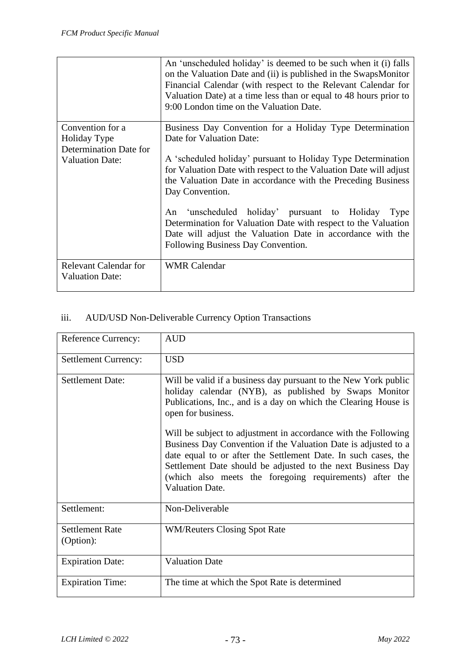|                                                        | An 'unscheduled holiday' is deemed to be such when it (i) falls<br>on the Valuation Date and (ii) is published in the SwapsMonitor<br>Financial Calendar (with respect to the Relevant Calendar for<br>Valuation Date) at a time less than or equal to 48 hours prior to<br>9:00 London time on the Valuation Date. |
|--------------------------------------------------------|---------------------------------------------------------------------------------------------------------------------------------------------------------------------------------------------------------------------------------------------------------------------------------------------------------------------|
| Convention for a                                       | Business Day Convention for a Holiday Type Determination                                                                                                                                                                                                                                                            |
| Holiday Type                                           | Date for Valuation Date:                                                                                                                                                                                                                                                                                            |
| Determination Date for                                 |                                                                                                                                                                                                                                                                                                                     |
| <b>Valuation Date:</b>                                 | A 'scheduled holiday' pursuant to Holiday Type Determination<br>for Valuation Date with respect to the Valuation Date will adjust<br>the Valuation Date in accordance with the Preceding Business<br>Day Convention.                                                                                                |
|                                                        | 'unscheduled holiday' pursuant to Holiday<br>An<br>Type<br>Determination for Valuation Date with respect to the Valuation<br>Date will adjust the Valuation Date in accordance with the<br>Following Business Day Convention.                                                                                       |
| <b>Relevant Calendar for</b><br><b>Valuation Date:</b> | <b>WMR</b> Calendar                                                                                                                                                                                                                                                                                                 |

# iii. AUD/USD Non-Deliverable Currency Option Transactions

| <b>Reference Currency:</b>          | <b>AUD</b>                                                                                                                                                                                                                                                                                                                                                                                                                                                                                                                                                                  |
|-------------------------------------|-----------------------------------------------------------------------------------------------------------------------------------------------------------------------------------------------------------------------------------------------------------------------------------------------------------------------------------------------------------------------------------------------------------------------------------------------------------------------------------------------------------------------------------------------------------------------------|
| <b>Settlement Currency:</b>         | <b>USD</b>                                                                                                                                                                                                                                                                                                                                                                                                                                                                                                                                                                  |
| <b>Settlement Date:</b>             | Will be valid if a business day pursuant to the New York public<br>holiday calendar (NYB), as published by Swaps Monitor<br>Publications, Inc., and is a day on which the Clearing House is<br>open for business.<br>Will be subject to adjustment in accordance with the Following<br>Business Day Convention if the Valuation Date is adjusted to a<br>date equal to or after the Settlement Date. In such cases, the<br>Settlement Date should be adjusted to the next Business Day<br>(which also meets the foregoing requirements) after the<br><b>Valuation Date.</b> |
| Settlement:                         | Non-Deliverable                                                                                                                                                                                                                                                                                                                                                                                                                                                                                                                                                             |
| <b>Settlement Rate</b><br>(Option): | <b>WM/Reuters Closing Spot Rate</b>                                                                                                                                                                                                                                                                                                                                                                                                                                                                                                                                         |
| <b>Expiration Date:</b>             | <b>Valuation Date</b>                                                                                                                                                                                                                                                                                                                                                                                                                                                                                                                                                       |
| <b>Expiration Time:</b>             | The time at which the Spot Rate is determined                                                                                                                                                                                                                                                                                                                                                                                                                                                                                                                               |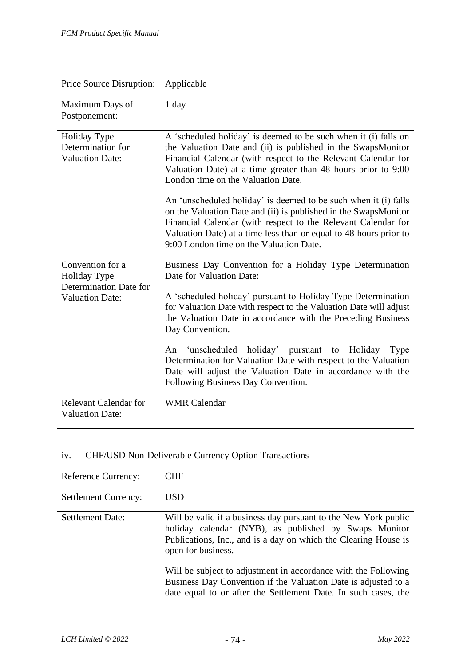| Price Source Disruption:                                          | Applicable                                                                                                                                                                                                                                                                                                          |
|-------------------------------------------------------------------|---------------------------------------------------------------------------------------------------------------------------------------------------------------------------------------------------------------------------------------------------------------------------------------------------------------------|
| Maximum Days of<br>Postponement:                                  | $1$ day                                                                                                                                                                                                                                                                                                             |
| Holiday Type<br>Determination for<br><b>Valuation Date:</b>       | A 'scheduled holiday' is deemed to be such when it (i) falls on<br>the Valuation Date and (ii) is published in the SwapsMonitor<br>Financial Calendar (with respect to the Relevant Calendar for<br>Valuation Date) at a time greater than 48 hours prior to 9:00<br>London time on the Valuation Date.             |
|                                                                   | An 'unscheduled holiday' is deemed to be such when it (i) falls<br>on the Valuation Date and (ii) is published in the SwapsMonitor<br>Financial Calendar (with respect to the Relevant Calendar for<br>Valuation Date) at a time less than or equal to 48 hours prior to<br>9:00 London time on the Valuation Date. |
| Convention for a<br><b>Holiday Type</b><br>Determination Date for | Business Day Convention for a Holiday Type Determination<br>Date for Valuation Date:                                                                                                                                                                                                                                |
| <b>Valuation Date:</b>                                            | A 'scheduled holiday' pursuant to Holiday Type Determination<br>for Valuation Date with respect to the Valuation Date will adjust<br>the Valuation Date in accordance with the Preceding Business<br>Day Convention.                                                                                                |
|                                                                   | An 'unscheduled holiday' pursuant<br>to Holiday<br>Type<br>Determination for Valuation Date with respect to the Valuation<br>Date will adjust the Valuation Date in accordance with the<br>Following Business Day Convention.                                                                                       |
| <b>Relevant Calendar for</b><br><b>Valuation Date:</b>            | <b>WMR</b> Calendar                                                                                                                                                                                                                                                                                                 |

### iv. CHF/USD Non-Deliverable Currency Option Transactions

| <b>Reference Currency:</b>  | <b>CHF</b>                                                                                                                                                                                                        |
|-----------------------------|-------------------------------------------------------------------------------------------------------------------------------------------------------------------------------------------------------------------|
| <b>Settlement Currency:</b> | <b>USD</b>                                                                                                                                                                                                        |
| <b>Settlement Date:</b>     | Will be valid if a business day pursuant to the New York public<br>holiday calendar (NYB), as published by Swaps Monitor<br>Publications, Inc., and is a day on which the Clearing House is<br>open for business. |
|                             | Will be subject to adjustment in accordance with the Following<br>Business Day Convention if the Valuation Date is adjusted to a<br>date equal to or after the Settlement Date. In such cases, the                |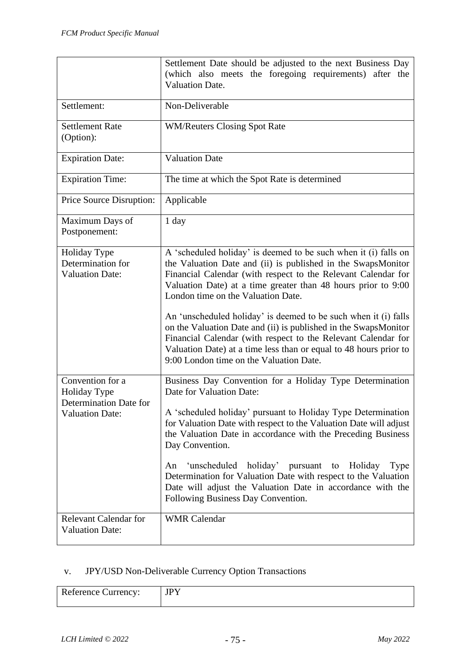|                                                                                      | Settlement Date should be adjusted to the next Business Day<br>(which also meets the foregoing requirements) after the<br><b>Valuation Date.</b>                                                                                                                                                                                                                                                                                                                                                                                                                                                                               |
|--------------------------------------------------------------------------------------|--------------------------------------------------------------------------------------------------------------------------------------------------------------------------------------------------------------------------------------------------------------------------------------------------------------------------------------------------------------------------------------------------------------------------------------------------------------------------------------------------------------------------------------------------------------------------------------------------------------------------------|
| Settlement:                                                                          | Non-Deliverable                                                                                                                                                                                                                                                                                                                                                                                                                                                                                                                                                                                                                |
| <b>Settlement Rate</b><br>(Option):                                                  | <b>WM/Reuters Closing Spot Rate</b>                                                                                                                                                                                                                                                                                                                                                                                                                                                                                                                                                                                            |
| <b>Expiration Date:</b>                                                              | <b>Valuation Date</b>                                                                                                                                                                                                                                                                                                                                                                                                                                                                                                                                                                                                          |
| <b>Expiration Time:</b>                                                              | The time at which the Spot Rate is determined                                                                                                                                                                                                                                                                                                                                                                                                                                                                                                                                                                                  |
| Price Source Disruption:                                                             | Applicable                                                                                                                                                                                                                                                                                                                                                                                                                                                                                                                                                                                                                     |
| Maximum Days of<br>Postponement:                                                     | 1 day                                                                                                                                                                                                                                                                                                                                                                                                                                                                                                                                                                                                                          |
| Holiday Type<br>Determination for<br><b>Valuation Date:</b>                          | A 'scheduled holiday' is deemed to be such when it (i) falls on<br>the Valuation Date and (ii) is published in the SwapsMonitor<br>Financial Calendar (with respect to the Relevant Calendar for<br>Valuation Date) at a time greater than 48 hours prior to 9:00<br>London time on the Valuation Date.<br>An 'unscheduled holiday' is deemed to be such when it (i) falls<br>on the Valuation Date and (ii) is published in the SwapsMonitor<br>Financial Calendar (with respect to the Relevant Calendar for<br>Valuation Date) at a time less than or equal to 48 hours prior to<br>9:00 London time on the Valuation Date. |
| Convention for a<br>Holiday Type<br>Determination Date for<br><b>Valuation Date:</b> | Business Day Convention for a Holiday Type Determination<br>Date for Valuation Date:<br>A 'scheduled holiday' pursuant to Holiday Type Determination<br>for Valuation Date with respect to the Valuation Date will adjust<br>the Valuation Date in accordance with the Preceding Business<br>Day Convention.<br>'unscheduled<br>holiday'<br>pursuant<br>Holiday<br>An<br>to<br>Type<br>Determination for Valuation Date with respect to the Valuation<br>Date will adjust the Valuation Date in accordance with the<br>Following Business Day Convention.                                                                      |
| <b>Relevant Calendar for</b><br><b>Valuation Date:</b>                               | <b>WMR</b> Calendar                                                                                                                                                                                                                                                                                                                                                                                                                                                                                                                                                                                                            |

# v. JPY/USD Non-Deliverable Currency Option Transactions

| <b>Reference Currency:</b> | <b>IPY</b> |
|----------------------------|------------|
|                            |            |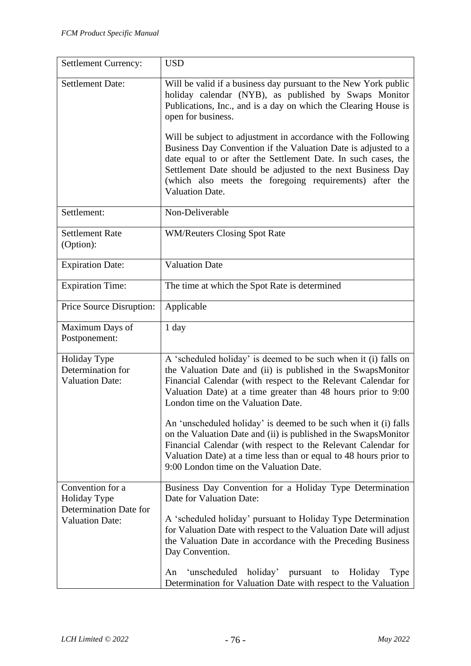| <b>Settlement Currency:</b>                                       | <b>USD</b>                                                                                                                                                                                                                                                                                                                                                                                                                                                                                                                                        |
|-------------------------------------------------------------------|---------------------------------------------------------------------------------------------------------------------------------------------------------------------------------------------------------------------------------------------------------------------------------------------------------------------------------------------------------------------------------------------------------------------------------------------------------------------------------------------------------------------------------------------------|
| <b>Settlement Date:</b>                                           | Will be valid if a business day pursuant to the New York public<br>holiday calendar (NYB), as published by Swaps Monitor<br>Publications, Inc., and is a day on which the Clearing House is<br>open for business.<br>Will be subject to adjustment in accordance with the Following<br>Business Day Convention if the Valuation Date is adjusted to a<br>date equal to or after the Settlement Date. In such cases, the<br>Settlement Date should be adjusted to the next Business Day<br>(which also meets the foregoing requirements) after the |
|                                                                   | <b>Valuation Date.</b>                                                                                                                                                                                                                                                                                                                                                                                                                                                                                                                            |
| Settlement:                                                       | Non-Deliverable                                                                                                                                                                                                                                                                                                                                                                                                                                                                                                                                   |
| <b>Settlement Rate</b><br>(Option):                               | <b>WM/Reuters Closing Spot Rate</b>                                                                                                                                                                                                                                                                                                                                                                                                                                                                                                               |
| <b>Expiration Date:</b>                                           | <b>Valuation Date</b>                                                                                                                                                                                                                                                                                                                                                                                                                                                                                                                             |
| <b>Expiration Time:</b>                                           | The time at which the Spot Rate is determined                                                                                                                                                                                                                                                                                                                                                                                                                                                                                                     |
| Price Source Disruption:                                          | Applicable                                                                                                                                                                                                                                                                                                                                                                                                                                                                                                                                        |
| Maximum Days of<br>Postponement:                                  | 1 day                                                                                                                                                                                                                                                                                                                                                                                                                                                                                                                                             |
| Holiday Type<br>Determination for<br><b>Valuation Date:</b>       | A 'scheduled holiday' is deemed to be such when it (i) falls on<br>the Valuation Date and (ii) is published in the SwapsMonitor<br>Financial Calendar (with respect to the Relevant Calendar for<br>Valuation Date) at a time greater than 48 hours prior to 9:00<br>London time on the Valuation Date.<br>An 'unscheduled holiday' is deemed to be such when it (i) falls                                                                                                                                                                        |
|                                                                   | on the Valuation Date and (ii) is published in the SwapsMonitor<br>Financial Calendar (with respect to the Relevant Calendar for<br>Valuation Date) at a time less than or equal to 48 hours prior to<br>9:00 London time on the Valuation Date.                                                                                                                                                                                                                                                                                                  |
| Convention for a<br><b>Holiday Type</b><br>Determination Date for | Business Day Convention for a Holiday Type Determination<br>Date for Valuation Date:                                                                                                                                                                                                                                                                                                                                                                                                                                                              |
| <b>Valuation Date:</b>                                            | A 'scheduled holiday' pursuant to Holiday Type Determination<br>for Valuation Date with respect to the Valuation Date will adjust<br>the Valuation Date in accordance with the Preceding Business<br>Day Convention.                                                                                                                                                                                                                                                                                                                              |
|                                                                   | 'unscheduled<br>holiday'<br>pursuant<br>Holiday<br>Type<br>An<br>to<br>Determination for Valuation Date with respect to the Valuation                                                                                                                                                                                                                                                                                                                                                                                                             |